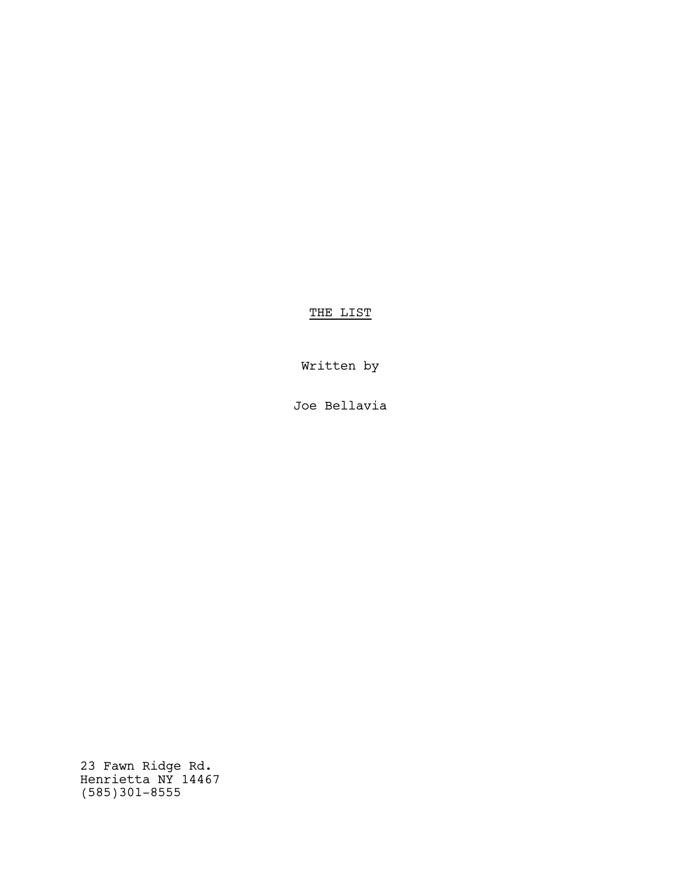THE LIST

Written by

Joe Bellavia

23 Fawn Ridge Rd. Henrietta NY 14467 (585)301-8555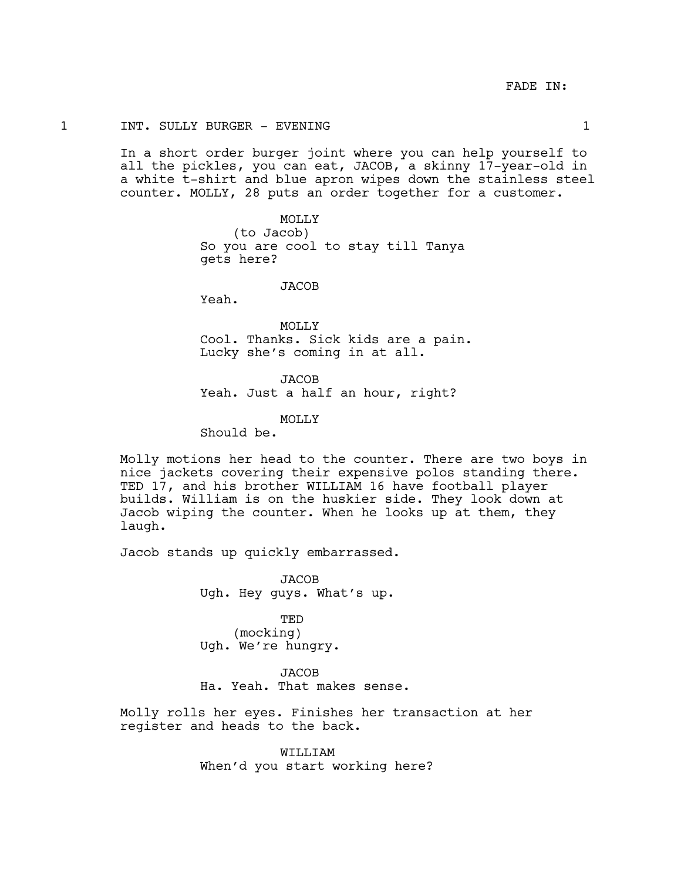# 1 INT. SULLY BURGER - EVENING 1

In a short order burger joint where you can help yourself to all the pickles, you can eat, JACOB, a skinny 17-year-old in a white t-shirt and blue apron wipes down the stainless steel counter. MOLLY, 28 puts an order together for a customer.

> MOLLY (to Jacob) So you are cool to stay till Tanya gets here?

### **JACOB**

Yeah.

MOLLY Cool. Thanks. Sick kids are a pain. Lucky she's coming in at all.

JACOB Yeah. Just a half an hour, right?

MOLLY

Should be.

Molly motions her head to the counter. There are two boys in nice jackets covering their expensive polos standing there. TED 17, and his brother WILLIAM 16 have football player builds. William is on the huskier side. They look down at Jacob wiping the counter. When he looks up at them, they laugh.

Jacob stands up quickly embarrassed.

**JACOB** Ugh. Hey guys. What's up.

TED (mocking) Ugh. We're hungry.

JACOB Ha. Yeah. That makes sense.

Molly rolls her eyes. Finishes her transaction at her register and heads to the back.

> WILLIAM When'd you start working here?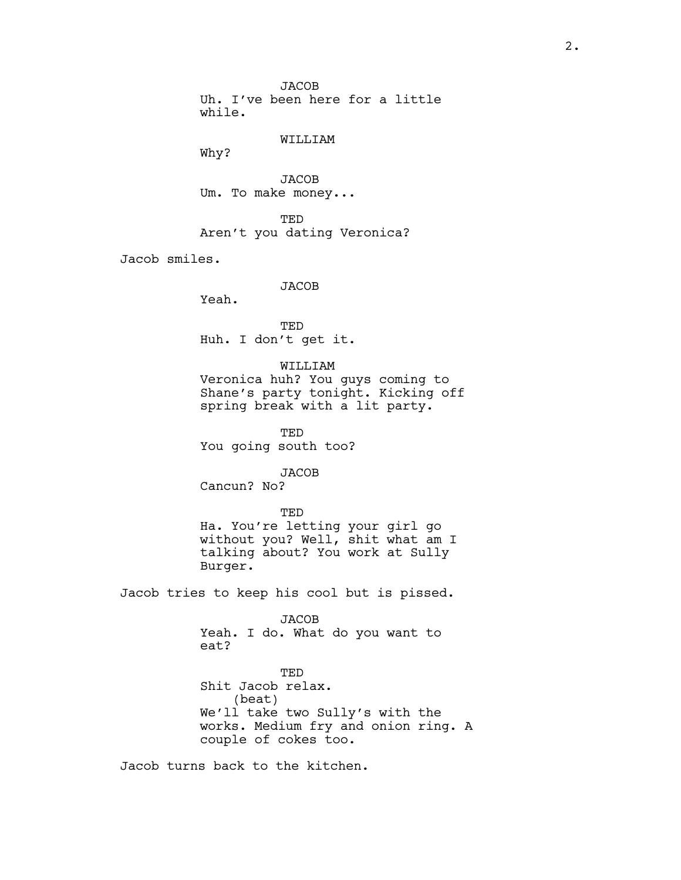JACOB Uh. I've been here for a little while.

### WILLIAM

Why?

**JACOB** Um. To make money...

TED Aren't you dating Veronica?

Jacob smiles.

**JACOB** 

Yeah.

TED Huh. I don't get it.

WILLIAM

Veronica huh? You guys coming to Shane's party tonight. Kicking off spring break with a lit party.

TED You going south too?

**JACOB** 

Cancun? No?

TED Ha. You're letting your girl go without you? Well, shit what am I talking about? You work at Sully Burger.

Jacob tries to keep his cool but is pissed.

JACOB Yeah. I do. What do you want to eat?

**TED** Shit Jacob relax. (beat) We'll take two Sully's with the works. Medium fry and onion ring. A couple of cokes too.

Jacob turns back to the kitchen.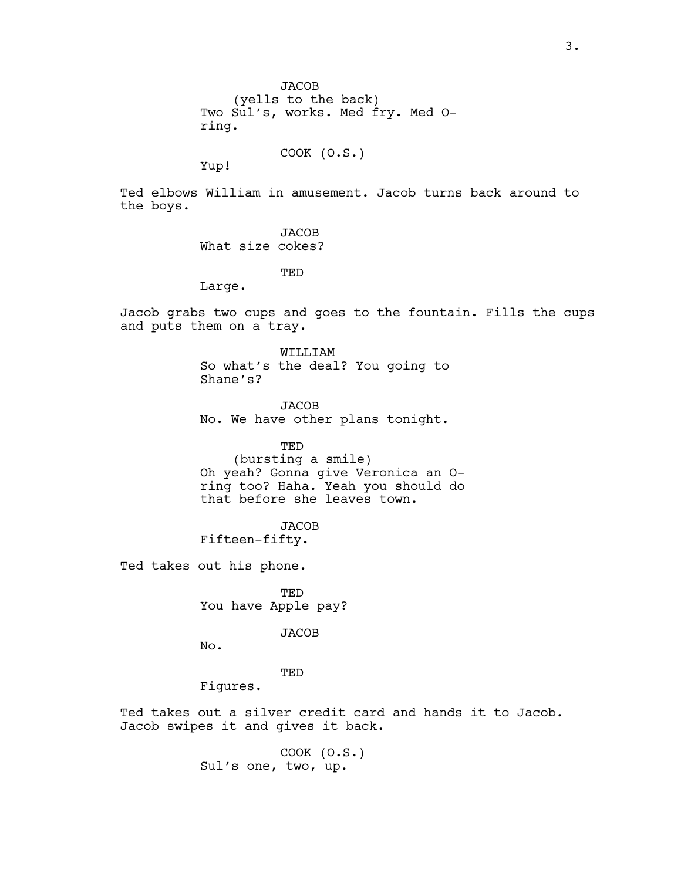**JACOB** (yells to the back) Two Sul's, works. Med fry. Med Oring.

COOK (O.S.)

Yup!

Ted elbows William in amusement. Jacob turns back around to the boys.

> JACOB What size cokes?

> > TED

Large.

Jacob grabs two cups and goes to the fountain. Fills the cups and puts them on a tray.

> WILLIAM So what's the deal? You going to Shane's?

> **JACOB** No. We have other plans tonight.

TED (bursting a smile) Oh yeah? Gonna give Veronica an Oring too? Haha. Yeah you should do that before she leaves town.

JACOB Fifteen-fifty.

Ted takes out his phone.

TED You have Apple pay?

JACOB

No.

TED

Figures.

Ted takes out a silver credit card and hands it to Jacob. Jacob swipes it and gives it back.

> COOK (O.S.) Sul's one, two, up.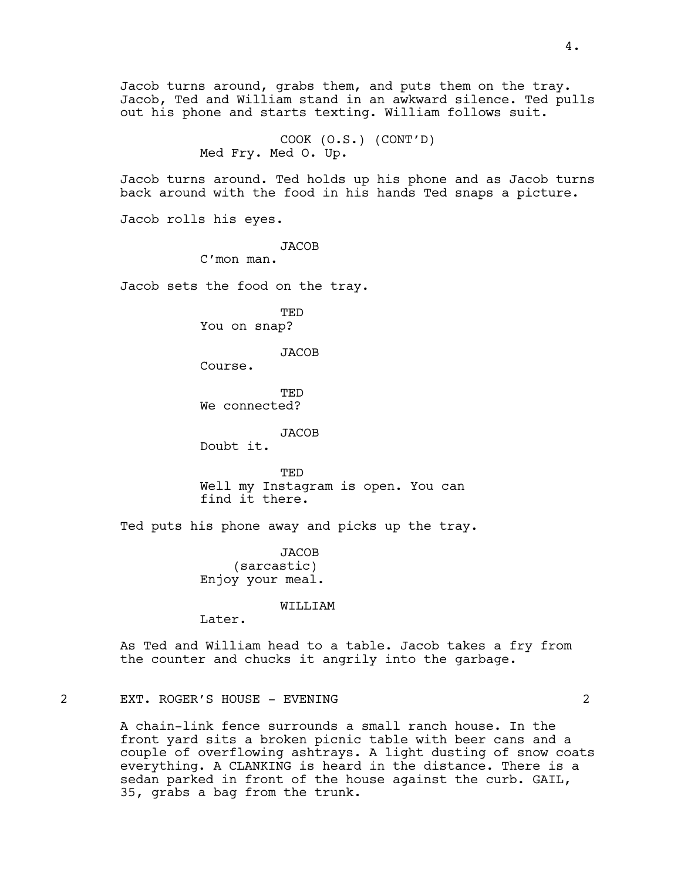Jacob, Ted and William stand in an awkward silence. Ted pulls out his phone and starts texting. William follows suit. COOK (O.S.) (CONT'D) Med Fry. Med O. Up. Jacob turns around. Ted holds up his phone and as Jacob turns back around with the food in his hands Ted snaps a picture. Jacob rolls his eyes. JACOB C'mon man. Jacob sets the food on the tray. TED You on snap? JACOB Course. TED We connected? JACOB Doubt it. TED Well my Instagram is open. You can find it there. Ted puts his phone away and picks up the tray. JACOB (sarcastic) Enjoy your meal. WILLIAM Later. As Ted and William head to a table. Jacob takes a fry from the counter and chucks it angrily into the garbage. 2 EXT. ROGER'S HOUSE - EVENING 2

Jacob turns around, grabs them, and puts them on the tray.

A chain-link fence surrounds a small ranch house. In the front yard sits a broken picnic table with beer cans and a couple of overflowing ashtrays. A light dusting of snow coats everything. A CLANKING is heard in the distance. There is a sedan parked in front of the house against the curb. GAIL, 35, grabs a bag from the trunk.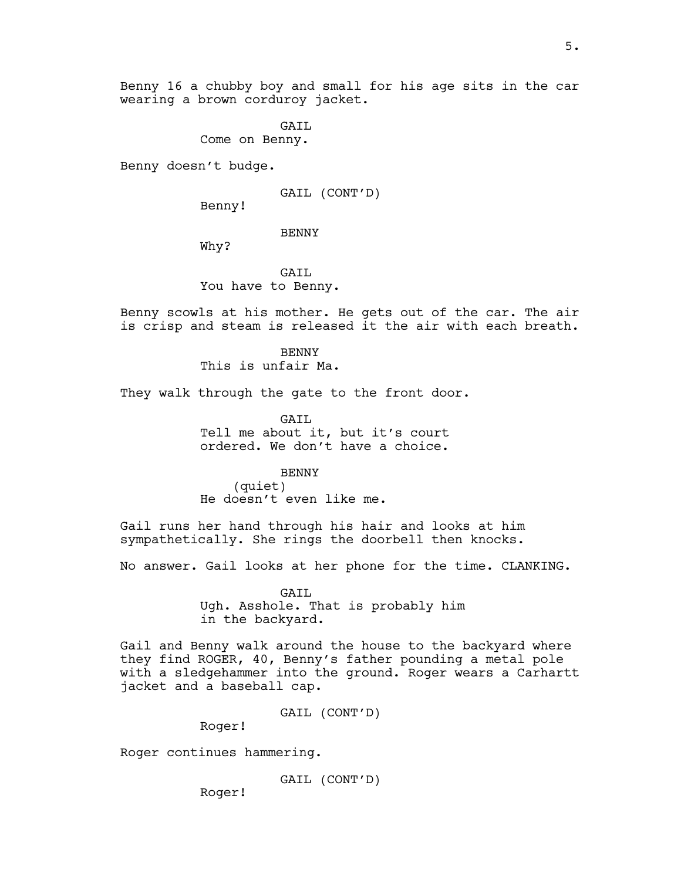Benny 16 a chubby boy and small for his age sits in the car wearing a brown corduroy jacket.

> GAIL Come on Benny.

Benny doesn't budge.

GAIL (CONT'D)

Benny!

BENNY

Why?

GAIL You have to Benny.

Benny scowls at his mother. He gets out of the car. The air is crisp and steam is released it the air with each breath.

> **BENNY** This is unfair Ma.

They walk through the gate to the front door.

GAIL Tell me about it, but it's court ordered. We don't have a choice.

BENNY

(quiet) He doesn't even like me.

Gail runs her hand through his hair and looks at him sympathetically. She rings the doorbell then knocks.

No answer. Gail looks at her phone for the time. CLANKING.

GAIL Ugh. Asshole. That is probably him in the backyard.

Gail and Benny walk around the house to the backyard where they find ROGER, 40, Benny's father pounding a metal pole with a sledgehammer into the ground. Roger wears a Carhartt jacket and a baseball cap.

GAIL (CONT'D)

Roger!

Roger continues hammering.

GAIL (CONT'D)

Roger!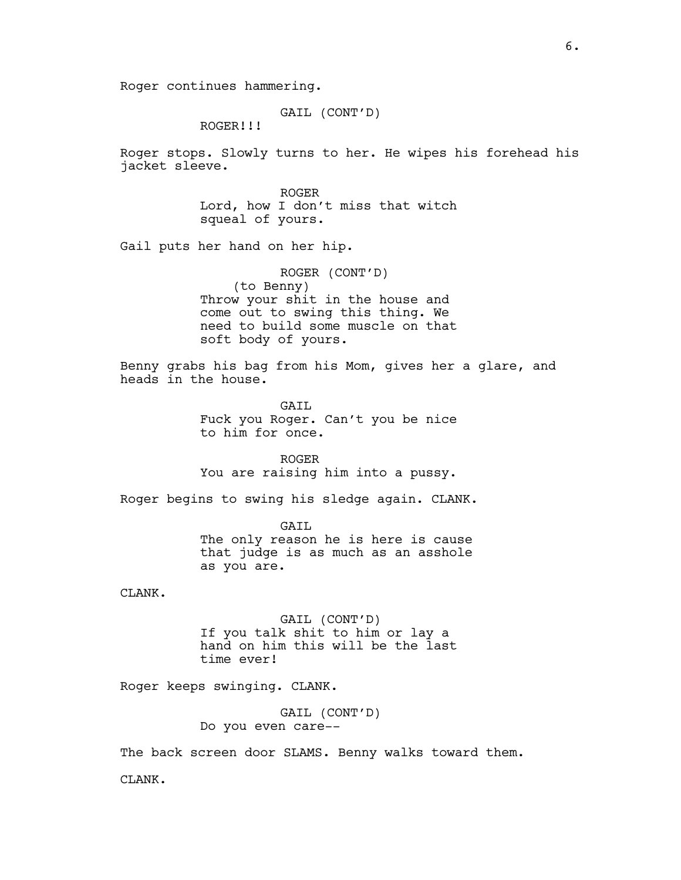Roger continues hammering.

GAIL (CONT'D)

ROGER!!!

Roger stops. Slowly turns to her. He wipes his forehead his jacket sleeve.

> ROGER Lord, how I don't miss that witch squeal of yours.

Gail puts her hand on her hip.

ROGER (CONT'D) (to Benny) Throw your shit in the house and come out to swing this thing. We need to build some muscle on that soft body of yours.

Benny grabs his bag from his Mom, gives her a glare, and heads in the house.

> GATL Fuck you Roger. Can't you be nice to him for once.

> ROGER You are raising him into a pussy.

Roger begins to swing his sledge again. CLANK.

GAIL The only reason he is here is cause that judge is as much as an asshole as you are.

CLANK.

GAIL (CONT'D) If you talk shit to him or lay a hand on him this will be the last time ever!

Roger keeps swinging. CLANK.

GAIL (CONT'D) Do you even care--

The back screen door SLAMS. Benny walks toward them.

CLANK.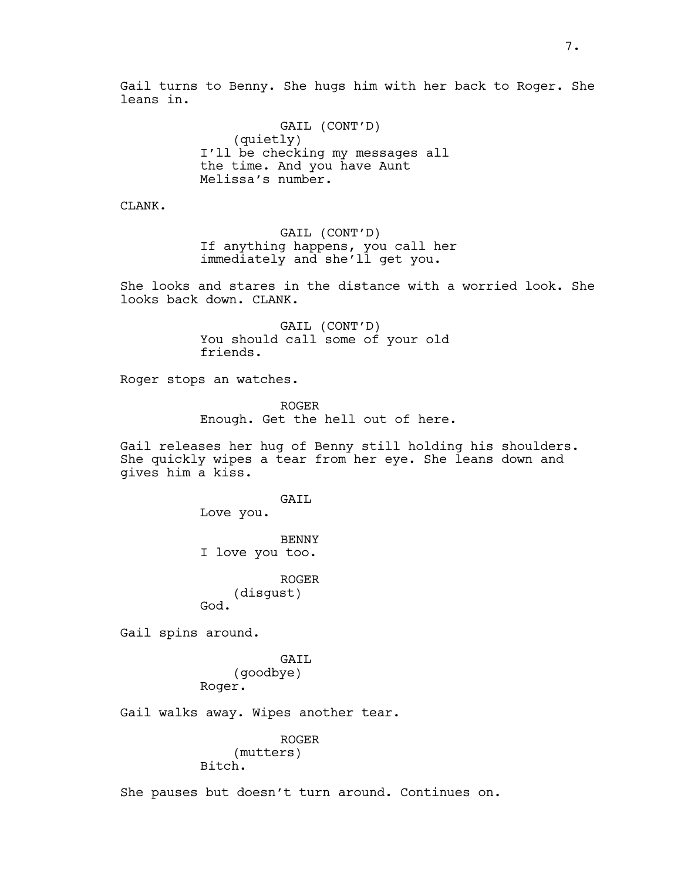Gail turns to Benny. She hugs him with her back to Roger. She leans in.

> GAIL (CONT'D) (quietly) I'll be checking my messages all the time. And you have Aunt Melissa's number.

CLANK.

GAIL (CONT'D) If anything happens, you call her immediately and she'll get you.

She looks and stares in the distance with a worried look. She looks back down. CLANK.

> GAIL (CONT'D) You should call some of your old friends.

Roger stops an watches.

ROGER Enough. Get the hell out of here.

Gail releases her hug of Benny still holding his shoulders. She quickly wipes a tear from her eye. She leans down and gives him a kiss.

GAIL

Love you.

BENNY I love you too.

ROGER (disgust) God.

Gail spins around.

GAIL (goodbye) Roger.

Gail walks away. Wipes another tear.

ROGER (mutters) Bitch.

She pauses but doesn't turn around. Continues on.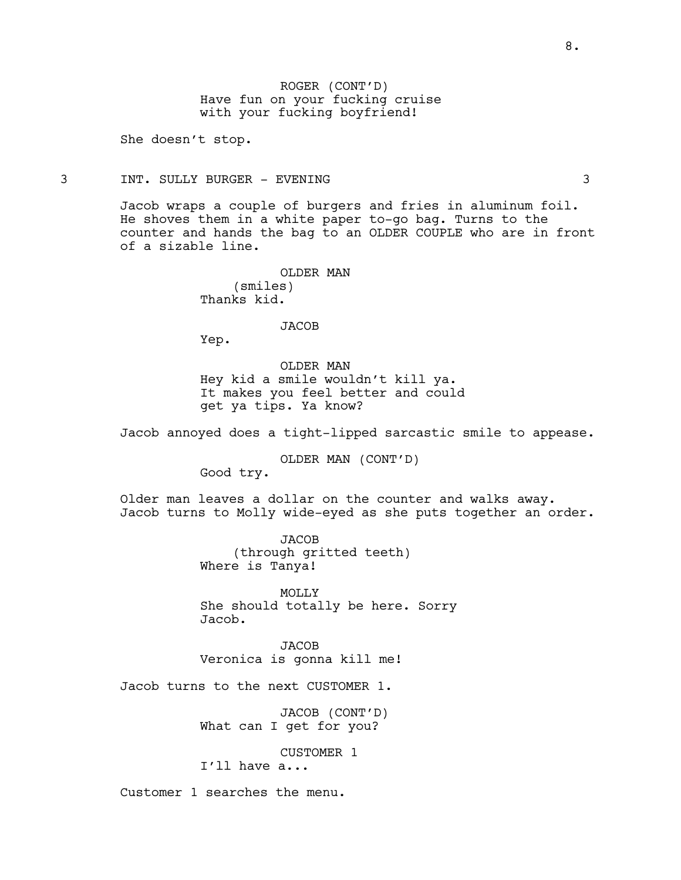ROGER (CONT'D) Have fun on your fucking cruise with your fucking boyfriend!

She doesn't stop.

# 3 INT. SULLY BURGER - EVENING 3

Jacob wraps a couple of burgers and fries in aluminum foil. He shoves them in a white paper to-go bag. Turns to the counter and hands the bag to an OLDER COUPLE who are in front of a sizable line.

> OLDER MAN (smiles) Thanks kid.

### **JACOB**

Yep.

OLDER MAN Hey kid a smile wouldn't kill ya. It makes you feel better and could get ya tips. Ya know?

Jacob annoyed does a tight-lipped sarcastic smile to appease.

OLDER MAN (CONT'D)

Good try.

Older man leaves a dollar on the counter and walks away. Jacob turns to Molly wide-eyed as she puts together an order.

> JACOB (through gritted teeth) Where is Tanya!

MOLLY She should totally be here. Sorry Jacob.

JACOB Veronica is gonna kill me!

Jacob turns to the next CUSTOMER 1.

JACOB (CONT'D) What can I get for you?

CUSTOMER 1

I'll have a...

Customer 1 searches the menu.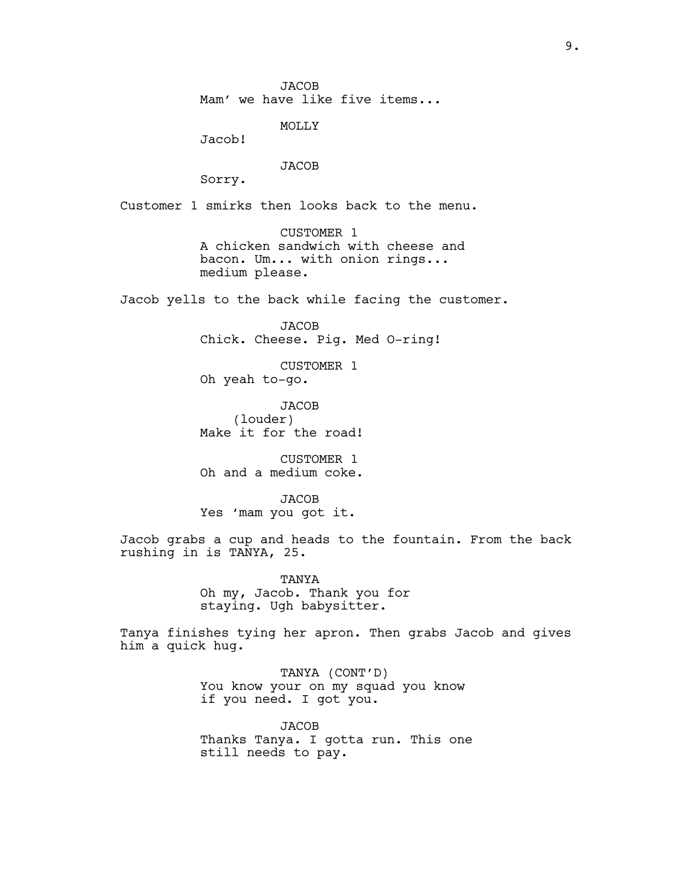JACOB Mam' we have like five items...

MOLLY

Jacob!

JACOB

Sorry.

Customer 1 smirks then looks back to the menu.

CUSTOMER 1 A chicken sandwich with cheese and bacon. Um... with onion rings... medium please.

Jacob yells to the back while facing the customer.

JACOB Chick. Cheese. Pig. Med O-ring!

CUSTOMER 1 Oh yeah to-go.

**JACOB** (louder) Make it for the road!

CUSTOMER 1 Oh and a medium coke.

JACOB Yes 'mam you got it.

Jacob grabs a cup and heads to the fountain. From the back rushing in is TANYA, 25.

> TANYA Oh my, Jacob. Thank you for staying. Ugh babysitter.

Tanya finishes tying her apron. Then grabs Jacob and gives him a quick hug.

> TANYA (CONT'D) You know your on my squad you know if you need. I got you.

JACOB Thanks Tanya. I gotta run. This one still needs to pay.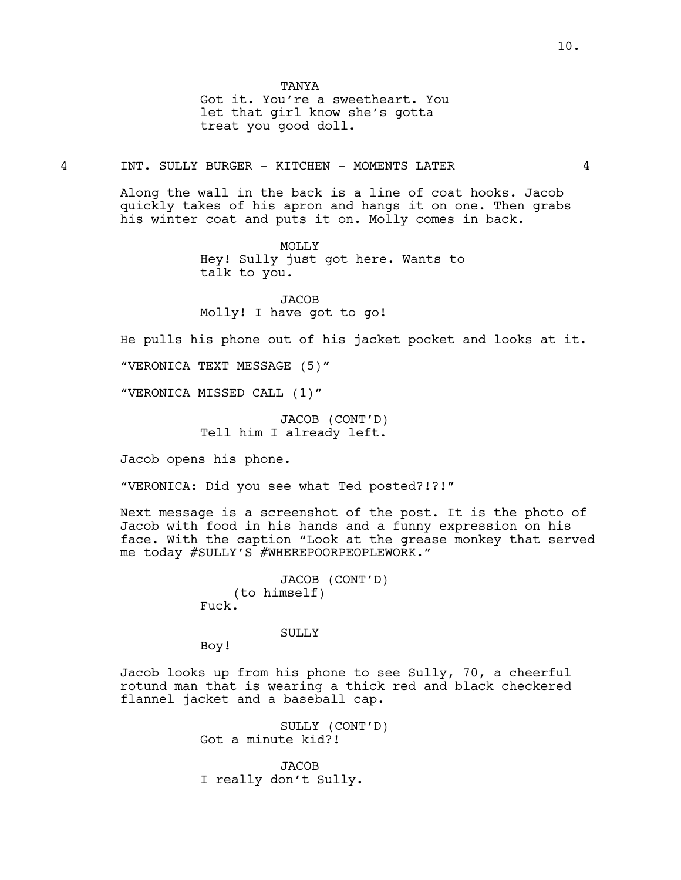Got it. You're a sweetheart. You let that girl know she's gotta treat you good doll.

4 INT. SULLY BURGER - KITCHEN - MOMENTS LATER 4

Along the wall in the back is a line of coat hooks. Jacob quickly takes of his apron and hangs it on one. Then grabs his winter coat and puts it on. Molly comes in back.

> MOLLY Hey! Sully just got here. Wants to talk to you.

JACOB Molly! I have got to go!

He pulls his phone out of his jacket pocket and looks at it.

"VERONICA TEXT MESSAGE (5)"

"VERONICA MISSED CALL (1)"

JACOB (CONT'D) Tell him I already left.

Jacob opens his phone.

"VERONICA: Did you see what Ted posted?!?!"

Next message is a screenshot of the post. It is the photo of Jacob with food in his hands and a funny expression on his face. With the caption "Look at the grease monkey that served me today #SULLY'S #WHEREPOORPEOPLEWORK."

> JACOB (CONT'D) (to himself) Fuck.

> > SULLY

Boy!

Jacob looks up from his phone to see Sully, 70, a cheerful rotund man that is wearing a thick red and black checkered flannel jacket and a baseball cap.

> SULLY (CONT'D) Got a minute kid?!

JACOB I really don't Sully.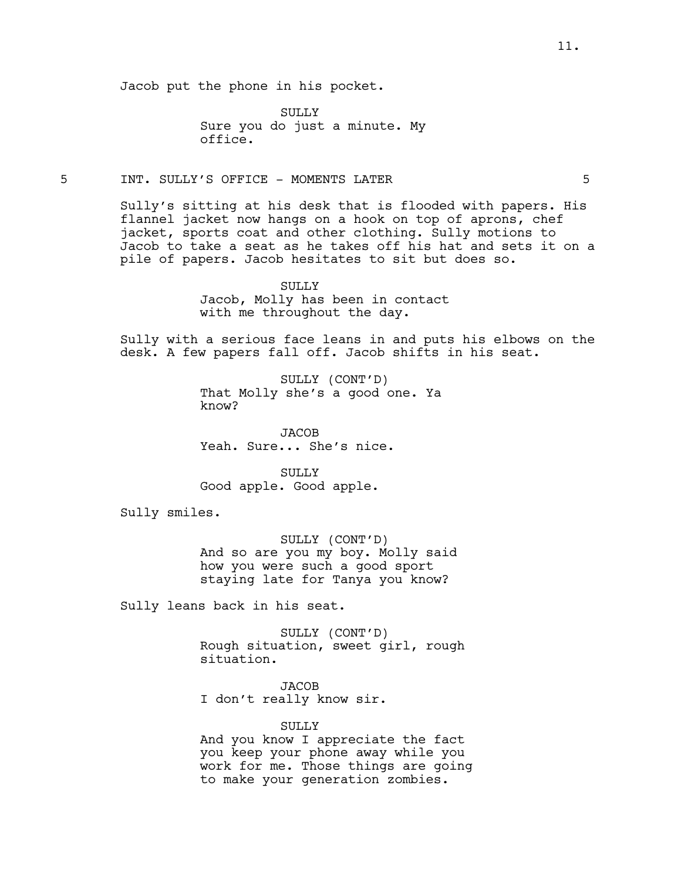Jacob put the phone in his pocket.

SULLY Sure you do just a minute. My office.

### 5 INT. SULLY'S OFFICE - MOMENTS LATER 5

Sully's sitting at his desk that is flooded with papers. His flannel jacket now hangs on a hook on top of aprons, chef jacket, sports coat and other clothing. Sully motions to Jacob to take a seat as he takes off his hat and sets it on a pile of papers. Jacob hesitates to sit but does so.

> SULLY Jacob, Molly has been in contact with me throughout the day.

Sully with a serious face leans in and puts his elbows on the desk. A few papers fall off. Jacob shifts in his seat.

> SULLY (CONT'D) That Molly she's a good one. Ya know?

JACOB Yeah. Sure... She's nice.

SULLY Good apple. Good apple.

Sully smiles.

SULLY (CONT'D) And so are you my boy. Molly said how you were such a good sport staying late for Tanya you know?

Sully leans back in his seat.

SULLY (CONT'D) Rough situation, sweet girl, rough situation.

**JACOB** I don't really know sir.

SULLY And you know I appreciate the fact you keep your phone away while you work for me. Those things are going to make your generation zombies.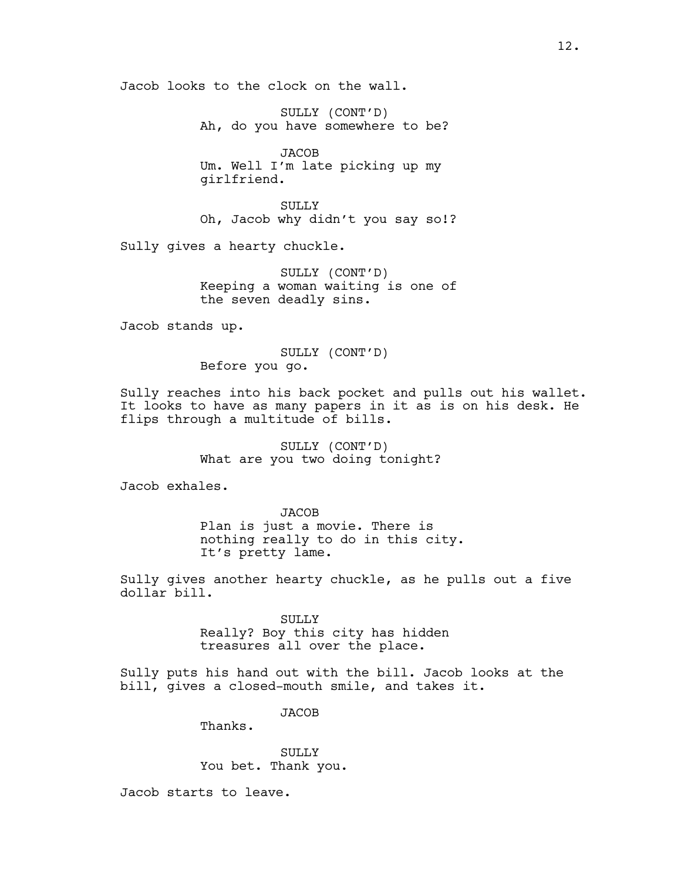Jacob looks to the clock on the wall.

SULLY (CONT'D) Ah, do you have somewhere to be?

**JACOB** Um. Well I'm late picking up my girlfriend.

SULLY Oh, Jacob why didn't you say so!?

Sully gives a hearty chuckle.

SULLY (CONT'D) Keeping a woman waiting is one of the seven deadly sins.

Jacob stands up.

SULLY (CONT'D) Before you go.

Sully reaches into his back pocket and pulls out his wallet. It looks to have as many papers in it as is on his desk. He flips through a multitude of bills.

> SULLY (CONT'D) What are you two doing tonight?

Jacob exhales.

**JACOB** Plan is just a movie. There is nothing really to do in this city. It's pretty lame.

Sully gives another hearty chuckle, as he pulls out a five dollar bill.

> SULLY Really? Boy this city has hidden treasures all over the place.

Sully puts his hand out with the bill. Jacob looks at the bill, gives a closed-mouth smile, and takes it.

JACOB

Thanks.

SULLY You bet. Thank you.

Jacob starts to leave.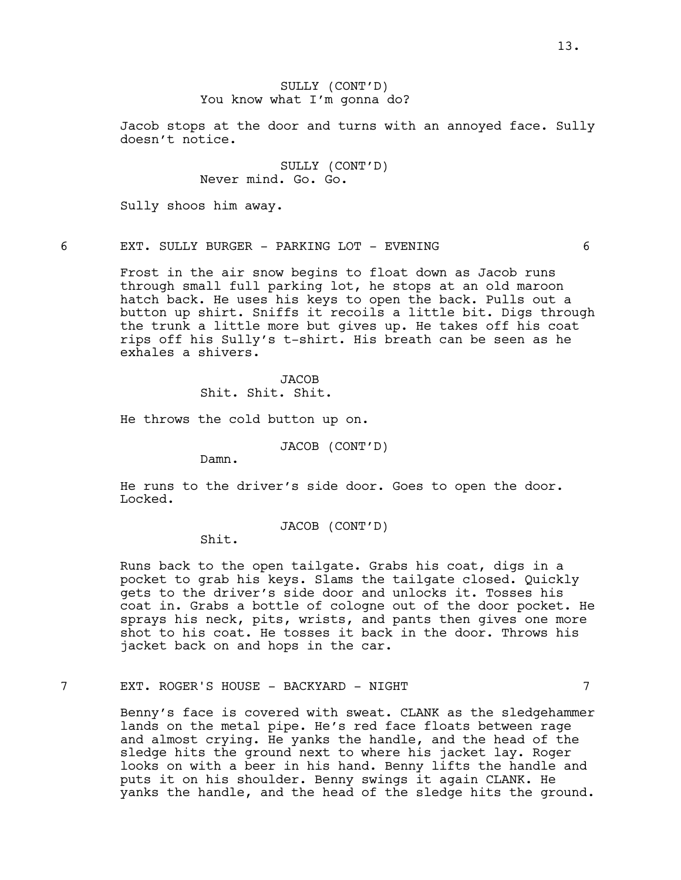# SULLY (CONT'D) You know what I'm gonna do?

Jacob stops at the door and turns with an annoyed face. Sully doesn't notice.

> SULLY (CONT'D) Never mind. Go. Go.

Sully shoos him away.

6 EXT. SULLY BURGER - PARKING LOT - EVENING 6

Frost in the air snow begins to float down as Jacob runs through small full parking lot, he stops at an old maroon hatch back. He uses his keys to open the back. Pulls out a button up shirt. Sniffs it recoils a little bit. Digs through the trunk a little more but gives up. He takes off his coat rips off his Sully's t-shirt. His breath can be seen as he exhales a shivers.

> **JACOB** Shit. Shit. Shit.

He throws the cold button up on.

JACOB (CONT'D)

Damn.

He runs to the driver's side door. Goes to open the door. Locked.

JACOB (CONT'D)

Shit.

Runs back to the open tailgate. Grabs his coat, digs in a pocket to grab his keys. Slams the tailgate closed. Quickly gets to the driver's side door and unlocks it. Tosses his coat in. Grabs a bottle of cologne out of the door pocket. He sprays his neck, pits, wrists, and pants then gives one more shot to his coat. He tosses it back in the door. Throws his jacket back on and hops in the car.

# 7 EXT. ROGER'S HOUSE - BACKYARD - NIGHT 7

Benny's face is covered with sweat. CLANK as the sledgehammer lands on the metal pipe. He's red face floats between rage and almost crying. He yanks the handle, and the head of the sledge hits the ground next to where his jacket lay. Roger looks on with a beer in his hand. Benny lifts the handle and puts it on his shoulder. Benny swings it again CLANK. He yanks the handle, and the head of the sledge hits the ground.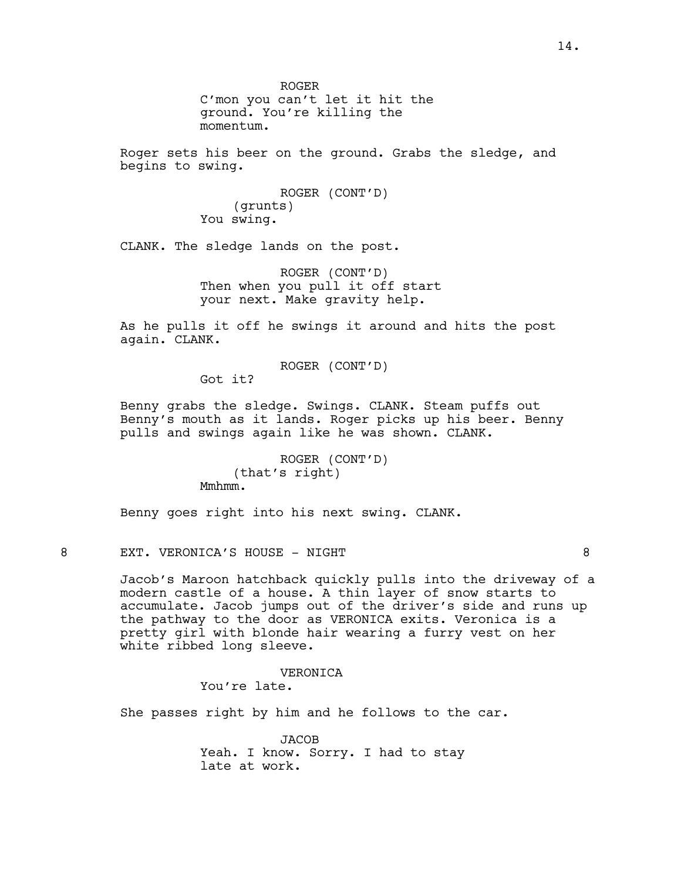ROGER C'mon you can't let it hit the ground. You're killing the momentum.

Roger sets his beer on the ground. Grabs the sledge, and begins to swing.

> ROGER (CONT'D) (grunts) You swing.

CLANK. The sledge lands on the post.

ROGER (CONT'D) Then when you pull it off start your next. Make gravity help.

As he pulls it off he swings it around and hits the post again. CLANK.

ROGER (CONT'D)

Got it?

Benny grabs the sledge. Swings. CLANK. Steam puffs out Benny's mouth as it lands. Roger picks up his beer. Benny pulls and swings again like he was shown. CLANK.

> ROGER (CONT'D) (that's right) Mmhmm.

Benny goes right into his next swing. CLANK.

8 EXT. VERONICA'S HOUSE - NIGHT SALL AND THE SEXT.

Jacob's Maroon hatchback quickly pulls into the driveway of a modern castle of a house. A thin layer of snow starts to accumulate. Jacob jumps out of the driver's side and runs up the pathway to the door as VERONICA exits. Veronica is a pretty girl with blonde hair wearing a furry vest on her white ribbed long sleeve.

> VERONICA You're late.

She passes right by him and he follows to the car.

JACOB Yeah. I know. Sorry. I had to stay late at work.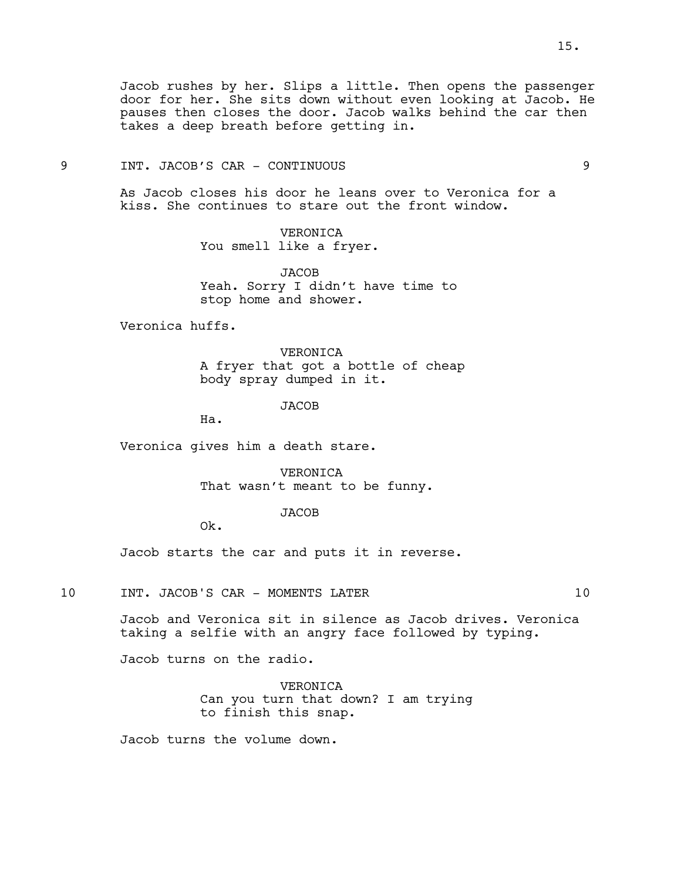# 9 INT. JACOB'S CAR - CONTINUOUS 9

As Jacob closes his door he leans over to Veronica for a kiss. She continues to stare out the front window.

> VERONICA You smell like a fryer.

JACOB Yeah. Sorry I didn't have time to stop home and shower.

Veronica huffs.

VERONICA A fryer that got a bottle of cheap body spray dumped in it.

**JACOB** 

Ha.

Veronica gives him a death stare.

VERONICA That wasn't meant to be funny.

# JACOB

Ok.

Jacob starts the car and puts it in reverse.

10 INT. JACOB'S CAR - MOMENTS LATER 10

Jacob and Veronica sit in silence as Jacob drives. Veronica taking a selfie with an angry face followed by typing.

Jacob turns on the radio.

VERONICA Can you turn that down? I am trying to finish this snap.

Jacob turns the volume down.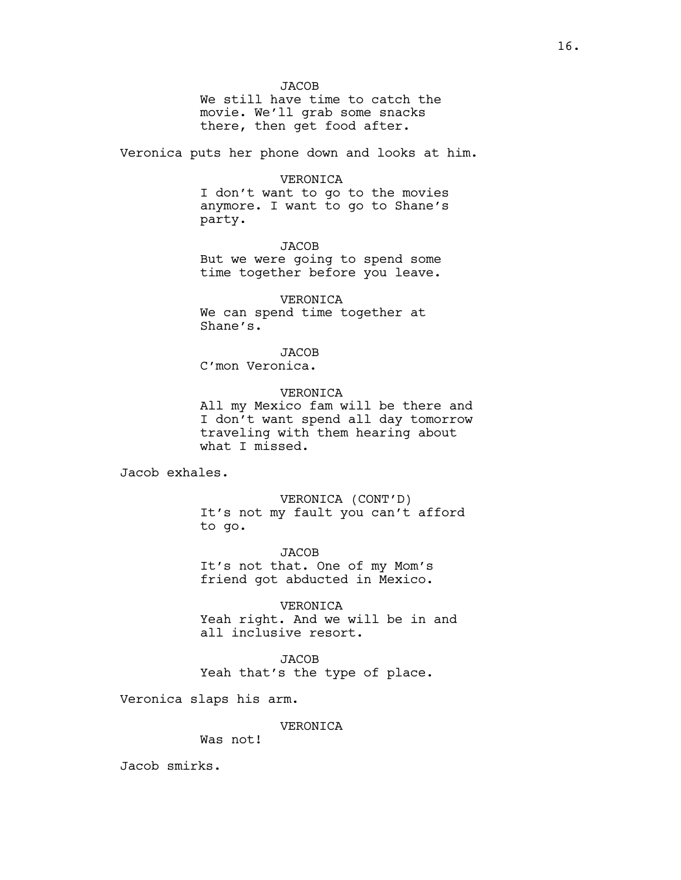**JACOB** 

We still have time to catch the movie. We'll grab some snacks there, then get food after.

Veronica puts her phone down and looks at him.

### VERONICA

I don't want to go to the movies anymore. I want to go to Shane's party.

**JACOB** But we were going to spend some time together before you leave.

VERONICA We can spend time together at Shane's.

JACOB

C'mon Veronica.

VERONICA

All my Mexico fam will be there and I don't want spend all day tomorrow traveling with them hearing about what I missed.

Jacob exhales.

VERONICA (CONT'D) It's not my fault you can't afford to go.

**JACOB** It's not that. One of my Mom's friend got abducted in Mexico.

VERONICA Yeah right. And we will be in and all inclusive resort.

JACOB Yeah that's the type of place.

Veronica slaps his arm.

VERONICA

Was not!

Jacob smirks.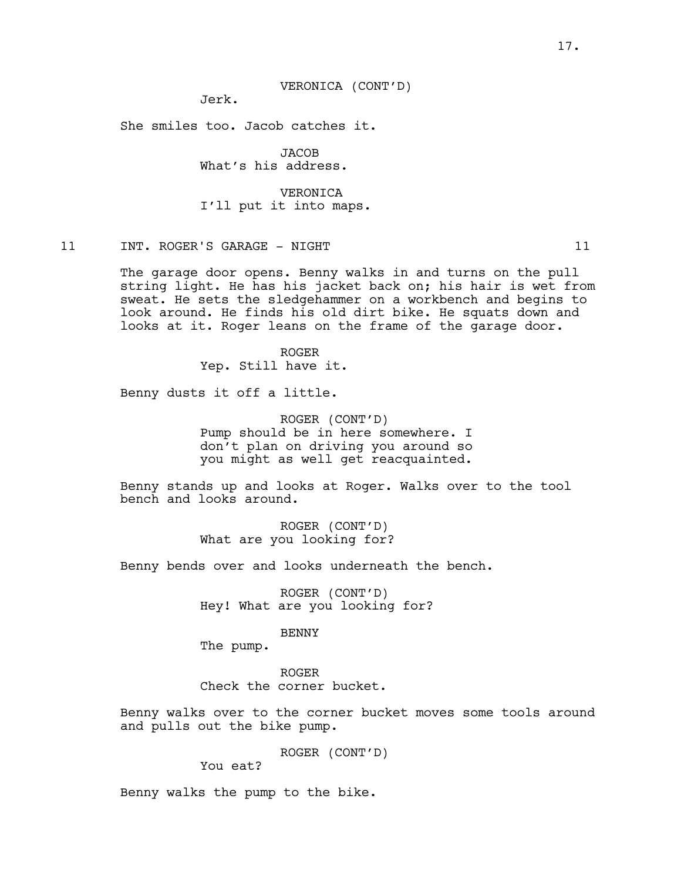VERONICA (CONT'D)

Jerk.

She smiles too. Jacob catches it.

JACOB What's his address.

VERONICA I'll put it into maps.

# 11 INT. ROGER'S GARAGE - NIGHT 11

The garage door opens. Benny walks in and turns on the pull string light. He has his jacket back on; his hair is wet from sweat. He sets the sledgehammer on a workbench and begins to look around. He finds his old dirt bike. He squats down and looks at it. Roger leans on the frame of the garage door.

> ROGER Yep. Still have it.

Benny dusts it off a little.

ROGER (CONT'D) Pump should be in here somewhere. I don't plan on driving you around so you might as well get reacquainted.

Benny stands up and looks at Roger. Walks over to the tool bench and looks around.

> ROGER (CONT'D) What are you looking for?

Benny bends over and looks underneath the bench.

ROGER (CONT'D) Hey! What are you looking for?

### BENNY

The pump.

ROGER Check the corner bucket.

Benny walks over to the corner bucket moves some tools around and pulls out the bike pump.

ROGER (CONT'D)

You eat?

Benny walks the pump to the bike.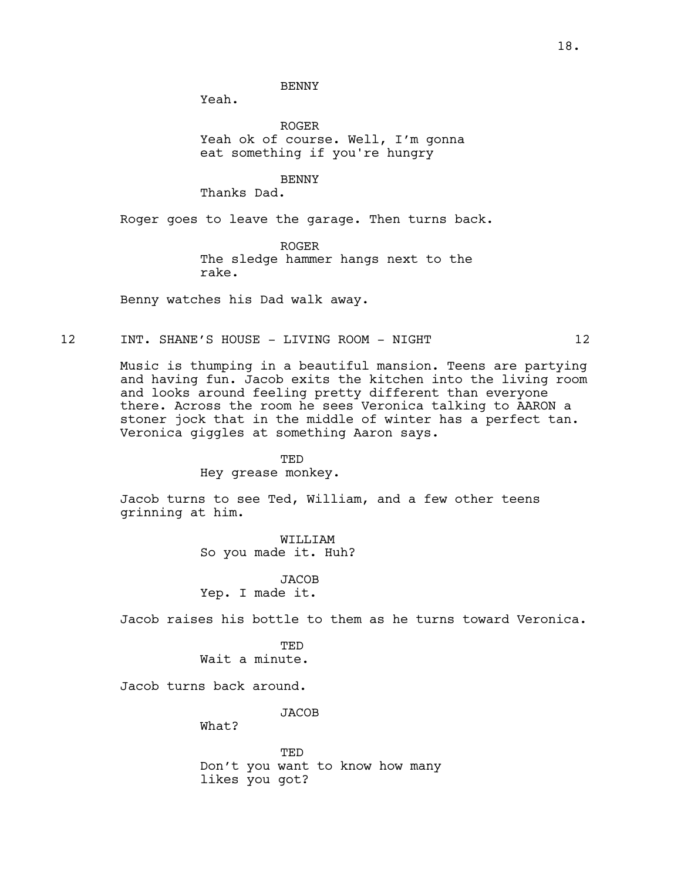BENNY

Yeah.

ROGER Yeah ok of course. Well, I'm gonna eat something if you're hungry

BENNY

Thanks Dad.

Roger goes to leave the garage. Then turns back.

ROGER The sledge hammer hangs next to the rake.

Benny watches his Dad walk away.

# 12 INT. SHANE'S HOUSE - LIVING ROOM - NIGHT 12

Music is thumping in a beautiful mansion. Teens are partying and having fun. Jacob exits the kitchen into the living room and looks around feeling pretty different than everyone there. Across the room he sees Veronica talking to AARON a stoner jock that in the middle of winter has a perfect tan. Veronica giggles at something Aaron says.

> TED Hey grease monkey.

Jacob turns to see Ted, William, and a few other teens grinning at him.

> WILLIAM So you made it. Huh?

**JACOB** Yep. I made it.

Jacob raises his bottle to them as he turns toward Veronica.

**TED** Wait a minute.

Jacob turns back around.

JACOB

What?

TED Don't you want to know how many likes you got?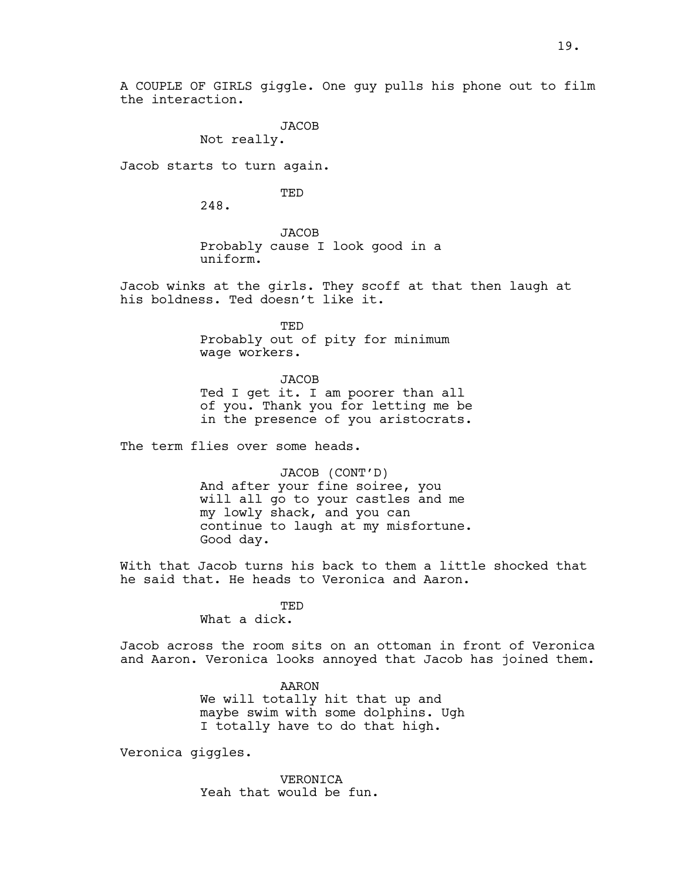A COUPLE OF GIRLS giggle. One guy pulls his phone out to film the interaction.

JACOB

Not really.

Jacob starts to turn again.

TED

248.

JACOB Probably cause I look good in a uniform.

Jacob winks at the girls. They scoff at that then laugh at his boldness. Ted doesn't like it.

> TED Probably out of pity for minimum wage workers.

**JACOB** Ted I get it. I am poorer than all of you. Thank you for letting me be in the presence of you aristocrats.

The term flies over some heads.

JACOB (CONT'D) And after your fine soiree, you will all go to your castles and me my lowly shack, and you can continue to laugh at my misfortune. Good day.

With that Jacob turns his back to them a little shocked that he said that. He heads to Veronica and Aaron.

> TED What a dick.

Jacob across the room sits on an ottoman in front of Veronica and Aaron. Veronica looks annoyed that Jacob has joined them.

> AARON We will totally hit that up and maybe swim with some dolphins. Ugh I totally have to do that high.

Veronica giggles.

VERONICA Yeah that would be fun.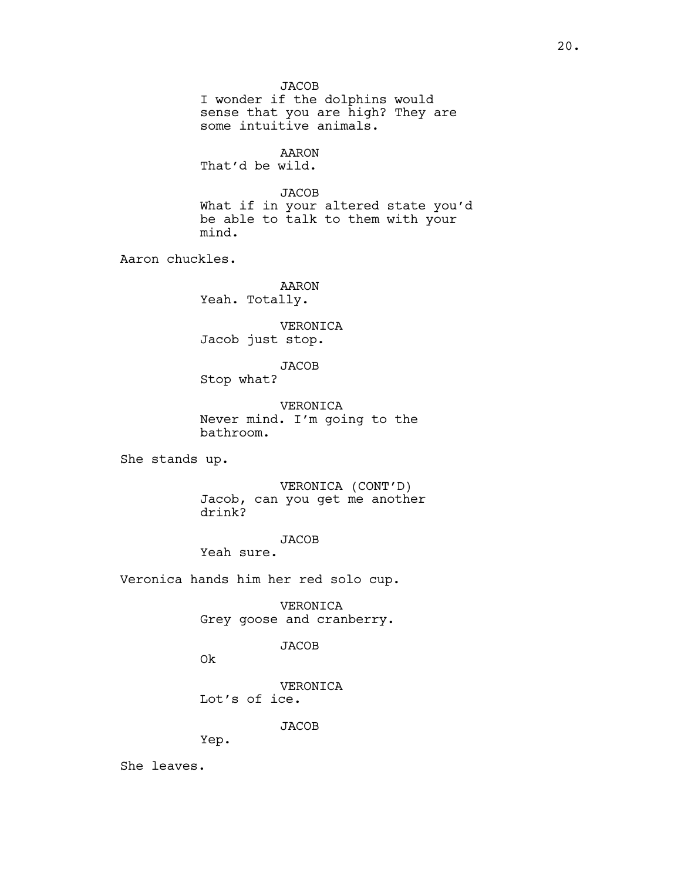**JACOB** I wonder if the dolphins would sense that you are high? They are some intuitive animals. AARON That'd be wild. **JACOB** What if in your altered state you'd be able to talk to them with your mind. Aaron chuckles. AARON Yeah. Totally. VERONICA Jacob just stop. JACOB Stop what? VERONICA Never mind. I'm going to the bathroom. She stands up. VERONICA (CONT'D) Jacob, can you get me another drink? JACOB Yeah sure. Veronica hands him her red solo cup. VERONICA Grey goose and cranberry. JACOB Ok

> VERONICA Lot's of ice.

> > JACOB

Yep.

She leaves.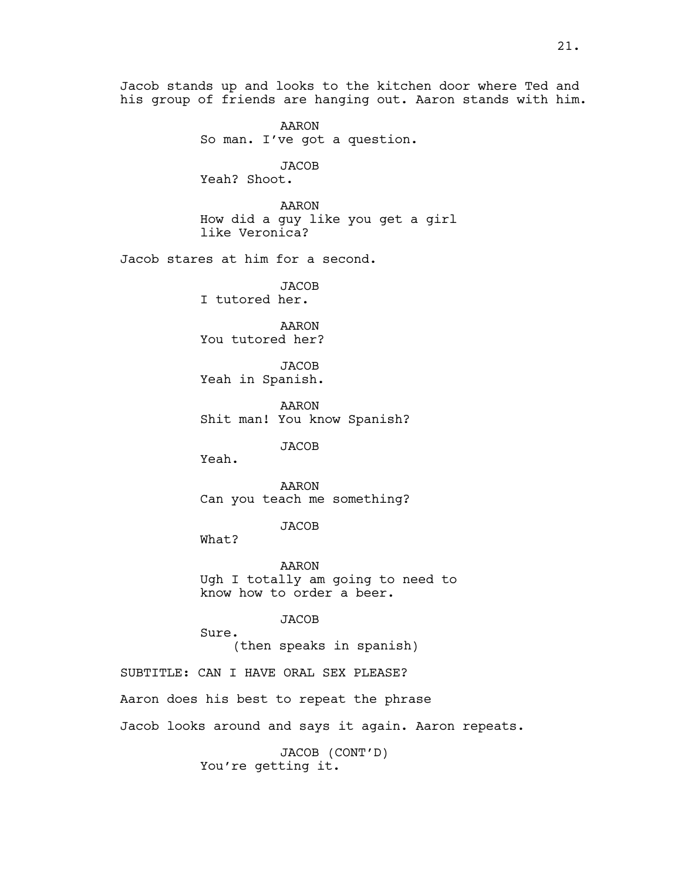Jacob stands up and looks to the kitchen door where Ted and his group of friends are hanging out. Aaron stands with him.

> AARON So man. I've got a question.

JACOB Yeah? Shoot.

AARON How did a guy like you get a girl like Veronica?

Jacob stares at him for a second.

JACOB I tutored her.

AARON You tutored her?

JACOB Yeah in Spanish.

AARON Shit man! You know Spanish?

JACOB

Yeah.

AARON Can you teach me something?

JACOB

What?

AARON Ugh I totally am going to need to know how to order a beer.

JACOB

Sure. (then speaks in spanish)

SUBTITLE: CAN I HAVE ORAL SEX PLEASE?

Aaron does his best to repeat the phrase

Jacob looks around and says it again. Aaron repeats.

JACOB (CONT'D) You're getting it.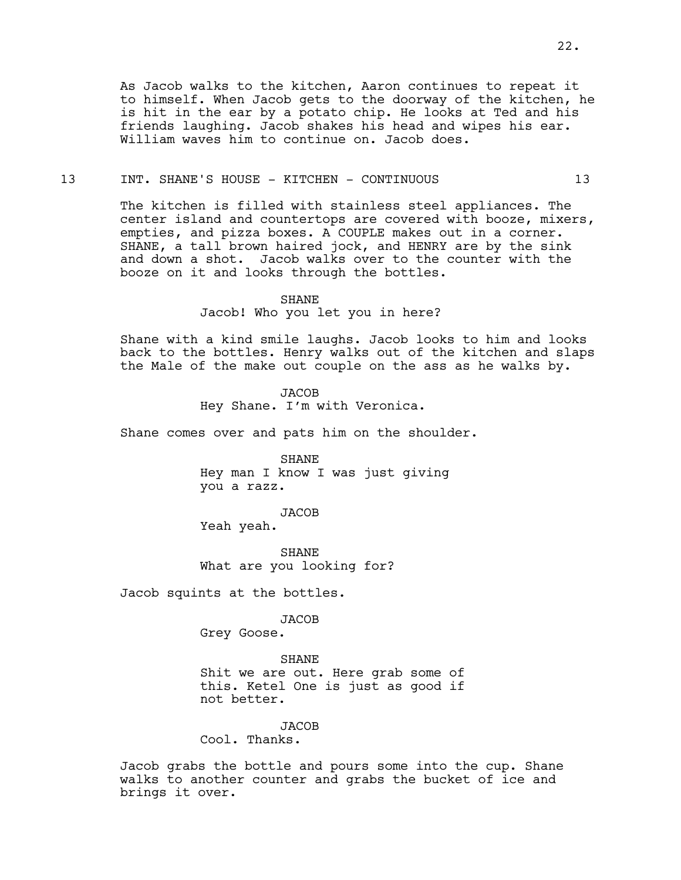As Jacob walks to the kitchen, Aaron continues to repeat it to himself. When Jacob gets to the doorway of the kitchen, he is hit in the ear by a potato chip. He looks at Ted and his friends laughing. Jacob shakes his head and wipes his ear. William waves him to continue on. Jacob does.

### 13 INT. SHANE'S HOUSE - KITCHEN - CONTINUOUS 13

The kitchen is filled with stainless steel appliances. The center island and countertops are covered with booze, mixers, empties, and pizza boxes. A COUPLE makes out in a corner. SHANE, a tall brown haired jock, and HENRY are by the sink and down a shot. Jacob walks over to the counter with the booze on it and looks through the bottles.

#### SHANE

Jacob! Who you let you in here?

Shane with a kind smile laughs. Jacob looks to him and looks back to the bottles. Henry walks out of the kitchen and slaps the Male of the make out couple on the ass as he walks by.

> JACOB Hey Shane. I'm with Veronica.

Shane comes over and pats him on the shoulder.

SHANE Hey man I know I was just giving you a razz.

JACOB Yeah yeah.

SHANE What are you looking for?

Jacob squints at the bottles.

JACOB

Grey Goose.

# SHANE

Shit we are out. Here grab some of this. Ketel One is just as good if not better.

### JACOB

Cool. Thanks.

Jacob grabs the bottle and pours some into the cup. Shane walks to another counter and grabs the bucket of ice and brings it over.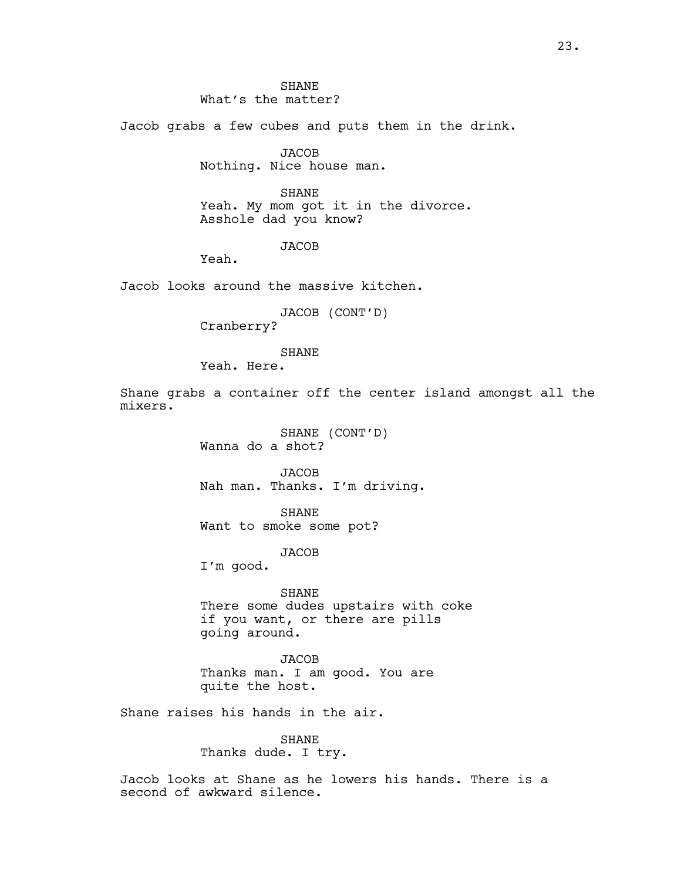Jacob grabs a few cubes and puts them in the drink.

**JACOB** Nothing. Nice house man.

SHANE Yeah. My mom got it in the divorce. Asshole dad you know?

# **JACOB**

Yeah.

Jacob looks around the massive kitchen.

JACOB (CONT'D)

Cranberry?

# **SHANE**

Yeah. Here.

Shane grabs a container off the center island amongst all the mixers.

> SHANE (CONT'D) Wanna do a shot?

JACOB Nah man. Thanks. I'm driving.

SHANE Want to smoke some pot?

JACOB

I'm good.

SHANE There some dudes upstairs with coke if you want, or there are pills going around.

JACOB Thanks man. I am good. You are quite the host.

Shane raises his hands in the air.

SHANE Thanks dude. I try.

Jacob looks at Shane as he lowers his hands. There is a second of awkward silence.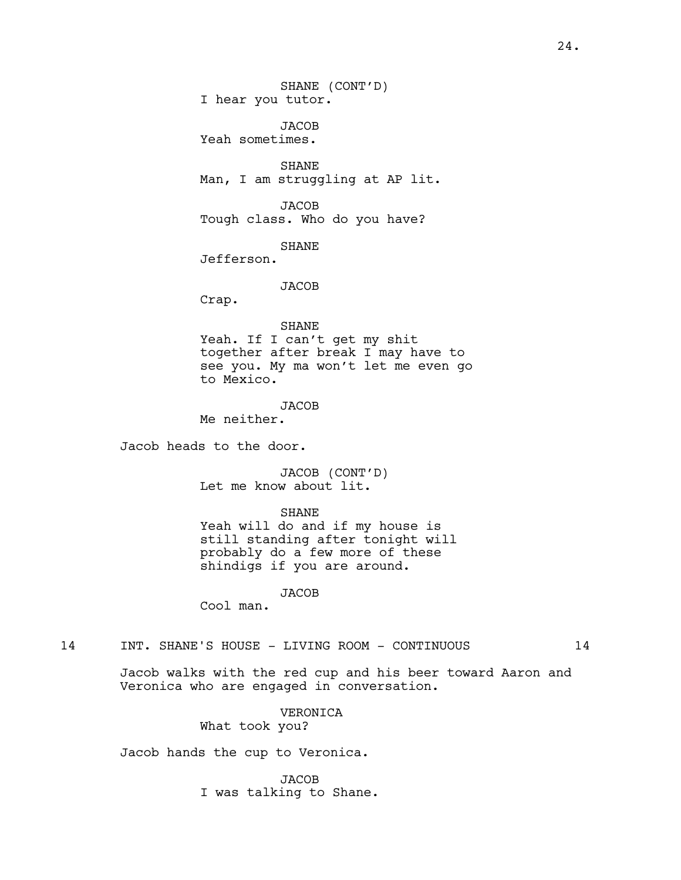JACOB Yeah sometimes.

SHANE Man, I am struggling at AP lit.

JACOB Tough class. Who do you have?

SHANE

Jefferson.

**JACOB** 

Crap.

SHANE

Yeah. If I can't get my shit together after break I may have to see you. My ma won't let me even go to Mexico.

**JACOB** Me neither.

Jacob heads to the door.

JACOB (CONT'D) Let me know about lit.

SHANE

Yeah will do and if my house is still standing after tonight will probably do a few more of these shindigs if you are around.

JACOB

Cool man.

14 INT. SHANE'S HOUSE - LIVING ROOM - CONTINUOUS 14

Jacob walks with the red cup and his beer toward Aaron and Veronica who are engaged in conversation.

> VERONICA What took you?

Jacob hands the cup to Veronica.

**JACOB** I was talking to Shane.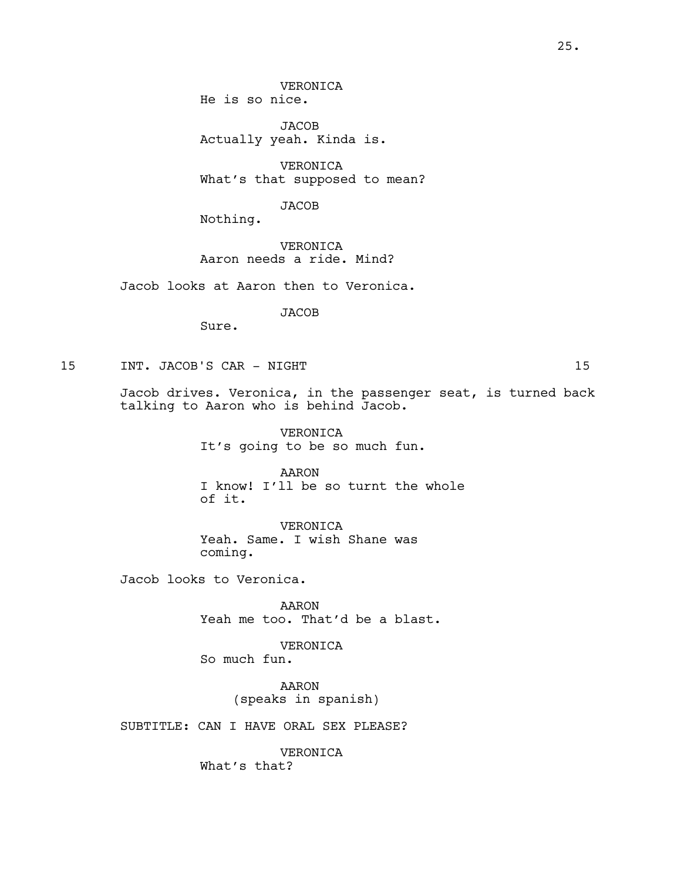JACOB Actually yeah. Kinda is.

VERONICA What's that supposed to mean?

JACOB

Nothing.

VERONICA Aaron needs a ride. Mind?

Jacob looks at Aaron then to Veronica.

JACOB

Sure.

15 INT. JACOB'S CAR - NIGHT 15

Jacob drives. Veronica, in the passenger seat, is turned back talking to Aaron who is behind Jacob.

> VERONICA It's going to be so much fun.

AARON I know! I'll be so turnt the whole of it.

VERONICA Yeah. Same. I wish Shane was coming.

Jacob looks to Veronica.

AARON Yeah me too. That'd be a blast.

VERONICA

So much fun.

AARON (speaks in spanish)

SUBTITLE: CAN I HAVE ORAL SEX PLEASE?

VERONICA What's that?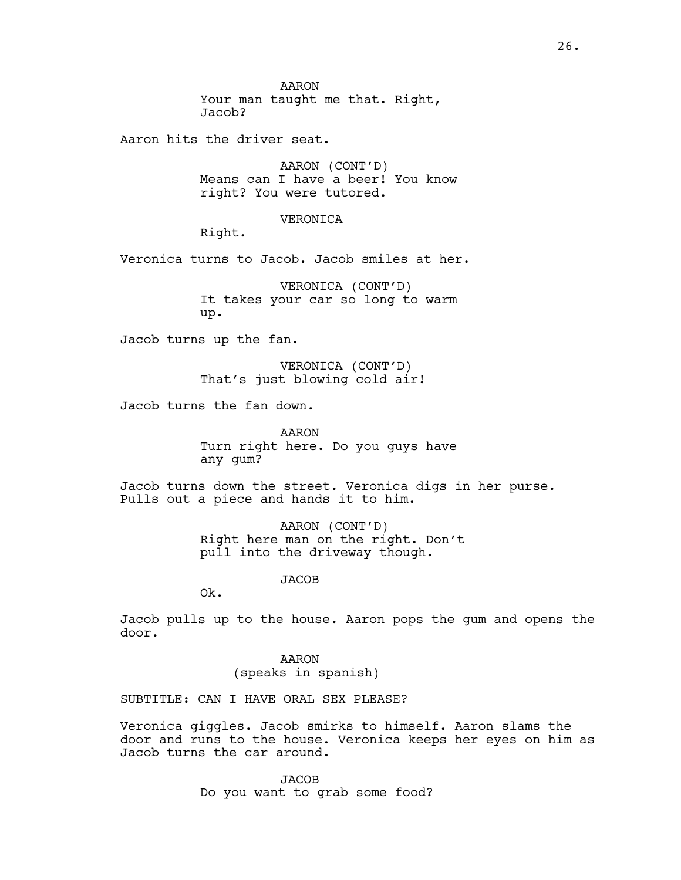AARON Your man taught me that. Right, Jacob?

Aaron hits the driver seat.

AARON (CONT'D) Means can I have a beer! You know right? You were tutored.

VERONICA

Right.

Veronica turns to Jacob. Jacob smiles at her.

VERONICA (CONT'D) It takes your car so long to warm up.

Jacob turns up the fan.

VERONICA (CONT'D) That's just blowing cold air!

Jacob turns the fan down.

AARON Turn right here. Do you guys have any gum?

Jacob turns down the street. Veronica digs in her purse. Pulls out a piece and hands it to him.

> AARON (CONT'D) Right here man on the right. Don't pull into the driveway though.

> > **JACOB**

Ok.

Jacob pulls up to the house. Aaron pops the gum and opens the door.

> AARON (speaks in spanish)

SUBTITLE: CAN I HAVE ORAL SEX PLEASE?

Veronica giggles. Jacob smirks to himself. Aaron slams the door and runs to the house. Veronica keeps her eyes on him as Jacob turns the car around.

> JACOB Do you want to grab some food?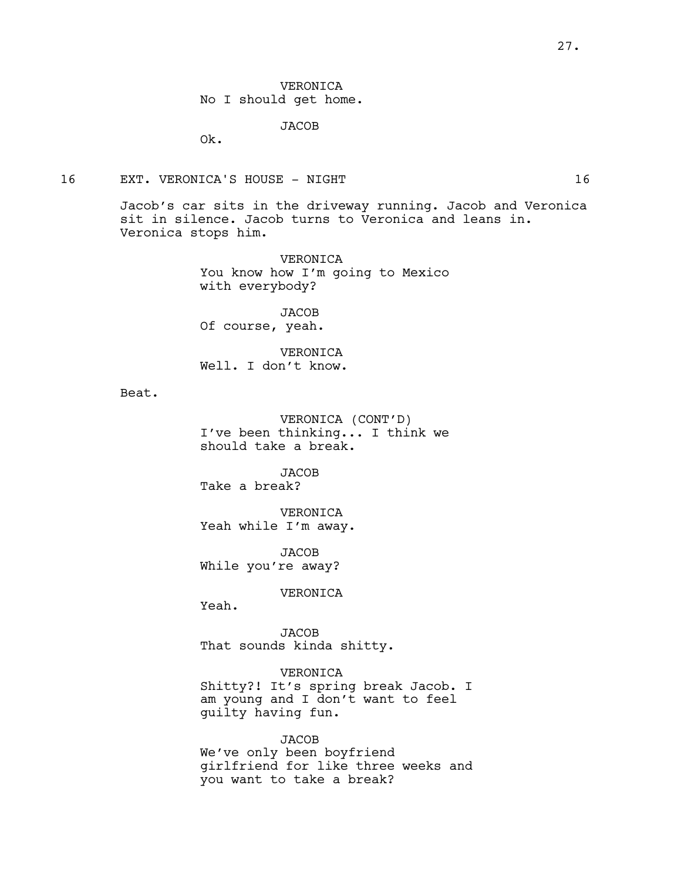VERONICA No I should get home.

JACOB

Ok.

### 16 EXT. VERONICA'S HOUSE - NIGHT 16

Jacob's car sits in the driveway running. Jacob and Veronica sit in silence. Jacob turns to Veronica and leans in. Veronica stops him.

> VERONICA You know how I'm going to Mexico with everybody?

JACOB Of course, yeah.

VERONICA Well. I don't know.

Beat.

VERONICA (CONT'D) I've been thinking... I think we should take a break.

JACOB Take a break?

VERONICA Yeah while I'm away.

**JACOB** While you're away?

VERONICA

Yeah.

JACOB That sounds kinda shitty.

VERONICA Shitty?! It's spring break Jacob. I am young and I don't want to feel guilty having fun.

JACOB We've only been boyfriend girlfriend for like three weeks and you want to take a break?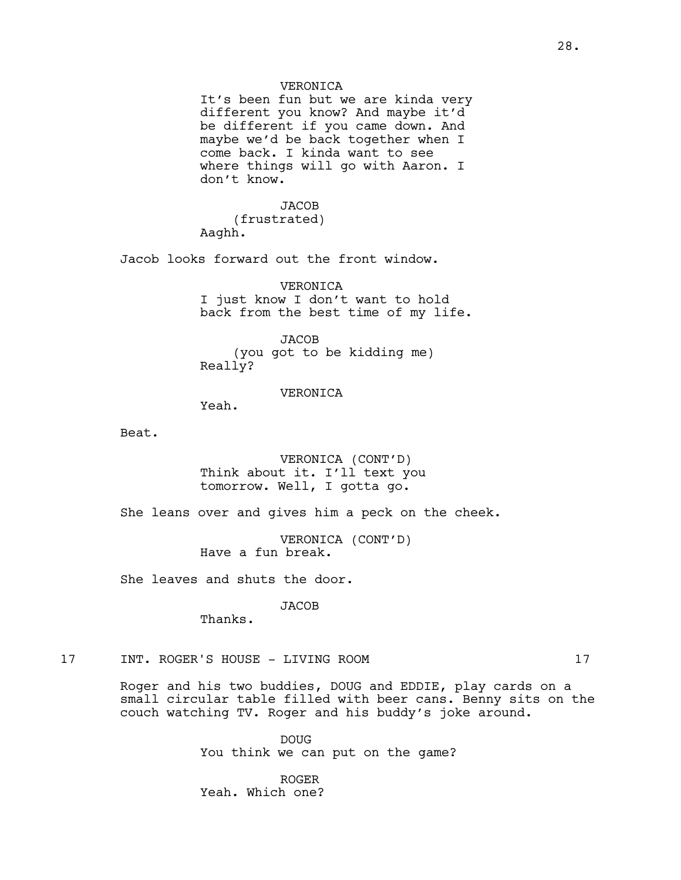# VERONICA

It's been fun but we are kinda very different you know? And maybe it'd be different if you came down. And maybe we'd be back together when I come back. I kinda want to see where things will go with Aaron. I don't know.

# **JACOB**

(frustrated) Aaghh.

Jacob looks forward out the front window.

VERONICA I just know I don't want to hold back from the best time of my life.

**JACOB** (you got to be kidding me) Really?

### VERONICA

Yeah.

Beat.

VERONICA (CONT'D) Think about it. I'll text you tomorrow. Well, I gotta go.

She leans over and gives him a peck on the cheek.

VERONICA (CONT'D) Have a fun break.

She leaves and shuts the door.

JACOB

Thanks.

# 17 INT. ROGER'S HOUSE - LIVING ROOM 17

Roger and his two buddies, DOUG and EDDIE, play cards on a small circular table filled with beer cans. Benny sits on the couch watching TV. Roger and his buddy's joke around.

> DOUG You think we can put on the game?

ROGER Yeah. Which one?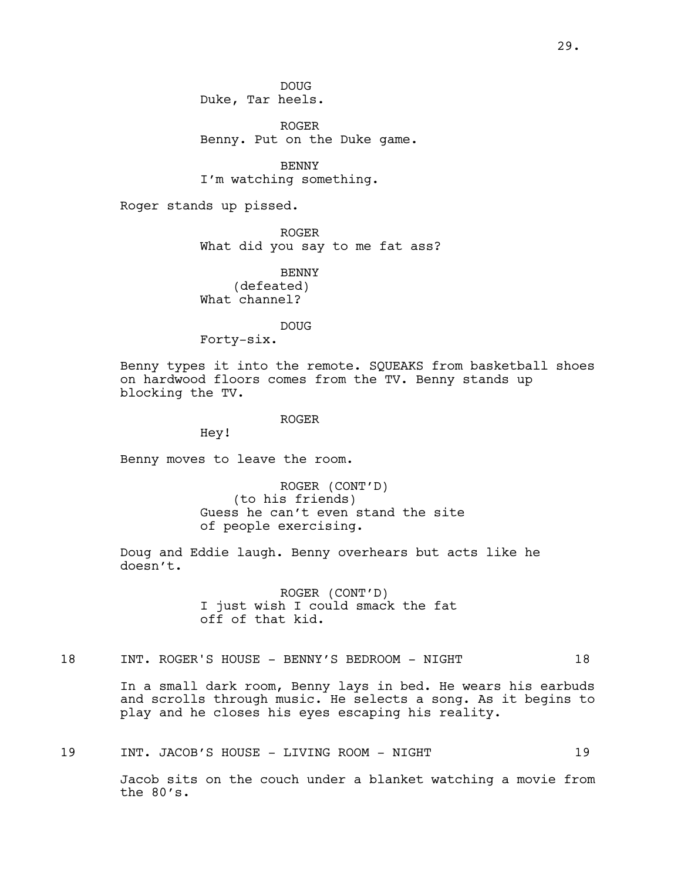DOUG Duke, Tar heels.

ROGER Benny. Put on the Duke game.

BENNY I'm watching something.

Roger stands up pissed.

ROGER What did you say to me fat ass?

BENNY (defeated) What channel?

DOUG

Forty-six.

Benny types it into the remote. SQUEAKS from basketball shoes on hardwood floors comes from the TV. Benny stands up blocking the TV.

ROGER

Hey!

Benny moves to leave the room.

ROGER (CONT'D) (to his friends) Guess he can't even stand the site of people exercising.

Doug and Eddie laugh. Benny overhears but acts like he doesn't.

> ROGER (CONT'D) I just wish I could smack the fat off of that kid.

# 18 INT. ROGER'S HOUSE - BENNY'S BEDROOM - NIGHT 18

In a small dark room, Benny lays in bed. He wears his earbuds and scrolls through music. He selects a song. As it begins to play and he closes his eyes escaping his reality.

19 INT. JACOB'S HOUSE - LIVING ROOM - NIGHT 19

Jacob sits on the couch under a blanket watching a movie from the 80's.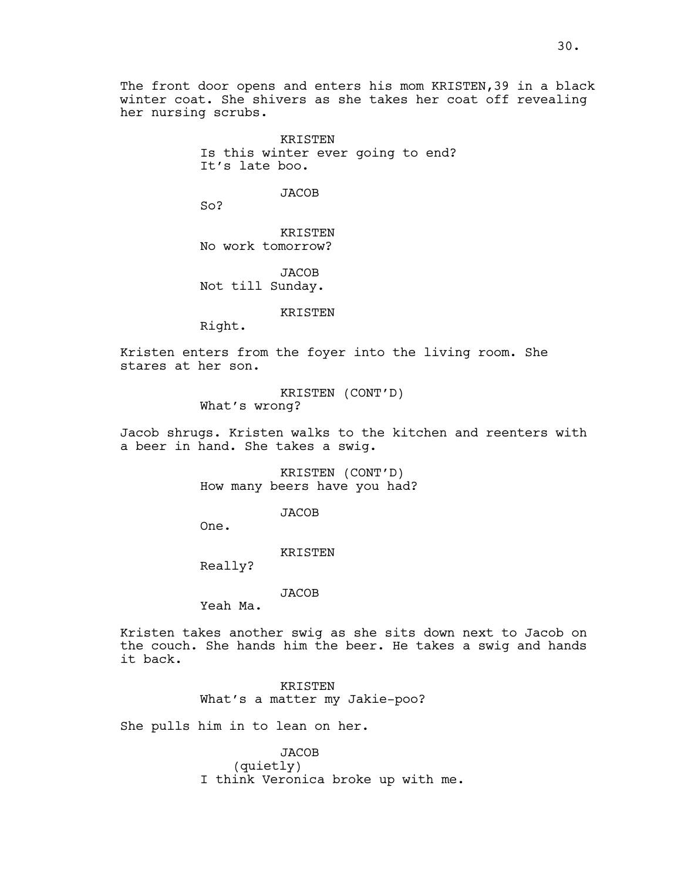The front door opens and enters his mom KRISTEN, 39 in a black winter coat. She shivers as she takes her coat off revealing her nursing scrubs.

> KRISTEN Is this winter ever going to end? It's late boo.

> > **JACOB**

So?

KRISTEN No work tomorrow?

JACOB Not till Sunday.

KRISTEN

Right.

Kristen enters from the foyer into the living room. She stares at her son.

> KRISTEN (CONT'D) What's wrong?

Jacob shrugs. Kristen walks to the kitchen and reenters with a beer in hand. She takes a swig.

> KRISTEN (CONT'D) How many beers have you had?

> > JACOB

One.

KRISTEN

Really?

JACOB

Yeah Ma.

Kristen takes another swig as she sits down next to Jacob on the couch. She hands him the beer. He takes a swig and hands it back.

> KRISTEN What's a matter my Jakie-poo?

She pulls him in to lean on her.

JACOB (quietly) I think Veronica broke up with me.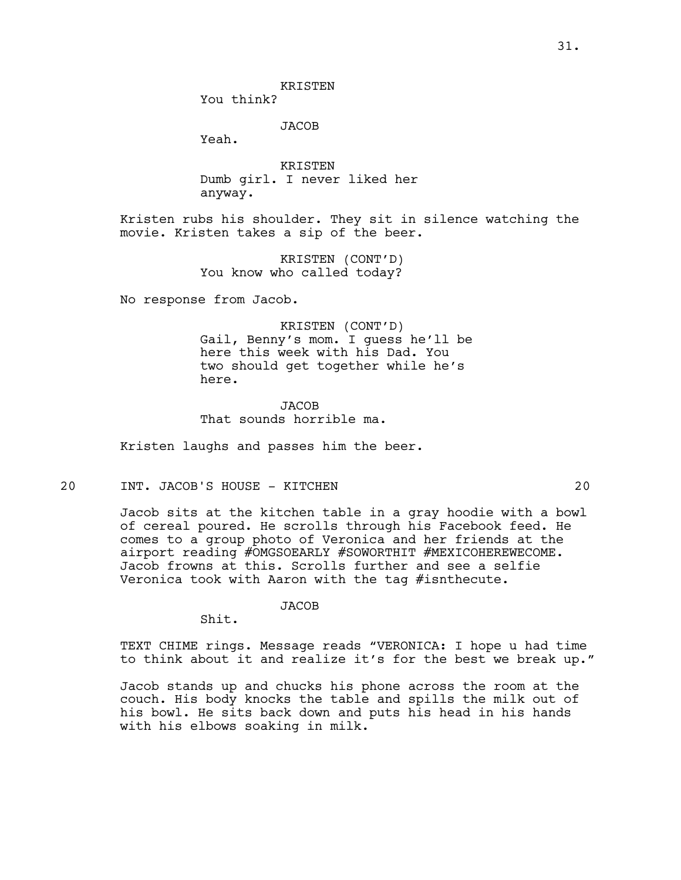You think?

**JACOB** 

Yeah.

KRISTEN Dumb girl. I never liked her anyway.

Kristen rubs his shoulder. They sit in silence watching the movie. Kristen takes a sip of the beer.

> KRISTEN (CONT'D) You know who called today?

No response from Jacob.

KRISTEN (CONT'D) Gail, Benny's mom. I guess he'll be here this week with his Dad. You two should get together while he's here.

**JACOB** That sounds horrible ma.

Kristen laughs and passes him the beer.

# 20 INT. JACOB'S HOUSE - KITCHEN 20

Jacob sits at the kitchen table in a gray hoodie with a bowl of cereal poured. He scrolls through his Facebook feed. He comes to a group photo of Veronica and her friends at the airport reading #OMGSOEARLY #SOWORTHIT #MEXICOHEREWECOME. Jacob frowns at this. Scrolls further and see a selfie Veronica took with Aaron with the tag #isnthecute.

JACOB

Shit.

TEXT CHIME rings. Message reads "VERONICA: I hope u had time to think about it and realize it's for the best we break up."

Jacob stands up and chucks his phone across the room at the couch. His body knocks the table and spills the milk out of his bowl. He sits back down and puts his head in his hands with his elbows soaking in milk.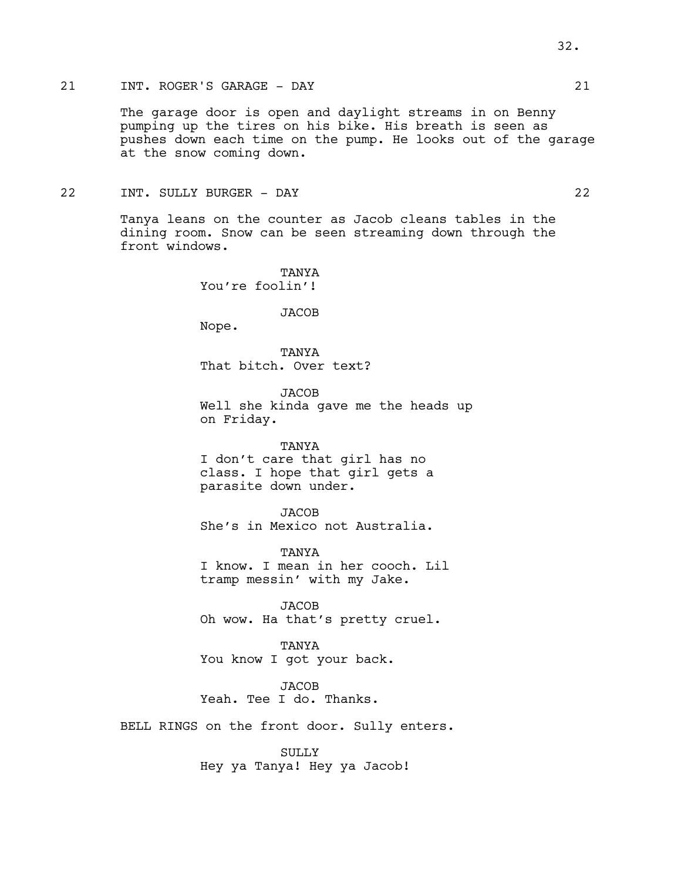# 21 INT. ROGER'S GARAGE - DAY 21

The garage door is open and daylight streams in on Benny pumping up the tires on his bike. His breath is seen as pushes down each time on the pump. He looks out of the garage at the snow coming down.

# 22 INT. SULLY BURGER - DAY 22

Tanya leans on the counter as Jacob cleans tables in the dining room. Snow can be seen streaming down through the front windows.

> TANYA You're foolin'!

> > JACOB

Nope.

TANYA That bitch. Over text?

JACOB Well she kinda gave me the heads up on Friday.

TANYA I don't care that girl has no class. I hope that girl gets a parasite down under.

JACOB She's in Mexico not Australia.

TANYA I know. I mean in her cooch. Lil tramp messin' with my Jake.

JACOB Oh wow. Ha that's pretty cruel.

TANYA You know I got your back.

**JACOB** Yeah. Tee I do. Thanks.

BELL RINGS on the front door. Sully enters.

SULLY Hey ya Tanya! Hey ya Jacob!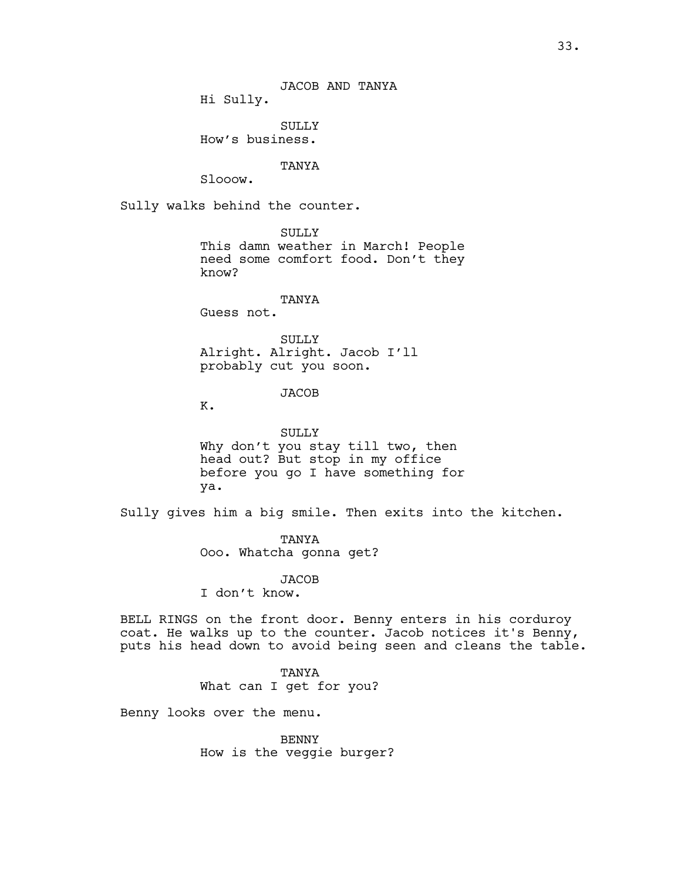Hi Sully.

SULLY How's business.

TANYA

Slooow.

Sully walks behind the counter.

SULLY This damn weather in March! People need some comfort food. Don't they know?

TANYA

Guess not.

SULLY Alright. Alright. Jacob I'll probably cut you soon.

**JACOB** 

K.

SULLY Why don't you stay till two, then head out? But stop in my office before you go I have something for ya.

Sully gives him a big smile. Then exits into the kitchen.

TANYA Ooo. Whatcha gonna get?

**JACOB** 

I don't know.

BELL RINGS on the front door. Benny enters in his corduroy coat. He walks up to the counter. Jacob notices it's Benny, puts his head down to avoid being seen and cleans the table.

TANYA

What can I get for you?

Benny looks over the menu.

BENNY How is the veggie burger?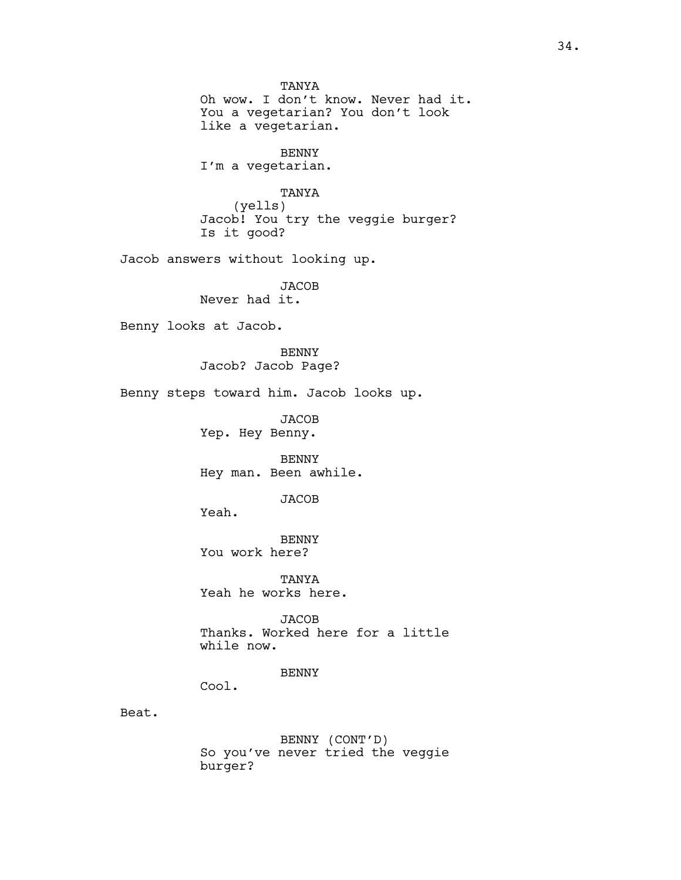**TANYA** Oh wow. I don't know. Never had it. You a vegetarian? You don't look like a vegetarian. BENNY I'm a vegetarian. TANYA (yells) Jacob! You try the veggie burger? Is it good? Jacob answers without looking up. JACOB Never had it. Benny looks at Jacob. BENNY Jacob? Jacob Page? Benny steps toward him. Jacob looks up. **JACOB** Yep. Hey Benny. BENNY Hey man. Been awhile. JACOB Yeah. BENNY You work here? TANYA Yeah he works here. JACOB Thanks. Worked here for a little while now. BENNY Cool. Beat. BENNY (CONT'D) So you've never tried the veggie burger?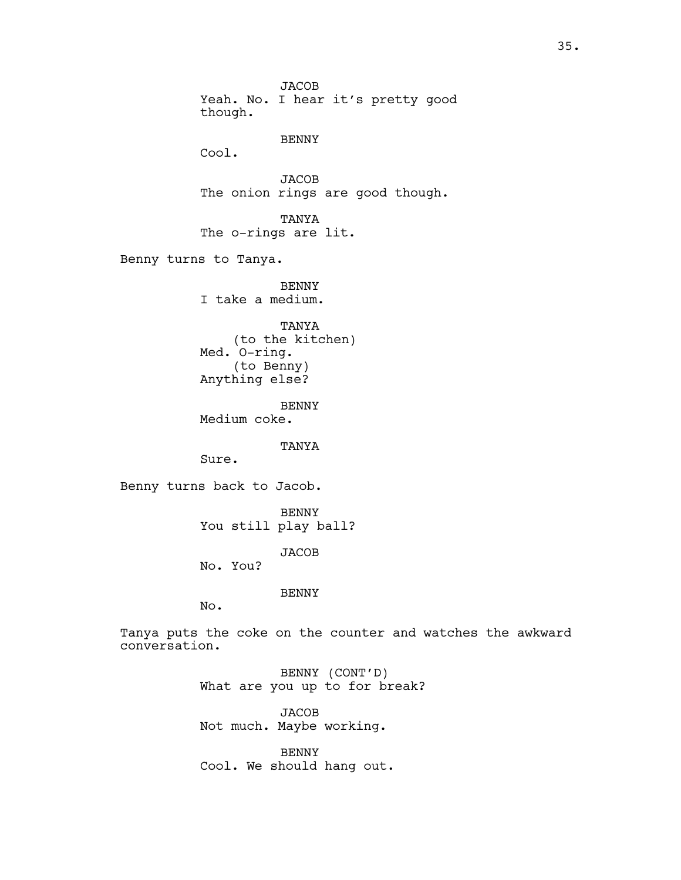**JACOB** Yeah. No. I hear it's pretty good though. BENNY Cool. JACOB The onion rings are good though. TANYA The o-rings are lit. Benny turns to Tanya. BENNY I take a medium. TANYA (to the kitchen) Med. O-ring. (to Benny) Anything else? BENNY Medium coke. TANYA Sure. Benny turns back to Jacob. BENNY You still play ball? **JACOB** No. You? BENNY No. Tanya puts the coke on the counter and watches the awkward conversation. BENNY (CONT'D) What are you up to for break? JACOB

Not much. Maybe working.

BENNY Cool. We should hang out.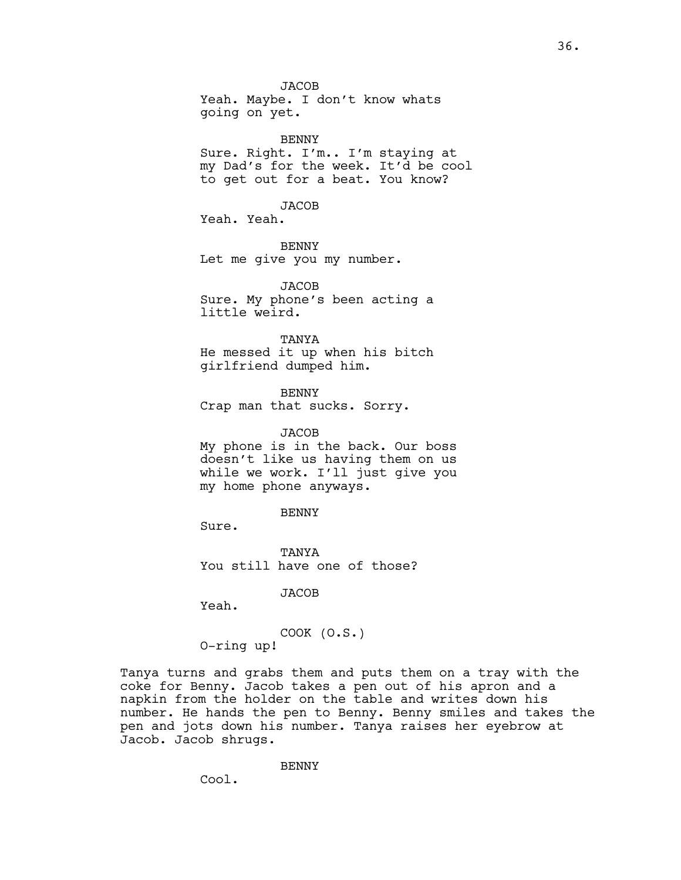JACOB Yeah. Maybe. I don't know whats going on yet.

BENNY Sure. Right. I'm.. I'm staying at my Dad's for the week. It'd be cool to get out for a beat. You know?

JACOB

Yeah. Yeah.

BENNY Let me give you my number.

**JACOB** Sure. My phone's been acting a little weird.

TANYA He messed it up when his bitch girlfriend dumped him.

BENNY Crap man that sucks. Sorry.

JACOB My phone is in the back. Our boss doesn't like us having them on us while we work. I'll just give you my home phone anyways.

BENNY

Sure.

**TANYA** You still have one of those?

**JACOB** 

Yeah.

COOK (O.S.) O-ring up!

Tanya turns and grabs them and puts them on a tray with the coke for Benny. Jacob takes a pen out of his apron and a napkin from the holder on the table and writes down his number. He hands the pen to Benny. Benny smiles and takes the pen and jots down his number. Tanya raises her eyebrow at Jacob. Jacob shrugs.

BENNY

Cool.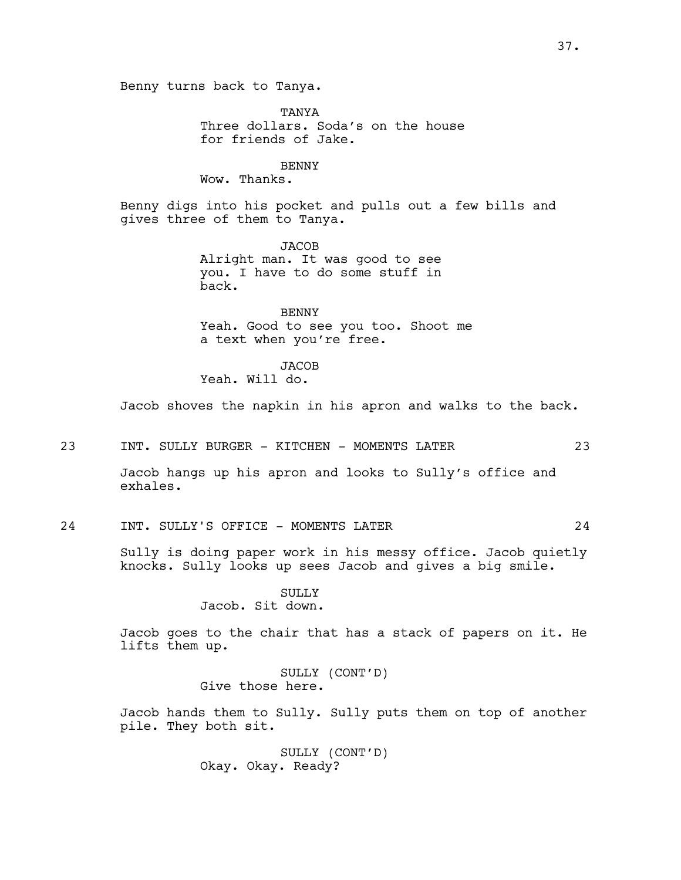Benny turns back to Tanya.

**TANYA** Three dollars. Soda's on the house for friends of Jake.

BENNY

Wow. Thanks.

Benny digs into his pocket and pulls out a few bills and gives three of them to Tanya.

> **JACOB** Alright man. It was good to see you. I have to do some stuff in back.

BENNY Yeah. Good to see you too. Shoot me a text when you're free.

JACOB

Yeah. Will do.

Jacob shoves the napkin in his apron and walks to the back.

23 INT. SULLY BURGER - KITCHEN - MOMENTS LATER 23

Jacob hangs up his apron and looks to Sully's office and exhales.

# 24 INT. SULLY'S OFFICE - MOMENTS LATER 24

Sully is doing paper work in his messy office. Jacob quietly knocks. Sully looks up sees Jacob and gives a big smile.

> SULLY Jacob. Sit down.

Jacob goes to the chair that has a stack of papers on it. He lifts them up.

> SULLY (CONT'D) Give those here.

Jacob hands them to Sully. Sully puts them on top of another pile. They both sit.

> SULLY (CONT'D) Okay. Okay. Ready?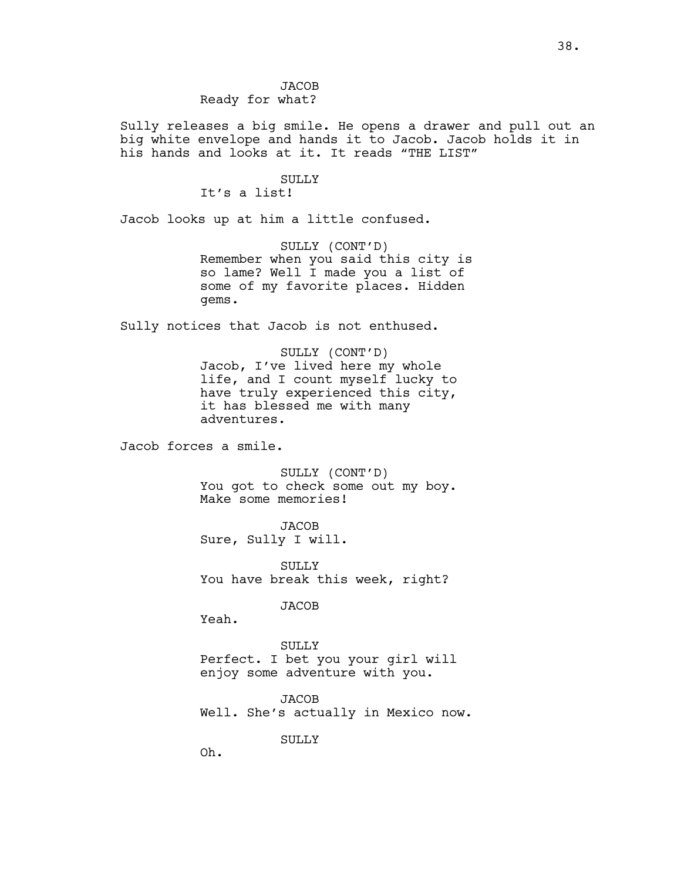**JACOB** Ready for what?

Sully releases a big smile. He opens a drawer and pull out an big white envelope and hands it to Jacob. Jacob holds it in his hands and looks at it. It reads "THE LIST"

## SULLY

It's a list!

Jacob looks up at him a little confused.

SULLY (CONT'D) Remember when you said this city is so lame? Well I made you a list of some of my favorite places. Hidden gems.

Sully notices that Jacob is not enthused.

SULLY (CONT'D) Jacob, I've lived here my whole life, and I count myself lucky to have truly experienced this city, it has blessed me with many adventures.

Jacob forces a smile.

SULLY (CONT'D) You got to check some out my boy. Make some memories!

**JACOB** Sure, Sully I will.

SULLY<sub>1</sub> You have break this week, right?

JACOB

Yeah.

SULLY Perfect. I bet you your girl will enjoy some adventure with you.

JACOB Well. She's actually in Mexico now.

SULLY

Oh.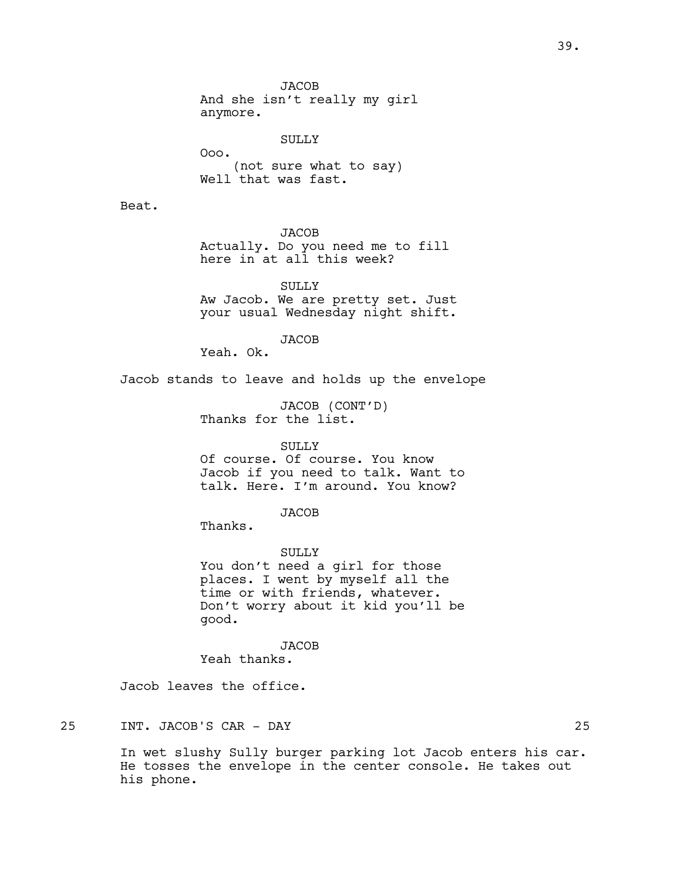**JACOB** And she isn't really my girl anymore.

SULLY Ooo. (not sure what to say) Well that was fast.

Beat.

JACOB

Actually. Do you need me to fill here in at all this week?

SULLY Aw Jacob. We are pretty set. Just your usual Wednesday night shift.

JACOB

Yeah. Ok.

Jacob stands to leave and holds up the envelope

JACOB (CONT'D) Thanks for the list.

## SULLY

Of course. Of course. You know Jacob if you need to talk. Want to talk. Here. I'm around. You know?

JACOB

Thanks.

SULLY You don't need a girl for those places. I went by myself all the time or with friends, whatever. Don't worry about it kid you'll be good.

**JACOB** 

Yeah thanks.

Jacob leaves the office.

25 INT. JACOB'S CAR - DAY 25

In wet slushy Sully burger parking lot Jacob enters his car. He tosses the envelope in the center console. He takes out his phone.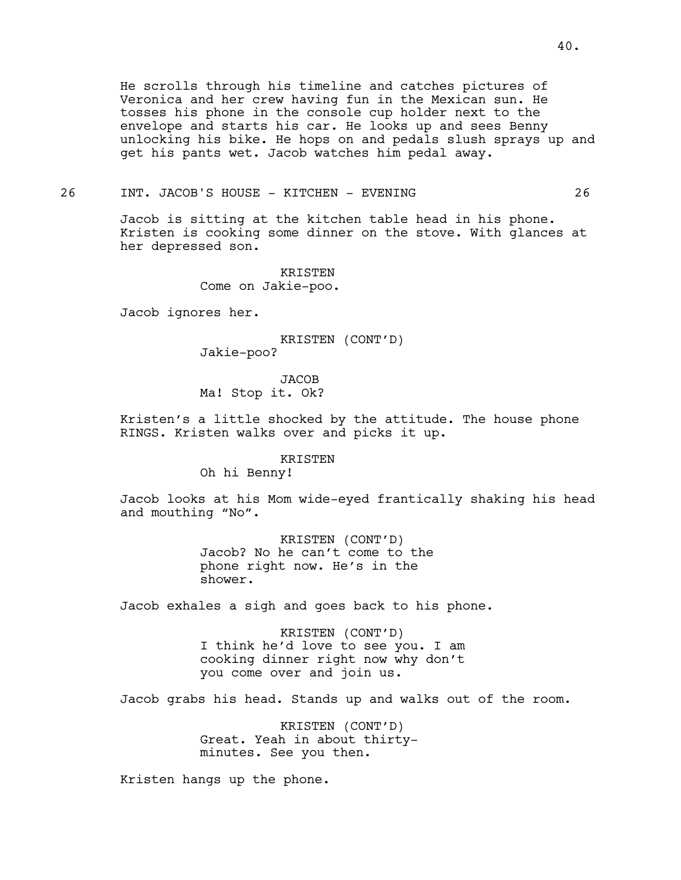He scrolls through his timeline and catches pictures of Veronica and her crew having fun in the Mexican sun. He tosses his phone in the console cup holder next to the envelope and starts his car. He looks up and sees Benny unlocking his bike. He hops on and pedals slush sprays up and get his pants wet. Jacob watches him pedal away.

## 26 INT. JACOB'S HOUSE - KITCHEN - EVENING 26

Jacob is sitting at the kitchen table head in his phone. Kristen is cooking some dinner on the stove. With glances at her depressed son.

> KRISTEN Come on Jakie-poo.

Jacob ignores her.

KRISTEN (CONT'D) Jakie-poo?

JACOB Ma! Stop it. Ok?

Kristen's a little shocked by the attitude. The house phone RINGS. Kristen walks over and picks it up.

KRISTEN

Oh hi Benny!

Jacob looks at his Mom wide-eyed frantically shaking his head and mouthing "No".

> KRISTEN (CONT'D) Jacob? No he can't come to the phone right now. He's in the shower.

Jacob exhales a sigh and goes back to his phone.

KRISTEN (CONT'D) I think he'd love to see you. I am cooking dinner right now why don't you come over and join us.

Jacob grabs his head. Stands up and walks out of the room.

KRISTEN (CONT'D) Great. Yeah in about thirtyminutes. See you then.

Kristen hangs up the phone.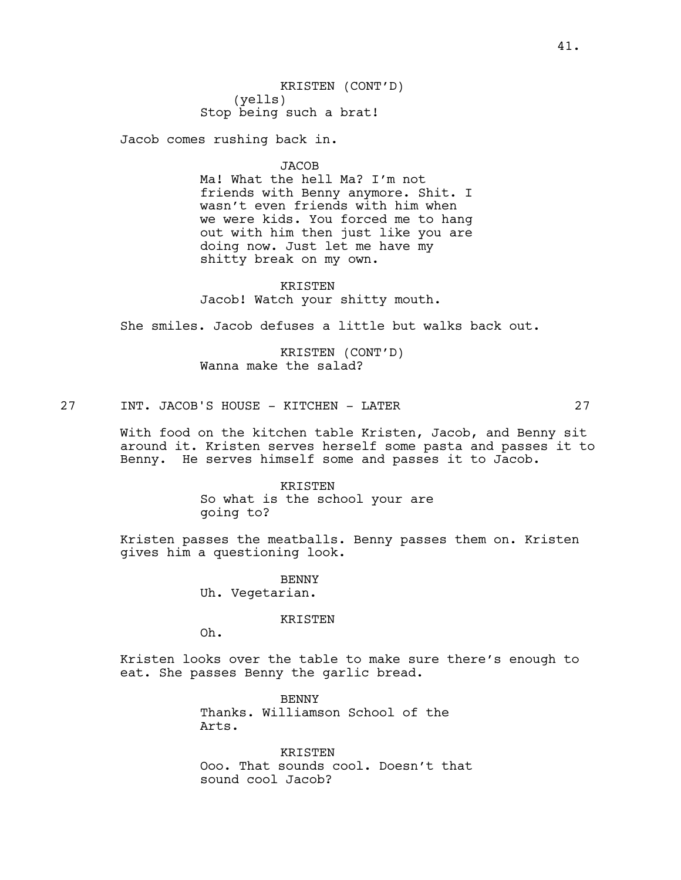Jacob comes rushing back in.

JACOB

Ma! What the hell Ma? I'm not friends with Benny anymore. Shit. I wasn't even friends with him when we were kids. You forced me to hang out with him then just like you are doing now. Just let me have my shitty break on my own.

KRISTEN Jacob! Watch your shitty mouth.

She smiles. Jacob defuses a little but walks back out.

KRISTEN (CONT'D) Wanna make the salad?

27 INT. JACOB'S HOUSE - KITCHEN - LATER 27

With food on the kitchen table Kristen, Jacob, and Benny sit around it. Kristen serves herself some pasta and passes it to Benny. He serves himself some and passes it to Jacob.

> KRISTEN So what is the school your are going to?

Kristen passes the meatballs. Benny passes them on. Kristen gives him a questioning look.

> BENNY Uh. Vegetarian.

> > KRISTEN

Oh.

Kristen looks over the table to make sure there's enough to eat. She passes Benny the garlic bread.

> BENNY Thanks. Williamson School of the Arts.

KRISTEN Ooo. That sounds cool. Doesn't that sound cool Jacob?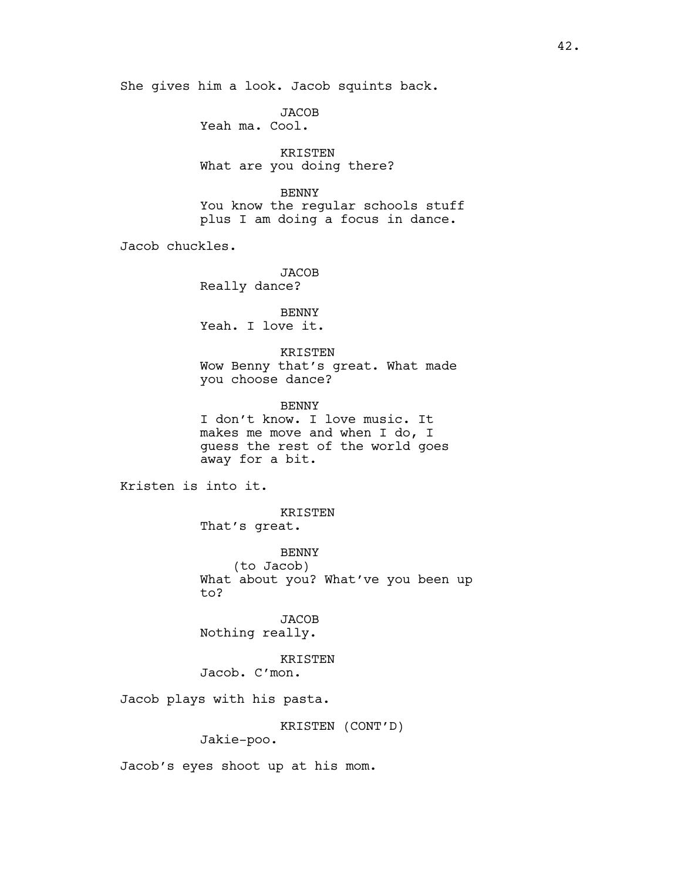She gives him a look. Jacob squints back.

JACOB Yeah ma. Cool.

KRISTEN What are you doing there?

BENNY You know the regular schools stuff plus I am doing a focus in dance.

Jacob chuckles.

**JACOB** Really dance?

BENNY Yeah. I love it.

KRISTEN Wow Benny that's great. What made you choose dance?

BENNY I don't know. I love music. It makes me move and when I do, I guess the rest of the world goes away for a bit.

Kristen is into it.

KRISTEN That's great.

BENNY (to Jacob) What about you? What've you been up to?

**JACOB** Nothing really.

KRISTEN Jacob. C'mon.

Jacob plays with his pasta.

KRISTEN (CONT'D)

Jakie-poo.

Jacob's eyes shoot up at his mom.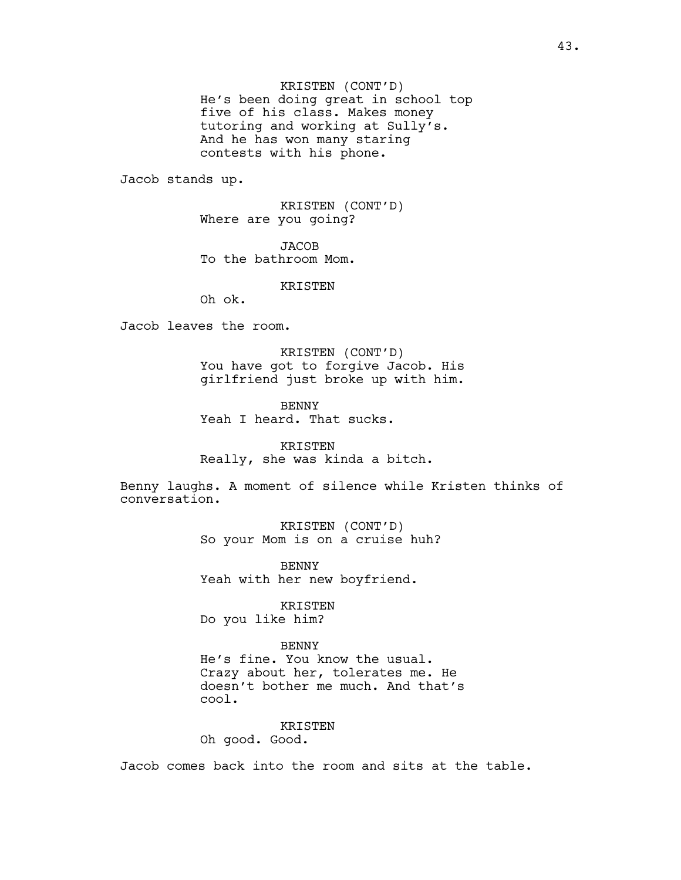KRISTEN (CONT'D) He's been doing great in school top five of his class. Makes money tutoring and working at Sully's. And he has won many staring contests with his phone.

Jacob stands up.

KRISTEN (CONT'D) Where are you going?

**JACOB** To the bathroom Mom.

KRISTEN

Oh ok.

Jacob leaves the room.

KRISTEN (CONT'D) You have got to forgive Jacob. His girlfriend just broke up with him.

**BENNY** Yeah I heard. That sucks.

KRISTEN Really, she was kinda a bitch.

Benny laughs. A moment of silence while Kristen thinks of conversation.

> KRISTEN (CONT'D) So your Mom is on a cruise huh?

BENNY Yeah with her new boyfriend.

KRISTEN Do you like him?

## BENNY

He's fine. You know the usual. Crazy about her, tolerates me. He doesn't bother me much. And that's cool.

## KRISTEN

Oh good. Good.

Jacob comes back into the room and sits at the table.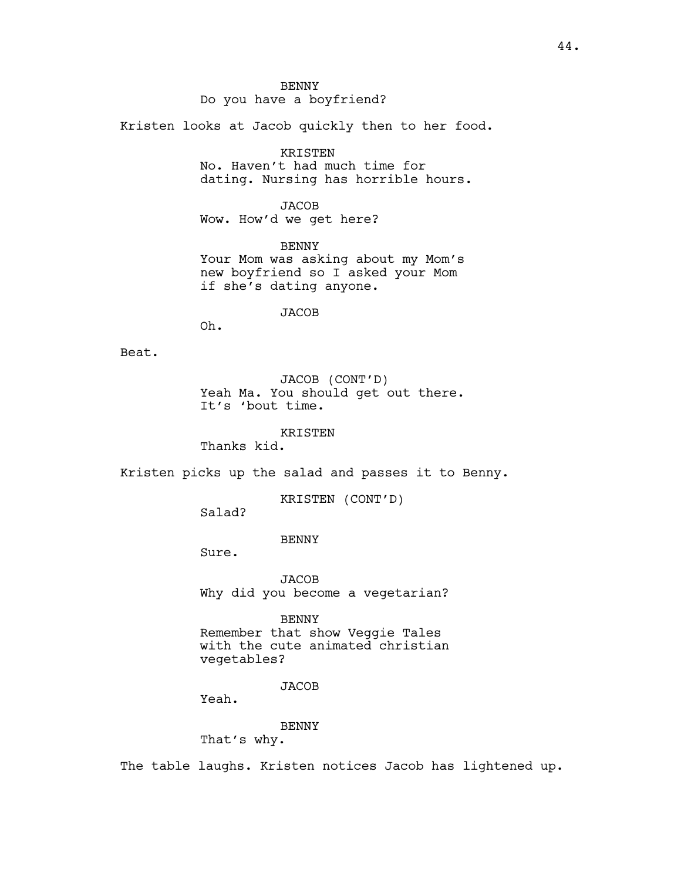**BENNY** Do you have a boyfriend?

Kristen looks at Jacob quickly then to her food.

KRISTEN

No. Haven't had much time for dating. Nursing has horrible hours.

JACOB Wow. How'd we get here?

BENNY Your Mom was asking about my Mom's new boyfriend so I asked your Mom if she's dating anyone.

JACOB

Oh.

Beat.

JACOB (CONT'D) Yeah Ma. You should get out there. It's 'bout time.

KRISTEN

Thanks kid.

Kristen picks up the salad and passes it to Benny.

KRISTEN (CONT'D)

Salad?

BENNY

Sure.

**JACOB** Why did you become a vegetarian?

BENNY

Remember that show Veggie Tales with the cute animated christian vegetables?

JACOB

Yeah.

BENNY That's why.

The table laughs. Kristen notices Jacob has lightened up.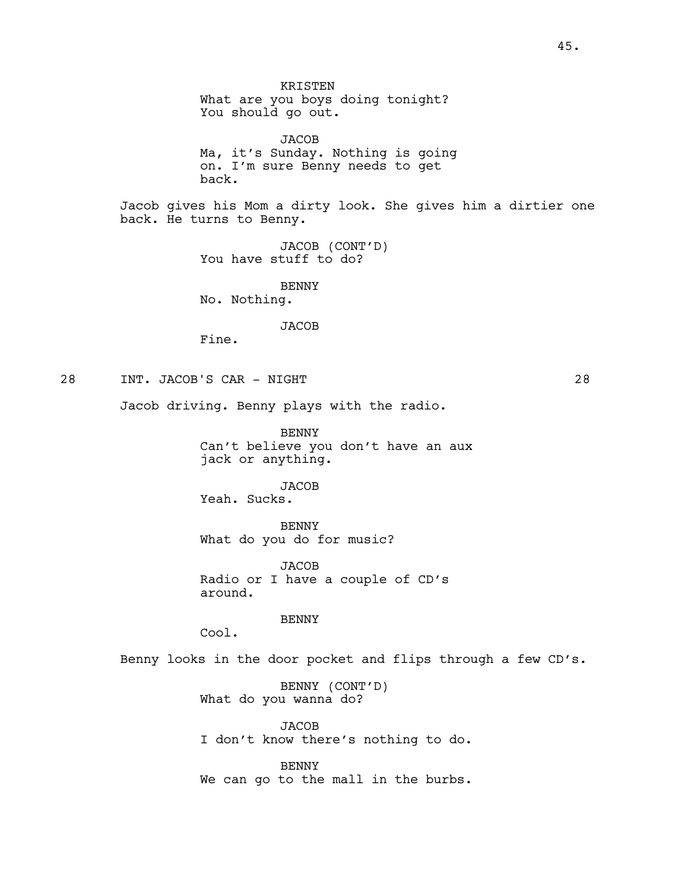JACOB Ma, it's Sunday. Nothing is going on. I'm sure Benny needs to get back.

Jacob gives his Mom a dirty look. She gives him a dirtier one back. He turns to Benny.

> JACOB (CONT'D) You have stuff to do?

BENNY No. Nothing.

**JACOB** 

Fine.

28 INT. JACOB'S CAR - NIGHT 28

Jacob driving. Benny plays with the radio.

BENNY Can't believe you don't have an aux jack or anything.

JACOB Yeah. Sucks.

BENNY What do you do for music?

JACOB Radio or I have a couple of CD's around.

BENNY

Cool.

Benny looks in the door pocket and flips through a few CD's.

BENNY (CONT'D) What do you wanna do?

JACOB I don't know there's nothing to do.

BENNY We can go to the mall in the burbs.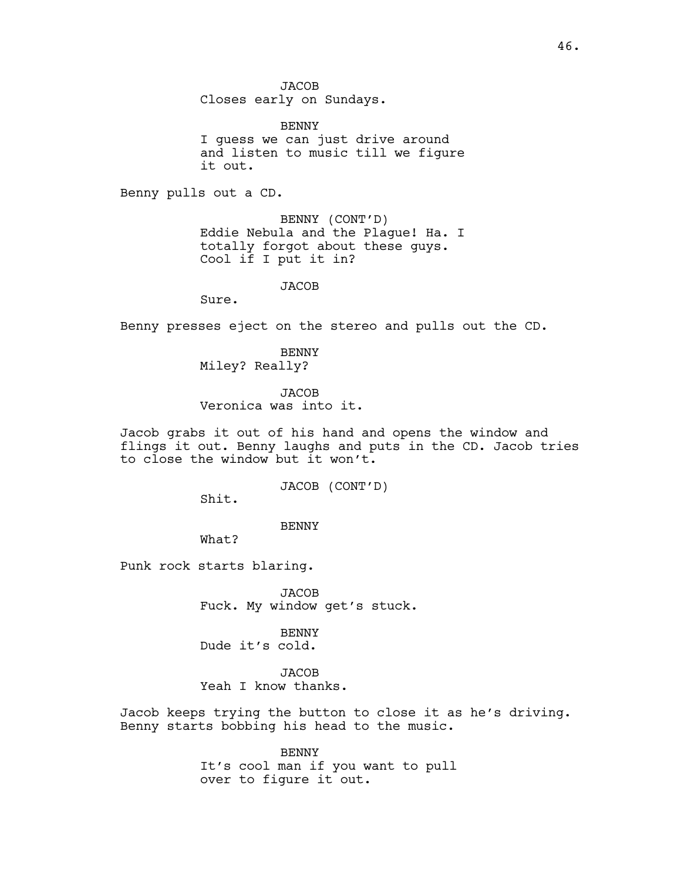JACOB

Closes early on Sundays.

BENNY I guess we can just drive around and listen to music till we figure it out.

Benny pulls out a CD.

BENNY (CONT'D) Eddie Nebula and the Plague! Ha. I totally forgot about these guys. Cool if I put it in?

#### **JACOB**

Sure.

Benny presses eject on the stereo and pulls out the CD.

BENNY Miley? Really?

**JACOB** Veronica was into it.

Jacob grabs it out of his hand and opens the window and flings it out. Benny laughs and puts in the CD. Jacob tries to close the window but it won't.

JACOB (CONT'D)

Shit.

BENNY

What?

Punk rock starts blaring.

**JACOB** Fuck. My window get's stuck.

BENNY Dude it's cold.

JACOB Yeah I know thanks.

Jacob keeps trying the button to close it as he's driving. Benny starts bobbing his head to the music.

> BENNY It's cool man if you want to pull over to figure it out.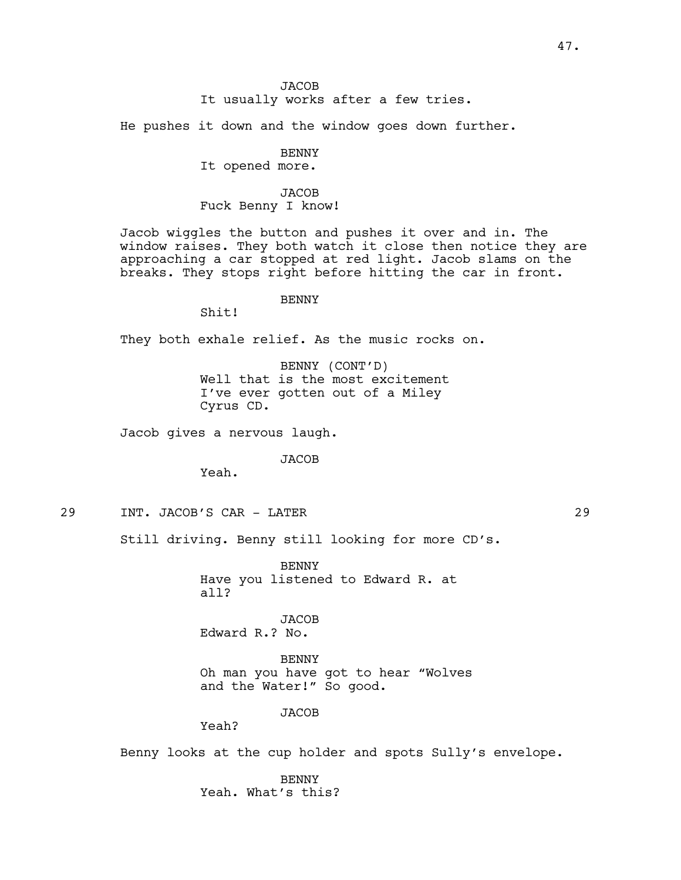## **JACOB** It usually works after a few tries.

He pushes it down and the window goes down further.

# BENNY

It opened more.

# **JACOB** Fuck Benny I know!

Jacob wiggles the button and pushes it over and in. The window raises. They both watch it close then notice they are approaching a car stopped at red light. Jacob slams on the breaks. They stops right before hitting the car in front.

# BENNY

Shit!

They both exhale relief. As the music rocks on.

BENNY (CONT'D) Well that is the most excitement I've ever gotten out of a Miley Cyrus CD.

Jacob gives a nervous laugh.

JACOB

Yeah.

29 INT. JACOB'S CAR - LATER 29

Still driving. Benny still looking for more CD's.

BENNY Have you listened to Edward R. at all?

**JACOB** Edward R.? No.

BENNY Oh man you have got to hear "Wolves and the Water!" So good.

#### JACOB

Yeah?

Benny looks at the cup holder and spots Sully's envelope.

BENNY Yeah. What's this?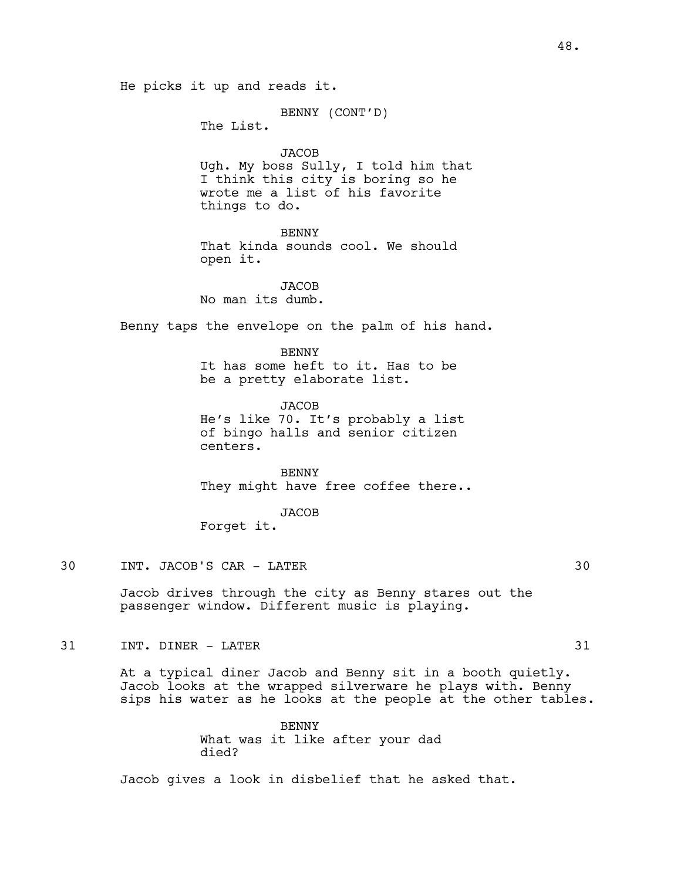He picks it up and reads it.

BENNY (CONT'D)

The List.

# JACOB

Ugh. My boss Sully, I told him that I think this city is boring so he wrote me a list of his favorite things to do.

## BENNY

That kinda sounds cool. We should open it.

**JACOB** No man its dumb.

Benny taps the envelope on the palm of his hand.

**BENNY** It has some heft to it. Has to be be a pretty elaborate list.

**JACOB** He's like 70. It's probably a list of bingo halls and senior citizen centers.

BENNY They might have free coffee there..

JACOB

passenger window. Different music is playing.

Forget it.

30 INT. JACOB'S CAR - LATER 30

Jacob drives through the city as Benny stares out the

31 INT. DINER – LATER 31

At a typical diner Jacob and Benny sit in a booth quietly. Jacob looks at the wrapped silverware he plays with. Benny sips his water as he looks at the people at the other tables.

> BENNY What was it like after your dad died?

Jacob gives a look in disbelief that he asked that.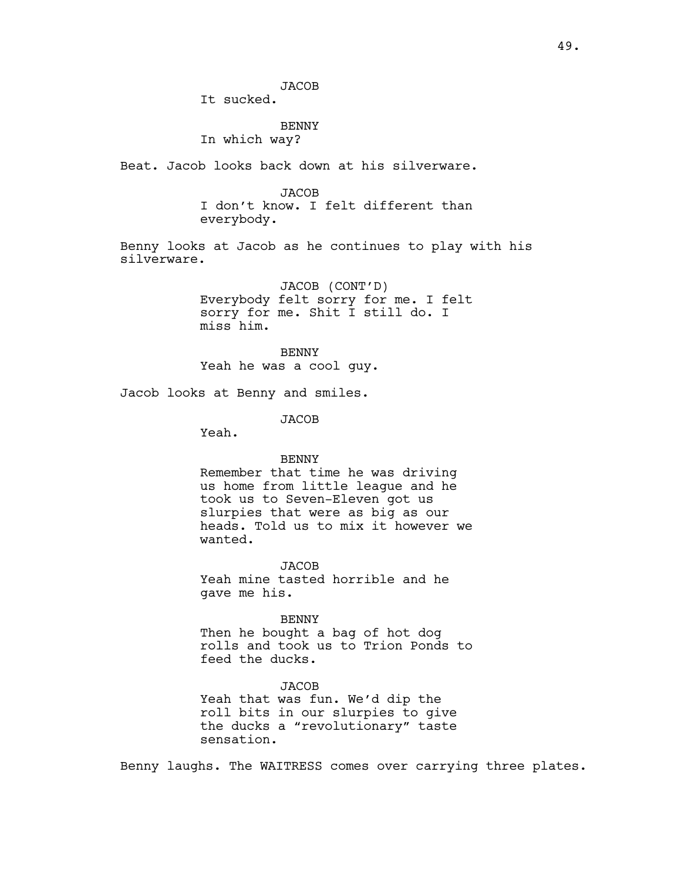It sucked.

BENNY In which way?

Beat. Jacob looks back down at his silverware.

**JACOB** I don't know. I felt different than everybody.

Benny looks at Jacob as he continues to play with his silverware.

> JACOB (CONT'D) Everybody felt sorry for me. I felt sorry for me. Shit I still do. I miss him.

**BENNY** Yeah he was a cool guy.

Jacob looks at Benny and smiles.

JACOB

Yeah.

### BENNY

Remember that time he was driving us home from little league and he took us to Seven-Eleven got us slurpies that were as big as our heads. Told us to mix it however we wanted.

JACOB Yeah mine tasted horrible and he gave me his.

BENNY Then he bought a bag of hot dog rolls and took us to Trion Ponds to feed the ducks.

**JACOB** Yeah that was fun. We'd dip the roll bits in our slurpies to give the ducks a "revolutionary" taste sensation.

Benny laughs. The WAITRESS comes over carrying three plates.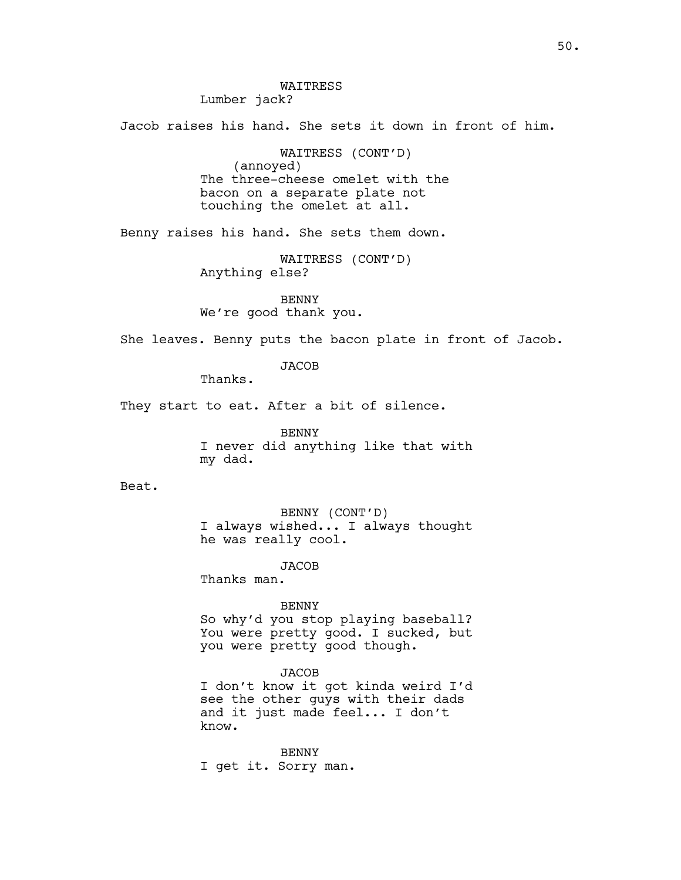WAITRESS Lumber jack?

Jacob raises his hand. She sets it down in front of him.

WAITRESS (CONT'D) (annoyed) The three-cheese omelet with the bacon on a separate plate not touching the omelet at all.

Benny raises his hand. She sets them down.

WAITRESS (CONT'D) Anything else?

BENNY We're good thank you.

She leaves. Benny puts the bacon plate in front of Jacob.

**JACOB** 

Thanks.

They start to eat. After a bit of silence.

BENNY I never did anything like that with my dad.

Beat.

BENNY (CONT'D) I always wished... I always thought he was really cool.

JACOB

Thanks man.

#### BENNY

So why'd you stop playing baseball? You were pretty good. I sucked, but you were pretty good though.

JACOB

I don't know it got kinda weird I'd see the other guys with their dads and it just made feel... I don't know.

BENNY I get it. Sorry man.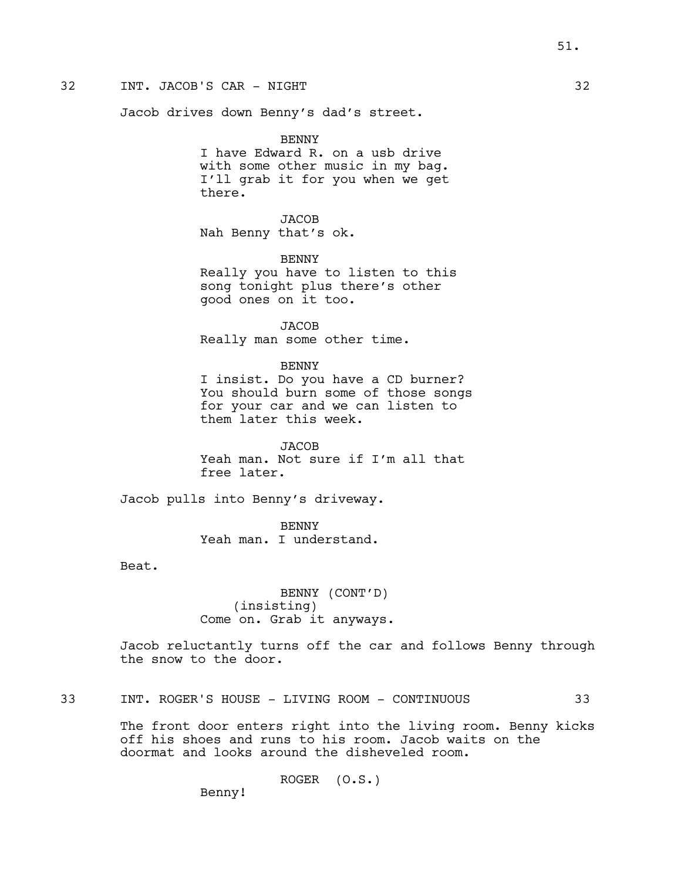# 32 INT. JACOB'S CAR - NIGHT 32

Jacob drives down Benny's dad's street.

BENNY

I have Edward R. on a usb drive with some other music in my bag. I'll grab it for you when we get there.

JACOB Nah Benny that's ok.

BENNY Really you have to listen to this song tonight plus there's other good ones on it too.

JACOB Really man some other time.

BENNY

I insist. Do you have a CD burner? You should burn some of those songs for your car and we can listen to them later this week.

JACOB Yeah man. Not sure if I'm all that free later.

Jacob pulls into Benny's driveway.

**BENNY** Yeah man. I understand.

Beat.

BENNY (CONT'D) (insisting) Come on. Grab it anyways.

Jacob reluctantly turns off the car and follows Benny through the snow to the door.

# 33 INT. ROGER'S HOUSE - LIVING ROOM - CONTINUOUS 33

The front door enters right into the living room. Benny kicks off his shoes and runs to his room. Jacob waits on the doormat and looks around the disheveled room.

ROGER (O.S.)

Benny!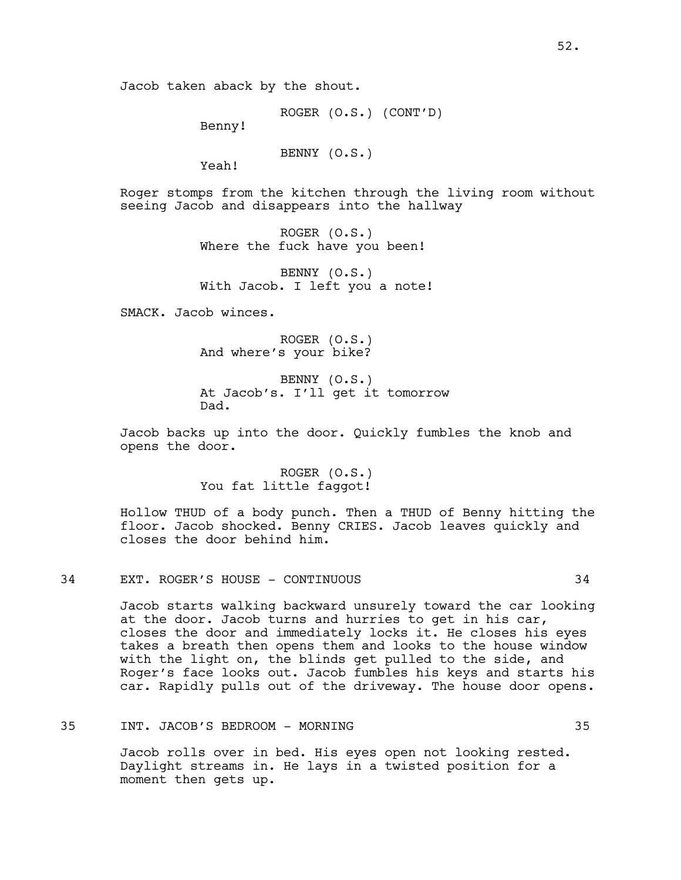ROGER (O.S.) (CONT'D)

Benny!

BENNY (O.S.)

Yeah!

Roger stomps from the kitchen through the living room without seeing Jacob and disappears into the hallway

> ROGER (O.S.) Where the fuck have you been!

BENNY (O.S.) With Jacob. I left you a note!

SMACK. Jacob winces.

ROGER (O.S.) And where's your bike?

BENNY (O.S.) At Jacob's. I'll get it tomorrow Dad.

Jacob backs up into the door. Quickly fumbles the knob and opens the door.

> ROGER (O.S.) You fat little faqqot!

Hollow THUD of a body punch. Then a THUD of Benny hitting the floor. Jacob shocked. Benny CRIES. Jacob leaves quickly and closes the door behind him.

## 34 EXT. ROGER'S HOUSE - CONTINUOUS 34

Jacob starts walking backward unsurely toward the car looking at the door. Jacob turns and hurries to get in his car, closes the door and immediately locks it. He closes his eyes takes a breath then opens them and looks to the house window with the light on, the blinds get pulled to the side, and Roger's face looks out. Jacob fumbles his keys and starts his car. Rapidly pulls out of the driveway. The house door opens.

#### 35 INT. JACOB'S BEDROOM - MORNING 35

Jacob rolls over in bed. His eyes open not looking rested. Daylight streams in. He lays in a twisted position for a moment then gets up.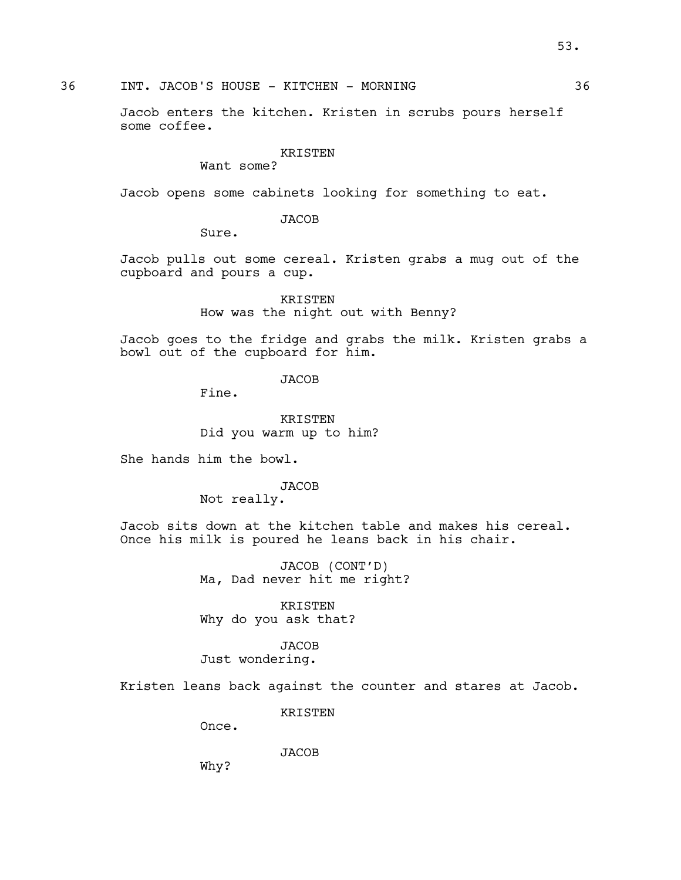36 INT. JACOB'S HOUSE - KITCHEN - MORNING 36

Jacob enters the kitchen. Kristen in scrubs pours herself some coffee.

## KRISTEN

Want some?

Jacob opens some cabinets looking for something to eat.

**JACOB** 

Sure.

Jacob pulls out some cereal. Kristen grabs a mug out of the cupboard and pours a cup.

> KRISTEN How was the night out with Benny?

Jacob goes to the fridge and grabs the milk. Kristen grabs a bowl out of the cupboard for him.

JACOB

Fine.

KRISTEN Did you warm up to him?

She hands him the bowl.

# JACOB

Not really.

Jacob sits down at the kitchen table and makes his cereal. Once his milk is poured he leans back in his chair.

> JACOB (CONT'D) Ma, Dad never hit me right?

KRISTEN Why do you ask that?

JACOB

Just wondering.

Kristen leans back against the counter and stares at Jacob.

KRISTEN

Once.

JACOB

Why?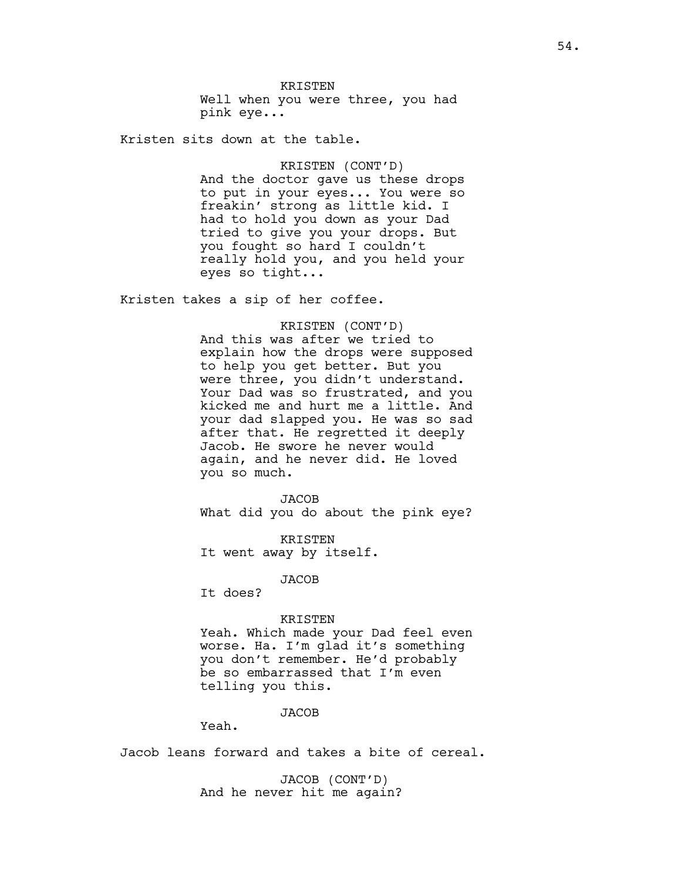KRISTEN Well when you were three, you had pink eye...

Kristen sits down at the table.

KRISTEN (CONT'D) And the doctor gave us these drops to put in your eyes... You were so freakin' strong as little kid. I had to hold you down as your Dad tried to give you your drops. But you fought so hard I couldn't really hold you, and you held your eyes so tight...

Kristen takes a sip of her coffee.

## KRISTEN (CONT'D)

And this was after we tried to explain how the drops were supposed to help you get better. But you were three, you didn't understand. Your Dad was so frustrated, and you kicked me and hurt me a little. And your dad slapped you. He was so sad after that. He regretted it deeply Jacob. He swore he never would again, and he never did. He loved you so much.

**JACOB** What did you do about the pink eye?

KRISTEN It went away by itself.

## **JACOB**

It does?

#### KRISTEN

Yeah. Which made your Dad feel even worse. Ha. I'm glad it's something you don't remember. He'd probably be so embarrassed that I'm even telling you this.

#### JACOB

Yeah.

Jacob leans forward and takes a bite of cereal.

JACOB (CONT'D) And he never hit me again?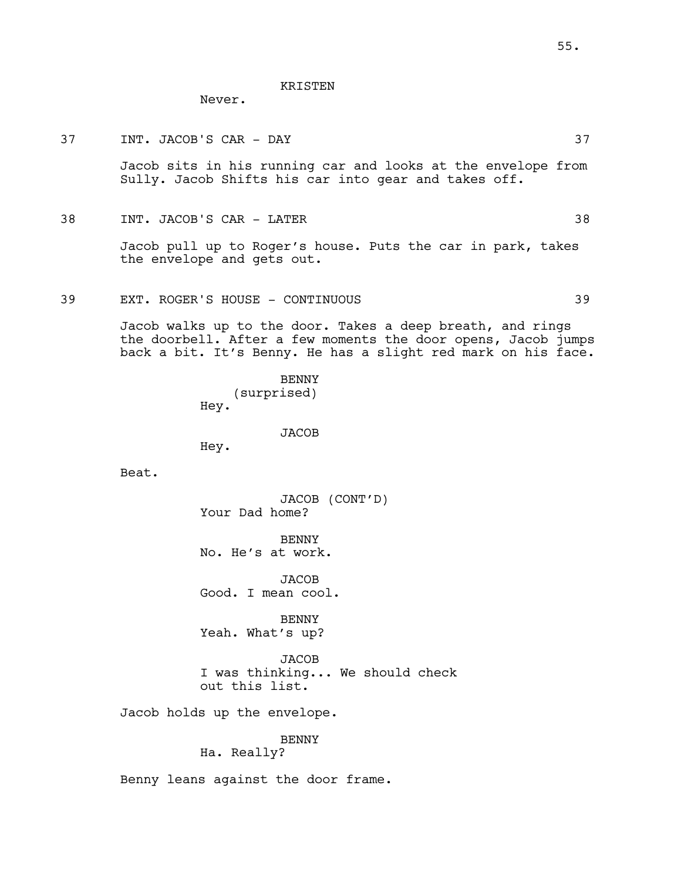## KRISTEN

Never.

37 INT. JACOB'S CAR - DAY 37

Jacob sits in his running car and looks at the envelope from Sully. Jacob Shifts his car into gear and takes off.

38 INT. JACOB'S CAR - LATER 38

Jacob pull up to Roger's house. Puts the car in park, takes the envelope and gets out.

39 EXT. ROGER'S HOUSE - CONTINUOUS 39

Jacob walks up to the door. Takes a deep breath, and rings the doorbell. After a few moments the door opens, Jacob jumps back a bit. It's Benny. He has a slight red mark on his face.

> **BENNY** (surprised) Hey.

> > JACOB

Hey.

Beat.

JACOB (CONT'D) Your Dad home?

BENNY No. He's at work.

JACOB Good. I mean cool.

BENNY Yeah. What's up?

**JACOB** I was thinking... We should check out this list.

Jacob holds up the envelope.

# BENNY

Ha. Really?

Benny leans against the door frame.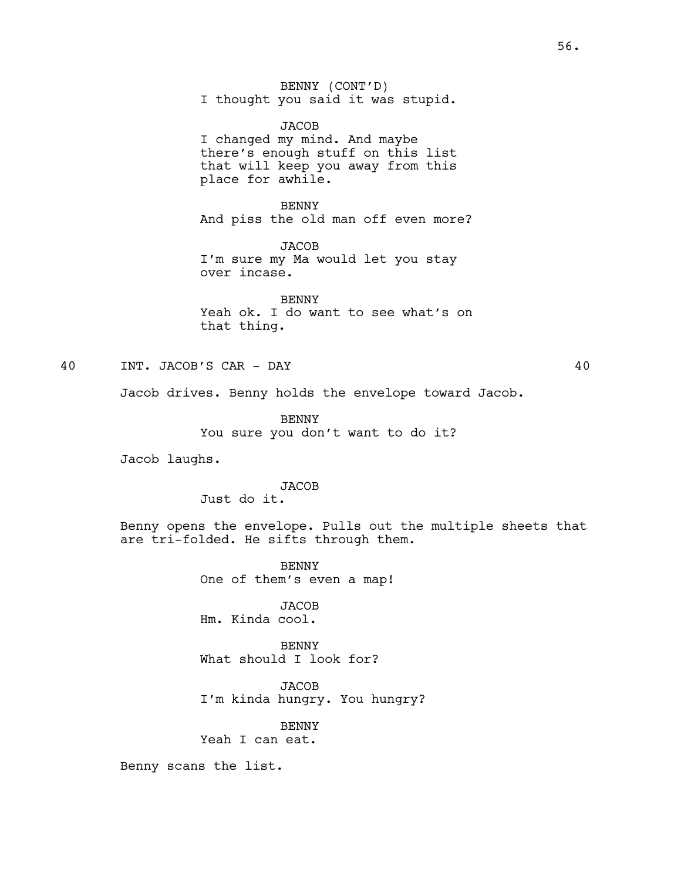BENNY (CONT'D) I thought you said it was stupid.

JACOB I changed my mind. And maybe there's enough stuff on this list that will keep you away from this place for awhile.

BENNY And piss the old man off even more?

**JACOB** I'm sure my Ma would let you stay over incase.

BENNY Yeah ok. I do want to see what's on that thing.

40 INT. JACOB'S CAR - DAY 40

Jacob drives. Benny holds the envelope toward Jacob.

BENNY You sure you don't want to do it?

Jacob laughs.

# **JACOB**

Just do it.

Benny opens the envelope. Pulls out the multiple sheets that are tri-folded. He sifts through them.

> BENNY One of them's even a map!

JACOB Hm. Kinda cool.

BENNY What should I look for?

**JACOB** I'm kinda hungry. You hungry?

# BENNY

Yeah I can eat.

Benny scans the list.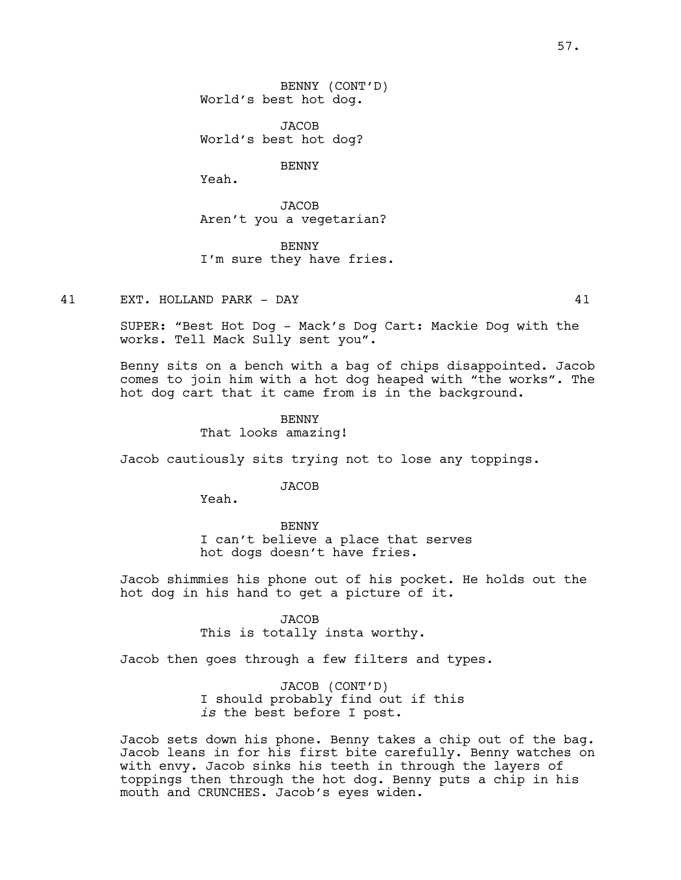JACOB World's best hot dog?

BENNY

Yeah.

**JACOB** Aren't you a vegetarian?

BENNY I'm sure they have fries.

41 EXT. HOLLAND PARK - DAY 41

SUPER: "Best Hot Dog - Mack's Dog Cart: Mackie Dog with the works. Tell Mack Sully sent you".

Benny sits on a bench with a bag of chips disappointed. Jacob comes to join him with a hot dog heaped with "the works". The hot dog cart that it came from is in the background.

BENNY

That looks amazing!

Jacob cautiously sits trying not to lose any toppings.

## JACOB

Yeah.

BENNY I can't believe a place that serves hot dogs doesn't have fries.

Jacob shimmies his phone out of his pocket. He holds out the hot dog in his hand to get a picture of it.

#### JACOB

This is totally insta worthy.

Jacob then goes through a few filters and types.

JACOB (CONT'D) I should probably find out if this *is* the best before I post.

Jacob sets down his phone. Benny takes a chip out of the bag. Jacob leans in for his first bite carefully. Benny watches on with envy. Jacob sinks his teeth in through the layers of toppings then through the hot dog. Benny puts a chip in his mouth and CRUNCHES. Jacob's eyes widen.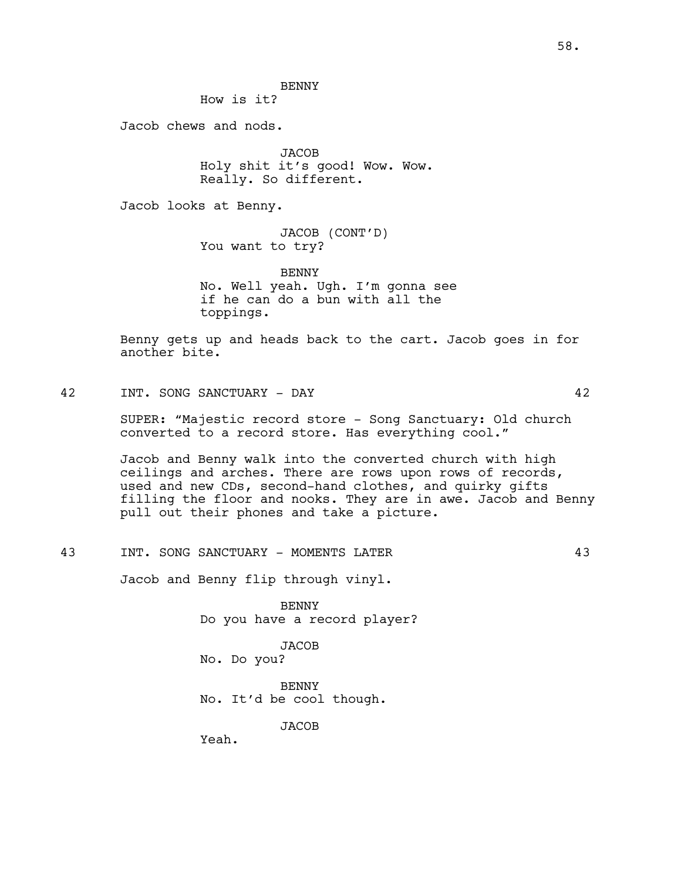**BENNY** 

How is it?

Jacob chews and nods.

**JACOB** Holy shit it's good! Wow. Wow. Really. So different.

Jacob looks at Benny.

JACOB (CONT'D) You want to try?

BENNY No. Well yeah. Ugh. I'm gonna see if he can do a bun with all the toppings.

Benny gets up and heads back to the cart. Jacob goes in for another bite.

42 INT. SONG SANCTUARY - DAY 42

SUPER: "Majestic record store - Song Sanctuary: Old church converted to a record store. Has everything cool."

Jacob and Benny walk into the converted church with high ceilings and arches. There are rows upon rows of records, used and new CDs, second-hand clothes, and quirky gifts filling the floor and nooks. They are in awe. Jacob and Benny pull out their phones and take a picture.

43 INT. SONG SANCTUARY - MOMENTS LATER 43

Jacob and Benny flip through vinyl.

BENNY Do you have a record player?

JACOB No. Do you?

BENNY No. It'd be cool though.

JACOB

Yeah.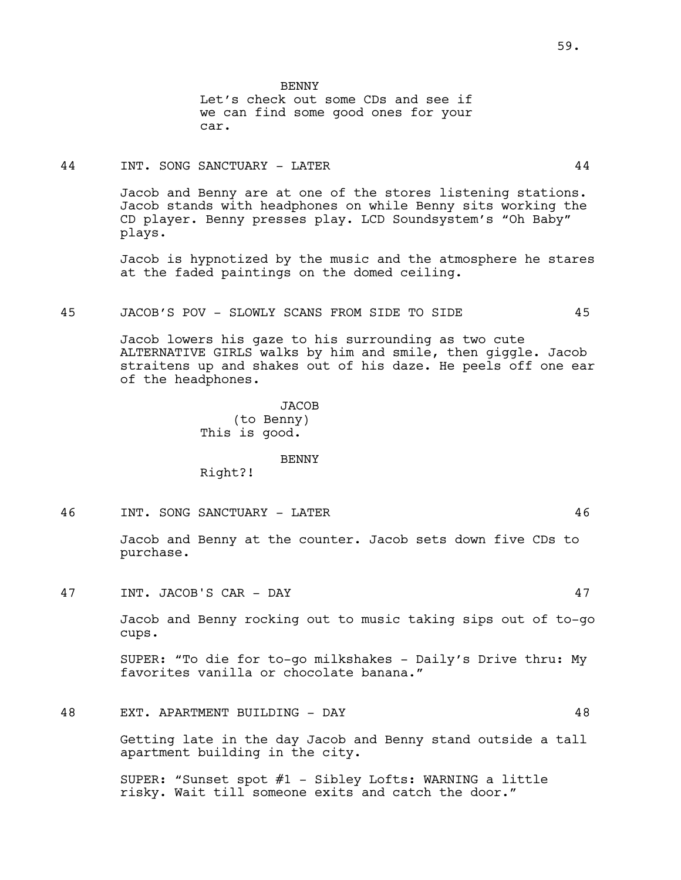BENNY Let's check out some CDs and see if we can find some good ones for your car.

# 44 INT. SONG SANCTUARY - LATER 44

Jacob and Benny are at one of the stores listening stations. Jacob stands with headphones on while Benny sits working the CD player. Benny presses play. LCD Soundsystem's "Oh Baby" plays.

Jacob is hypnotized by the music and the atmosphere he stares at the faded paintings on the domed ceiling.

# 45 JACOB'S POV - SLOWLY SCANS FROM SIDE TO SIDE 45

Jacob lowers his gaze to his surrounding as two cute ALTERNATIVE GIRLS walks by him and smile, then giggle. Jacob straitens up and shakes out of his daze. He peels off one ear of the headphones.

> **JACOB** (to Benny) This is good.

### BENNY

Right?!

46 INT. SONG SANCTUARY - LATER 46

Jacob and Benny at the counter. Jacob sets down five CDs to purchase.

47 INT. JACOB'S CAR - DAY 47

Jacob and Benny rocking out to music taking sips out of to-go cups.

SUPER: "To die for to-go milkshakes - Daily's Drive thru: My favorites vanilla or chocolate banana."

# 48 EXT. APARTMENT BUILDING - DAY 48

Getting late in the day Jacob and Benny stand outside a tall apartment building in the city.

SUPER: "Sunset spot #1 - Sibley Lofts: WARNING a little risky. Wait till someone exits and catch the door."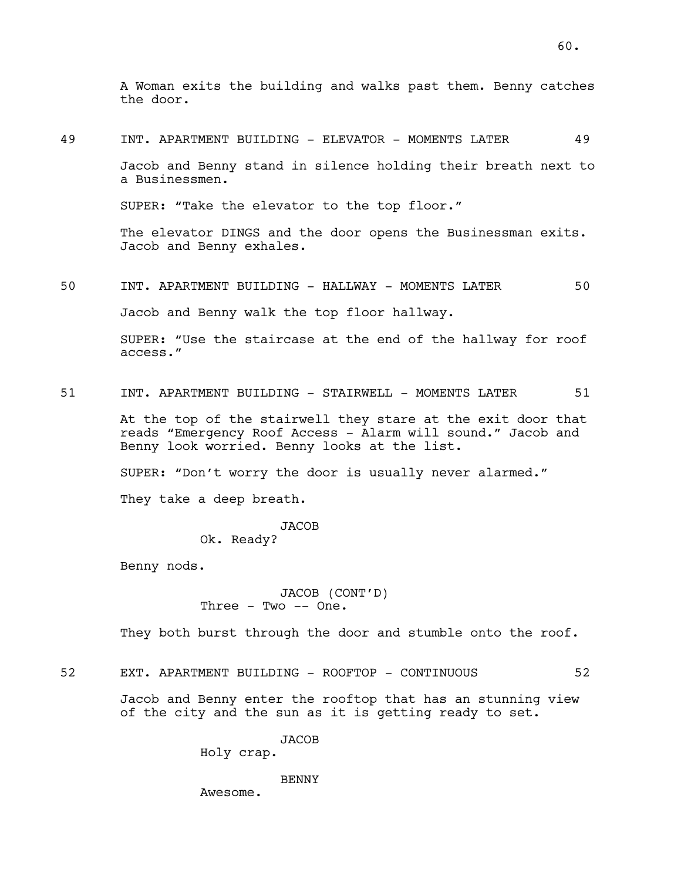A Woman exits the building and walks past them. Benny catches the door.

49 INT. APARTMENT BUILDING - ELEVATOR - MOMENTS LATER 49

Jacob and Benny stand in silence holding their breath next to a Businessmen.

SUPER: "Take the elevator to the top floor."

The elevator DINGS and the door opens the Businessman exits. Jacob and Benny exhales.

50 INT. APARTMENT BUILDING - HALLWAY - MOMENTS LATER 50

Jacob and Benny walk the top floor hallway.

SUPER: "Use the staircase at the end of the hallway for roof access."

51 INT. APARTMENT BUILDING - STAIRWELL - MOMENTS LATER 51

At the top of the stairwell they stare at the exit door that reads "Emergency Roof Access - Alarm will sound." Jacob and Benny look worried. Benny looks at the list.

SUPER: "Don't worry the door is usually never alarmed."

They take a deep breath.

JACOB Ok. Ready?

Benny nods.

JACOB (CONT'D) Three - Two -- One.

They both burst through the door and stumble onto the roof.

52 EXT. APARTMENT BUILDING - ROOFTOP - CONTINUOUS 52

Jacob and Benny enter the rooftop that has an stunning view of the city and the sun as it is getting ready to set.

JACOB

Holy crap.

**BENNY** 

Awesome.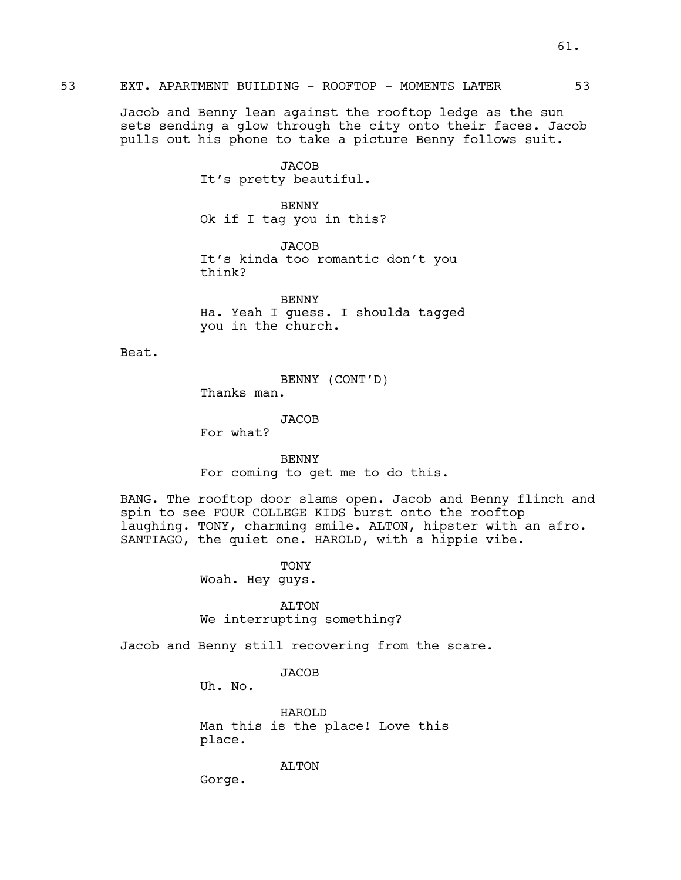# 53 EXT. APARTMENT BUILDING - ROOFTOP - MOMENTS LATER 53

Jacob and Benny lean against the rooftop ledge as the sun sets sending a glow through the city onto their faces. Jacob pulls out his phone to take a picture Benny follows suit.

> JACOB It's pretty beautiful.

BENNY Ok if I tag you in this?

JACOB It's kinda too romantic don't you think?

BENNY Ha. Yeah I guess. I shoulda tagged you in the church.

Beat.

BENNY (CONT'D) Thanks man.

JACOB

For what?

BENNY For coming to get me to do this.

BANG. The rooftop door slams open. Jacob and Benny flinch and spin to see FOUR COLLEGE KIDS burst onto the rooftop laughing. TONY, charming smile. ALTON, hipster with an afro. SANTIAGO, the quiet one. HAROLD, with a hippie vibe.

TONY

Woah. Hey guys.

ALTON We interrupting something?

Jacob and Benny still recovering from the scare.

**JACOB** 

Uh. No.

HAROLD Man this is the place! Love this place.

ALTON

Gorge.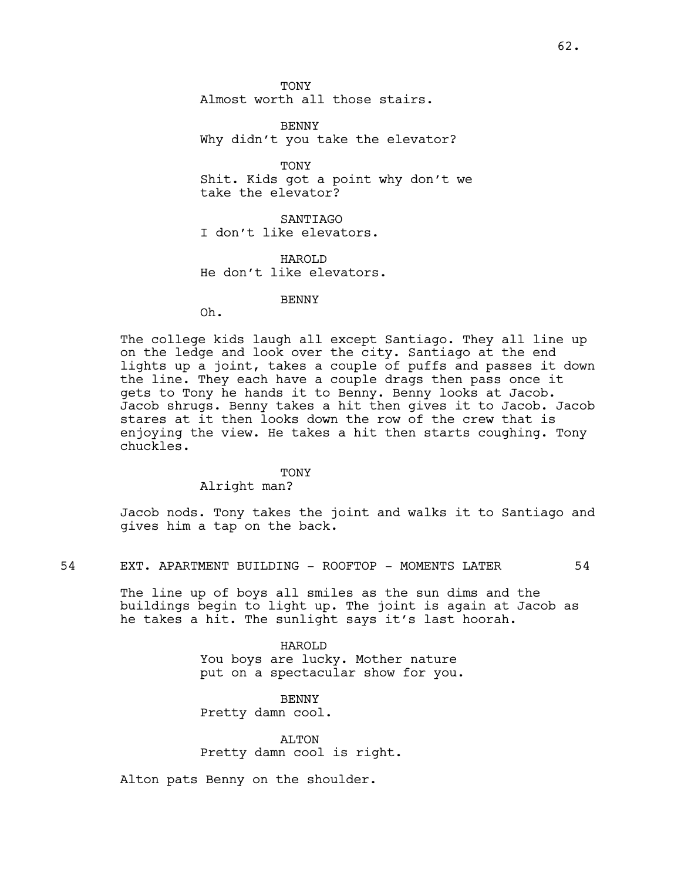**TONY** Almost worth all those stairs.

BENNY Why didn't you take the elevator?

TONY Shit. Kids got a point why don't we take the elevator?

SANTIAGO I don't like elevators.

HAROLD He don't like elevators.

## BENNY

Oh.

The college kids laugh all except Santiago. They all line up on the ledge and look over the city. Santiago at the end lights up a joint, takes a couple of puffs and passes it down the line. They each have a couple drags then pass once it gets to Tony he hands it to Benny. Benny looks at Jacob. Jacob shrugs. Benny takes a hit then gives it to Jacob. Jacob stares at it then looks down the row of the crew that is enjoying the view. He takes a hit then starts coughing. Tony chuckles.

### TONY

#### Alright man?

Jacob nods. Tony takes the joint and walks it to Santiago and gives him a tap on the back.

54 EXT. APARTMENT BUILDING - ROOFTOP - MOMENTS LATER 54

The line up of boys all smiles as the sun dims and the buildings begin to light up. The joint is again at Jacob as he takes a hit. The sunlight says it's last hoorah.

> HAROLD You boys are lucky. Mother nature put on a spectacular show for you.

BENNY Pretty damn cool.

ALTON Pretty damn cool is right.

Alton pats Benny on the shoulder.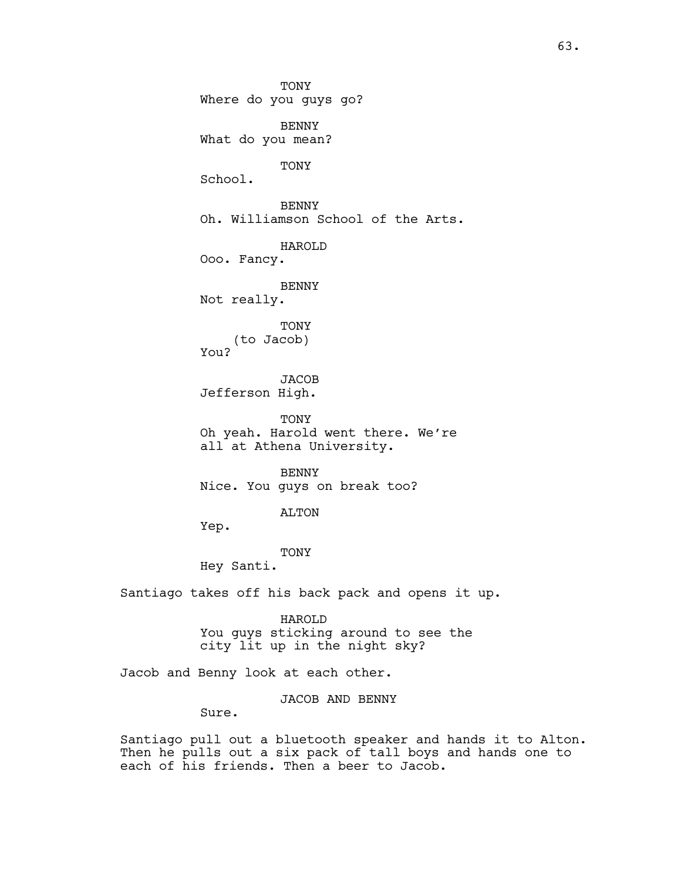**TONY** Where do you guys go? BENNY What do you mean? TONY School. BENNY Oh. Williamson School of the Arts. HAROLD Ooo. Fancy. BENNY Not really. TONY (to Jacob) You? JACOB Jefferson High. TONY Oh yeah. Harold went there. We're all at Athena University. **BENNY** Nice. You guys on break too? ALTON Yep. TONY Hey Santi. Santiago takes off his back pack and opens it up. HAROLD

You guys sticking around to see the city lit up in the night sky?

Jacob and Benny look at each other.

JACOB AND BENNY

Sure.

Santiago pull out a bluetooth speaker and hands it to Alton. Then he pulls out a six pack of tall boys and hands one to each of his friends. Then a beer to Jacob.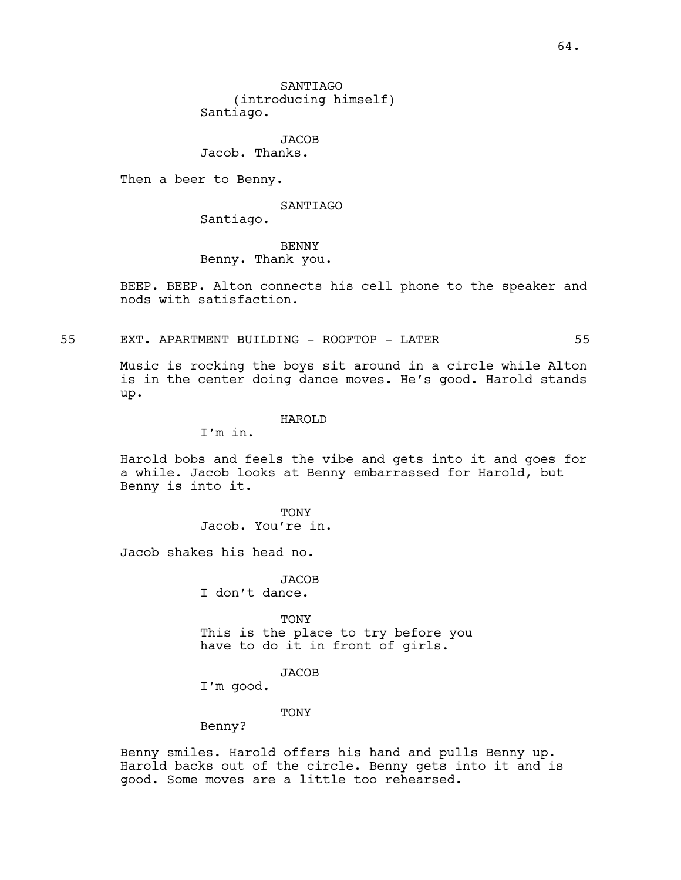**SANTIAGO** (introducing himself) Santiago.

JACOB Jacob. Thanks.

Then a beer to Benny.

SANTIAGO

Santiago.

BENNY Benny. Thank you.

BEEP. BEEP. Alton connects his cell phone to the speaker and nods with satisfaction.

55 EXT. APARTMENT BUILDING - ROOFTOP - LATER 55

Music is rocking the boys sit around in a circle while Alton is in the center doing dance moves. He's good. Harold stands up.

### HAROLD

I'm in.

Harold bobs and feels the vibe and gets into it and goes for a while. Jacob looks at Benny embarrassed for Harold, but Benny is into it.

> TONY Jacob. You're in.

Jacob shakes his head no.

**JACOB** I don't dance.

TONY This is the place to try before you have to do it in front of girls.

## JACOB

I'm good.

TONY

Benny?

Benny smiles. Harold offers his hand and pulls Benny up. Harold backs out of the circle. Benny gets into it and is good. Some moves are a little too rehearsed.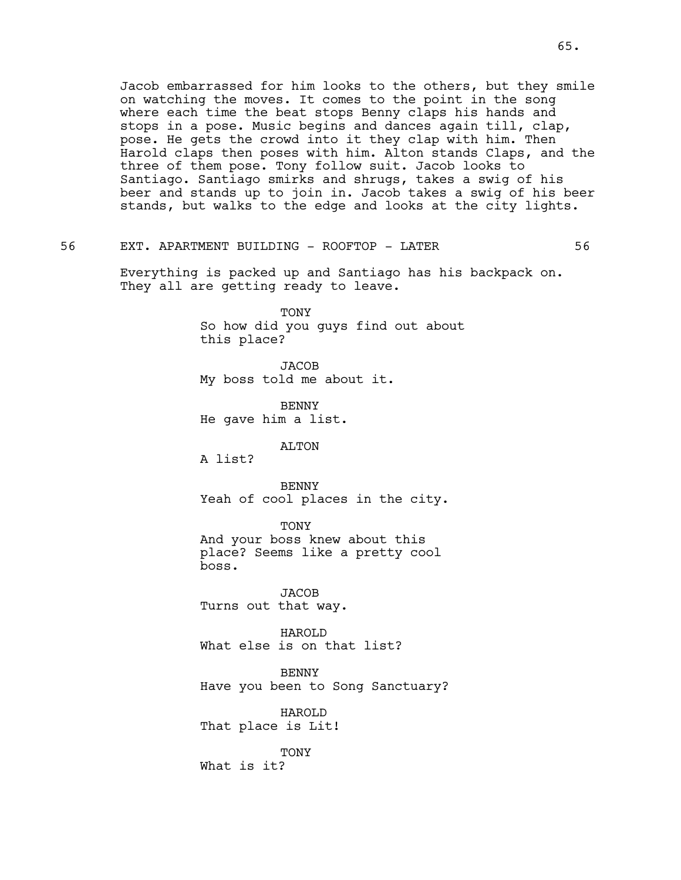Jacob embarrassed for him looks to the others, but they smile on watching the moves. It comes to the point in the song where each time the beat stops Benny claps his hands and stops in a pose. Music begins and dances again till, clap, pose. He gets the crowd into it they clap with him. Then Harold claps then poses with him. Alton stands Claps, and the three of them pose. Tony follow suit. Jacob looks to Santiago. Santiago smirks and shrugs, takes a swig of his beer and stands up to join in. Jacob takes a swig of his beer stands, but walks to the edge and looks at the city lights.

# 56 EXT. APARTMENT BUILDING - ROOFTOP - LATER 56

Everything is packed up and Santiago has his backpack on. They all are getting ready to leave.

> TONY So how did you guys find out about this place?

**JACOB** My boss told me about it.

**BENNY** He gave him a list.

### ALTON

A list?

**BENNY** Yeah of cool places in the city.

TONY And your boss knew about this place? Seems like a pretty cool boss.

**JACOB** Turns out that way.

HAROLD What else is on that list?

BENNY Have you been to Song Sanctuary?

HAROLD That place is Lit!

TONY What is it?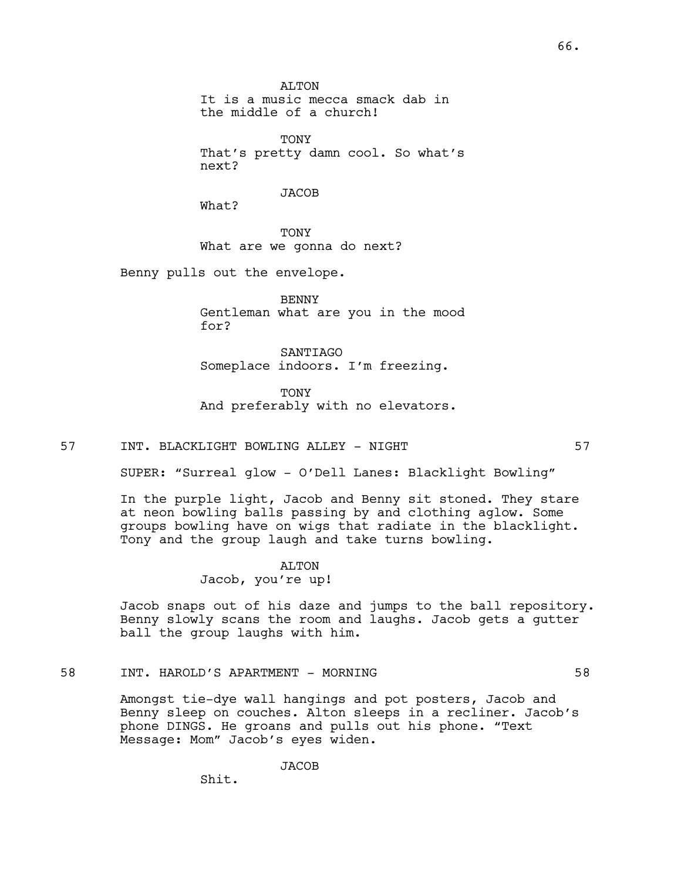**ALTON** It is a music mecca smack dab in the middle of a church!

**TONY** That's pretty damn cool. So what's next?

**JACOB** 

What?

**TONY** What are we gonna do next?

Benny pulls out the envelope.

BENNY Gentleman what are you in the mood for?

SANTIAGO Someplace indoors. I'm freezing.

TONY And preferably with no elevators.

57 INT. BLACKLIGHT BOWLING ALLEY - NIGHT 57

SUPER: "Surreal glow - O'Dell Lanes: Blacklight Bowling"

In the purple light, Jacob and Benny sit stoned. They stare at neon bowling balls passing by and clothing aglow. Some groups bowling have on wigs that radiate in the blacklight. Tony and the group laugh and take turns bowling.

#### ALTON

Jacob, you're up!

Jacob snaps out of his daze and jumps to the ball repository. Benny slowly scans the room and laughs. Jacob gets a gutter ball the group laughs with him.

# 58 INT. HAROLD'S APARTMENT - MORNING 58

Amongst tie-dye wall hangings and pot posters, Jacob and Benny sleep on couches. Alton sleeps in a recliner. Jacob's phone DINGS. He groans and pulls out his phone. "Text Message: Mom" Jacob's eyes widen.

**JACOB** 

Shit.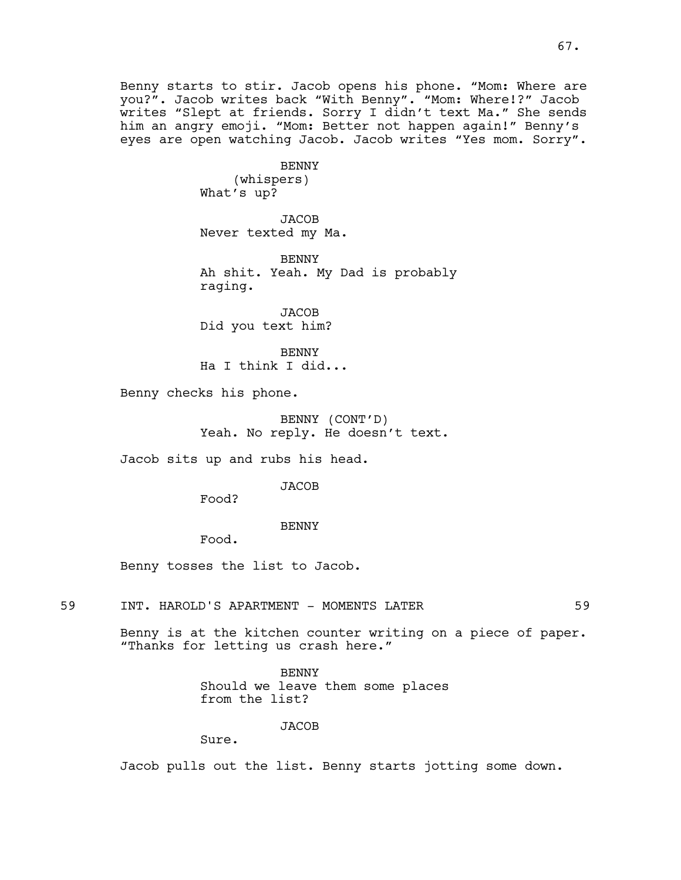Benny starts to stir. Jacob opens his phone. "Mom: Where are you?". Jacob writes back "With Benny". "Mom: Where!?" Jacob writes "Slept at friends. Sorry I didn't text Ma." She sends him an angry emoji. "Mom: Better not happen again!" Benny's eyes are open watching Jacob. Jacob writes "Yes mom. Sorry".

> BENNY (whispers) What's up?

**JACOB** Never texted my Ma.

BENNY Ah shit. Yeah. My Dad is probably raging.

JACOB Did you text him?

BENNY Ha I think I did...

Benny checks his phone.

BENNY (CONT'D) Yeah. No reply. He doesn't text.

Jacob sits up and rubs his head.

#### JACOB

Food?

## BENNY

Food.

Benny tosses the list to Jacob.

59 INT. HAROLD'S APARTMENT - MOMENTS LATER 59

Benny is at the kitchen counter writing on a piece of paper. "Thanks for letting us crash here."

> BENNY Should we leave them some places from the list?

## JACOB

Sure.

Jacob pulls out the list. Benny starts jotting some down.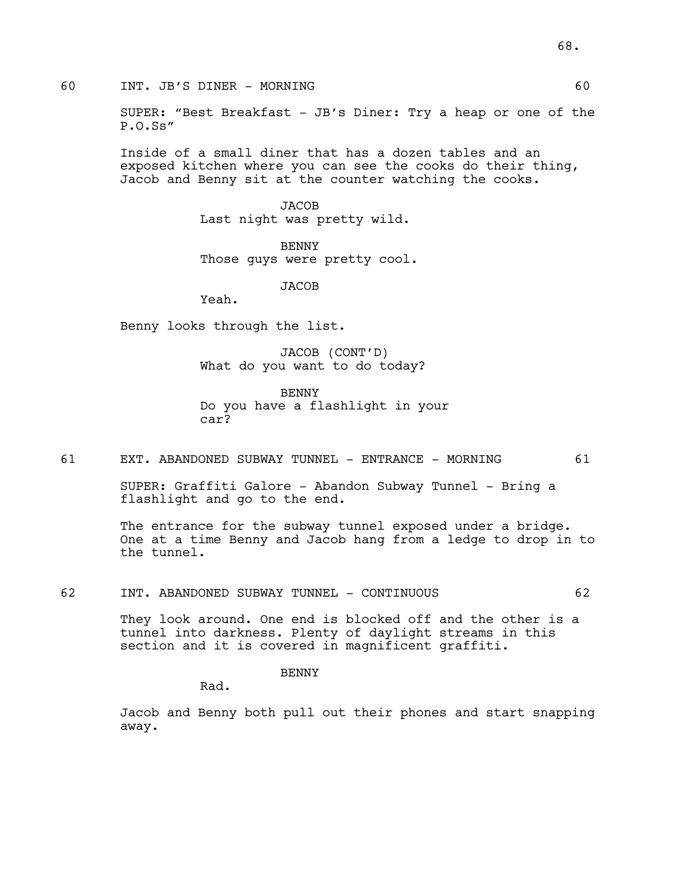60 INT. JB'S DINER - MORNING 60

SUPER: "Best Breakfast - JB's Diner: Try a heap or one of the P.O.Ss"

Inside of a small diner that has a dozen tables and an exposed kitchen where you can see the cooks do their thing, Jacob and Benny sit at the counter watching the cooks.

> JACOB Last night was pretty wild.

BENNY Those guys were pretty cool.

**JACOB** 

Yeah.

Benny looks through the list.

JACOB (CONT'D) What do you want to do today?

BENNY Do you have a flashlight in your car?

61 EXT. ABANDONED SUBWAY TUNNEL - ENTRANCE - MORNING 61

SUPER: Graffiti Galore - Abandon Subway Tunnel - Bring a flashlight and go to the end.

The entrance for the subway tunnel exposed under a bridge. One at a time Benny and Jacob hang from a ledge to drop in to the tunnel.

62 INT. ABANDONED SUBWAY TUNNEL - CONTINUOUS 62

They look around. One end is blocked off and the other is a tunnel into darkness. Plenty of daylight streams in this section and it is covered in magnificent graffiti.

**BENNY** 

Rad.

Jacob and Benny both pull out their phones and start snapping away.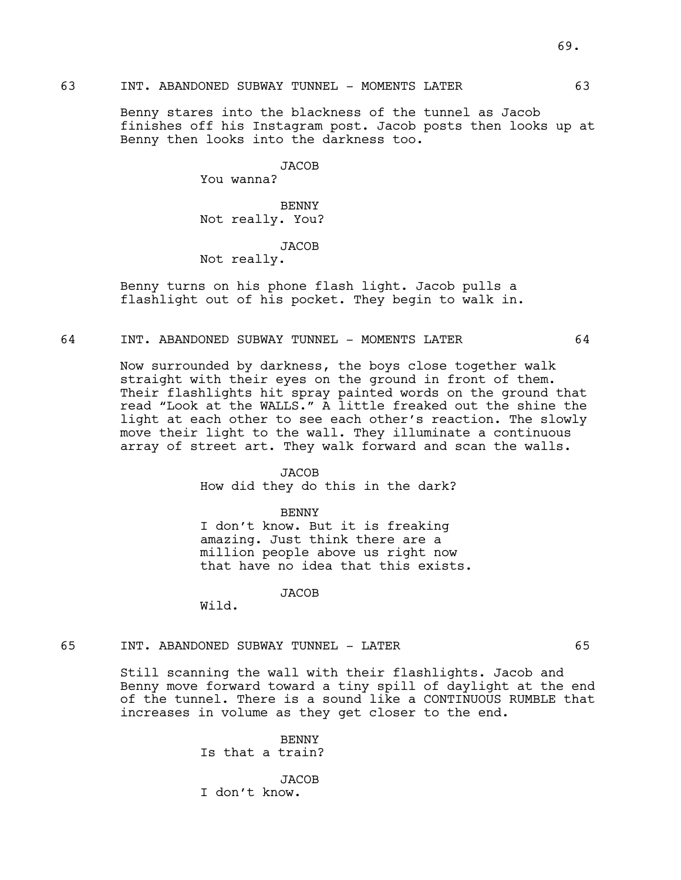Benny stares into the blackness of the tunnel as Jacob finishes off his Instagram post. Jacob posts then looks up at Benny then looks into the darkness too.

JACOB

You wanna?

BENNY Not really. You?

**JACOB** 

Not really.

Benny turns on his phone flash light. Jacob pulls a flashlight out of his pocket. They begin to walk in.

## 64 INT. ABANDONED SUBWAY TUNNEL - MOMENTS LATER 64

Now surrounded by darkness, the boys close together walk straight with their eyes on the ground in front of them. Their flashlights hit spray painted words on the ground that read "Look at the WALLS." A little freaked out the shine the light at each other to see each other's reaction. The slowly move their light to the wall. They illuminate a continuous array of street art. They walk forward and scan the walls.

#### **JACOB**

How did they do this in the dark?

BENNY

I don't know. But it is freaking amazing. Just think there are a million people above us right now that have no idea that this exists.

**JACOB** 

Wild.

## 65 INT. ABANDONED SUBWAY TUNNEL - LATER 65

Still scanning the wall with their flashlights. Jacob and Benny move forward toward a tiny spill of daylight at the end of the tunnel. There is a sound like a CONTINUOUS RUMBLE that increases in volume as they get closer to the end.

> BENNY Is that a train?

**JACOB** I don't know.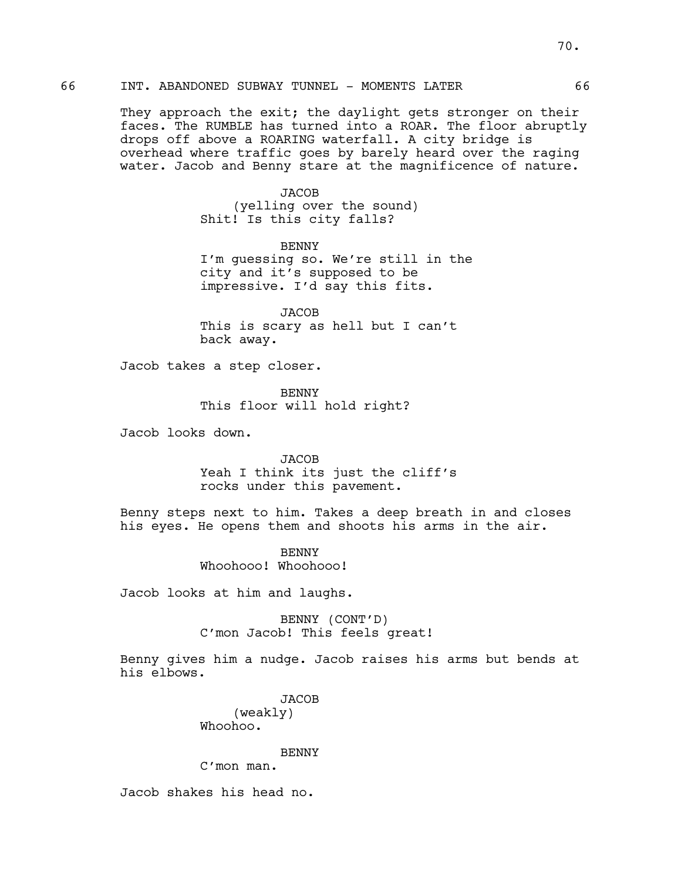They approach the exit; the daylight gets stronger on their faces. The RUMBLE has turned into a ROAR. The floor abruptly drops off above a ROARING waterfall. A city bridge is overhead where traffic goes by barely heard over the raging water. Jacob and Benny stare at the magnificence of nature.

> **JACOB** (yelling over the sound) Shit! Is this city falls?

BENNY I'm guessing so. We're still in the city and it's supposed to be impressive. I'd say this fits.

JACOB This is scary as hell but I can't back away.

Jacob takes a step closer.

BENNY This floor will hold right?

Jacob looks down.

**JACOB** Yeah I think its just the cliff's rocks under this pavement.

Benny steps next to him. Takes a deep breath in and closes his eyes. He opens them and shoots his arms in the air.

> **BENNY** Whoohooo! Whoohooo!

Jacob looks at him and laughs.

BENNY (CONT'D) C'mon Jacob! This feels great!

Benny gives him a nudge. Jacob raises his arms but bends at his elbows.

> **JACOB** (weakly) Whoohoo.

> BENNY C'mon man.

Jacob shakes his head no.

66 INT. ABANDONED SUBWAY TUNNEL - MOMENTS LATER 66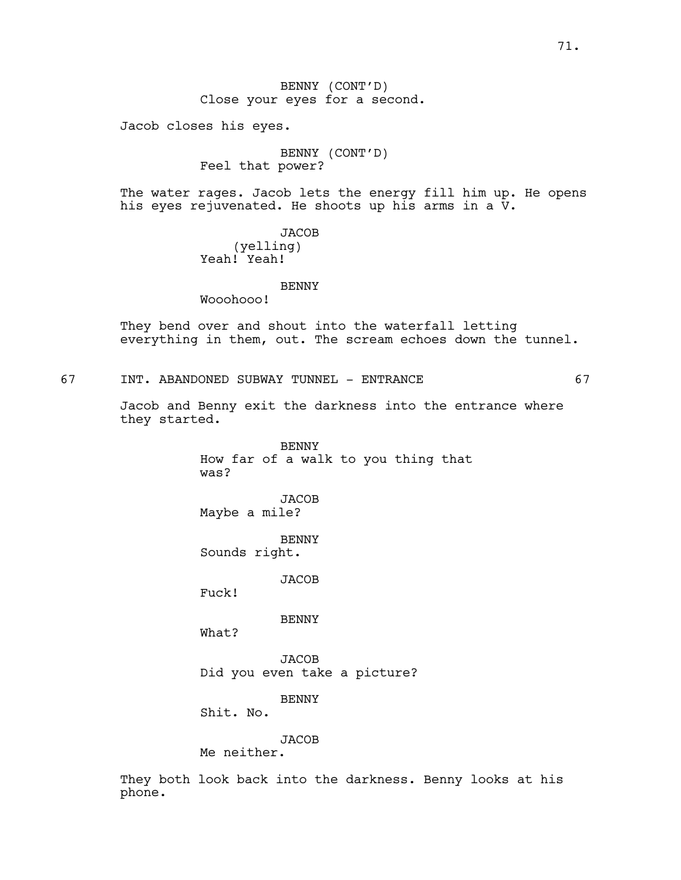BENNY (CONT'D) Close your eyes for a second.

Jacob closes his eyes.

BENNY (CONT'D) Feel that power?

The water rages. Jacob lets the energy fill him up. He opens his eyes rejuvenated. He shoots up his arms in a V.

> JACOB (yelling) Yeah! Yeah!

#### BENNY

Wooohooo!

They bend over and shout into the waterfall letting everything in them, out. The scream echoes down the tunnel.

67 INT. ABANDONED SUBWAY TUNNEL - ENTRANCE 67

Jacob and Benny exit the darkness into the entrance where they started.

> BENNY How far of a walk to you thing that was?

**JACOB** Maybe a mile?

BENNY Sounds right.

**JACOB** 

Fuck!

BENNY

What?

JACOB Did you even take a picture?

BENNY

Shit. No.

JACOB

Me neither.

They both look back into the darkness. Benny looks at his phone.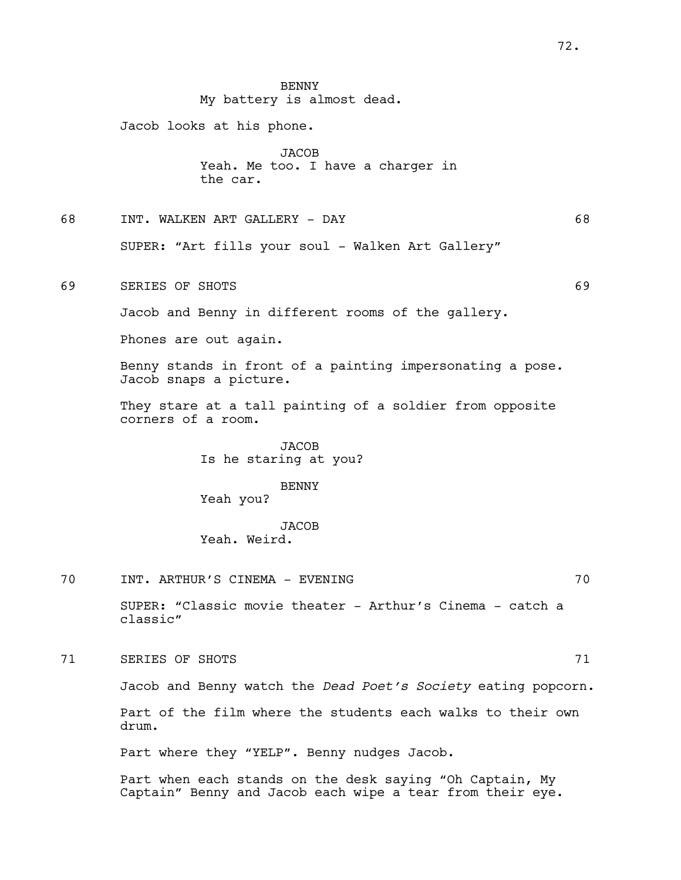BENNY My battery is almost dead.

Jacob looks at his phone.

JACOB Yeah. Me too. I have a charger in the car.

68 INT. WALKEN ART GALLERY - DAY 68

SUPER: "Art fills your soul - Walken Art Gallery"

69 SERIES OF SHOTS 69 SERIES OF SHOTS

Jacob and Benny in different rooms of the gallery.

Phones are out again.

Benny stands in front of a painting impersonating a pose. Jacob snaps a picture.

They stare at a tall painting of a soldier from opposite corners of a room.

> JACOB Is he staring at you?

BENNY Yeah you?

JACOB Yeah. Weird.

70 INT. ARTHUR'S CINEMA - EVENING 70

SUPER: "Classic movie theater - Arthur's Cinema - catch a classic"

The SERIES OF SHOTS 21 and 20 and 20 and 20 and 20 and 20 and 20 and 20 and 20 and 20 and 20 and 20 and 20 and 20 and 20 and 20 and 20 and 20 and 20 and 20 and 20 and 20 and 20 and 20 and 20 and 20 and 20 and 20 and 20 and

Jacob and Benny watch the *Dead Poet's Society* eating popcorn.

Part of the film where the students each walks to their own drum.

Part where they "YELP". Benny nudges Jacob.

Part when each stands on the desk saying "Oh Captain, My Captain" Benny and Jacob each wipe a tear from their eye.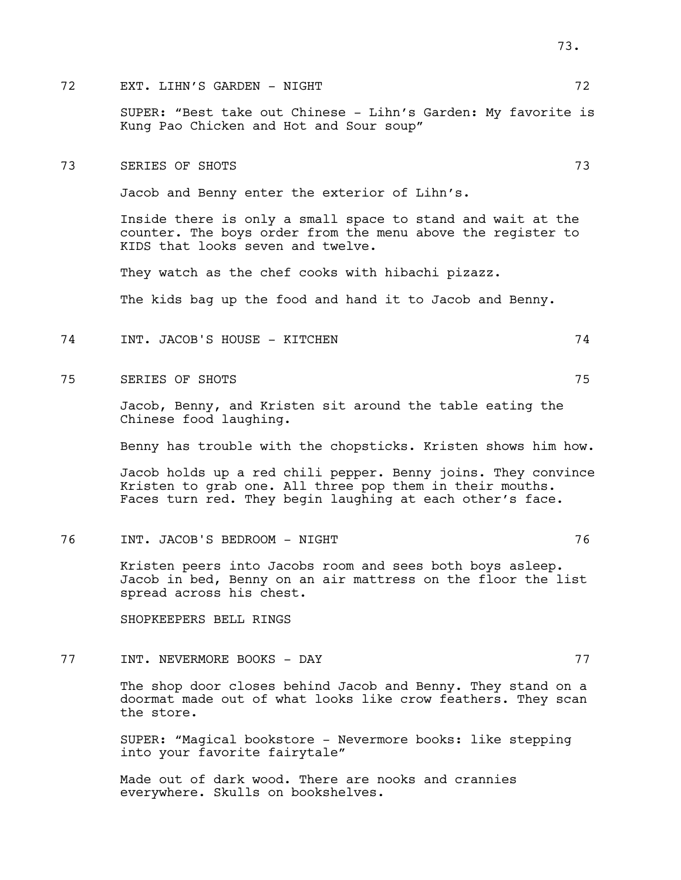# The Solution of the Solution of the SN  $\sigma$  and  $\sigma$   $\sim$  72

SUPER: "Best take out Chinese - Lihn's Garden: My favorite is Kung Pao Chicken and Hot and Sour soup"

73 SERIES OF SHOTS 73

Jacob and Benny enter the exterior of Lihn's.

Inside there is only a small space to stand and wait at the counter. The boys order from the menu above the register to KIDS that looks seven and twelve.

They watch as the chef cooks with hibachi pizazz.

The kids bag up the food and hand it to Jacob and Benny.

- 74 INT. JACOB'S HOUSE KITCHEN 74
- 75 SERIES OF SHOTS 75

Jacob, Benny, and Kristen sit around the table eating the Chinese food laughing.

Benny has trouble with the chopsticks. Kristen shows him how.

Jacob holds up a red chili pepper. Benny joins. They convince Kristen to grab one. All three pop them in their mouths. Faces turn red. They begin laughing at each other's face.

76 INT. JACOB'S BEDROOM - NIGHT 76

Kristen peers into Jacobs room and sees both boys asleep. Jacob in bed, Benny on an air mattress on the floor the list spread across his chest.

SHOPKEEPERS BELL RINGS

77 INT. NEVERMORE BOOKS - DAY 77

The shop door closes behind Jacob and Benny. They stand on a doormat made out of what looks like crow feathers. They scan the store.

SUPER: "Magical bookstore - Nevermore books: like stepping into your favorite fairytale"

Made out of dark wood. There are nooks and crannies everywhere. Skulls on bookshelves.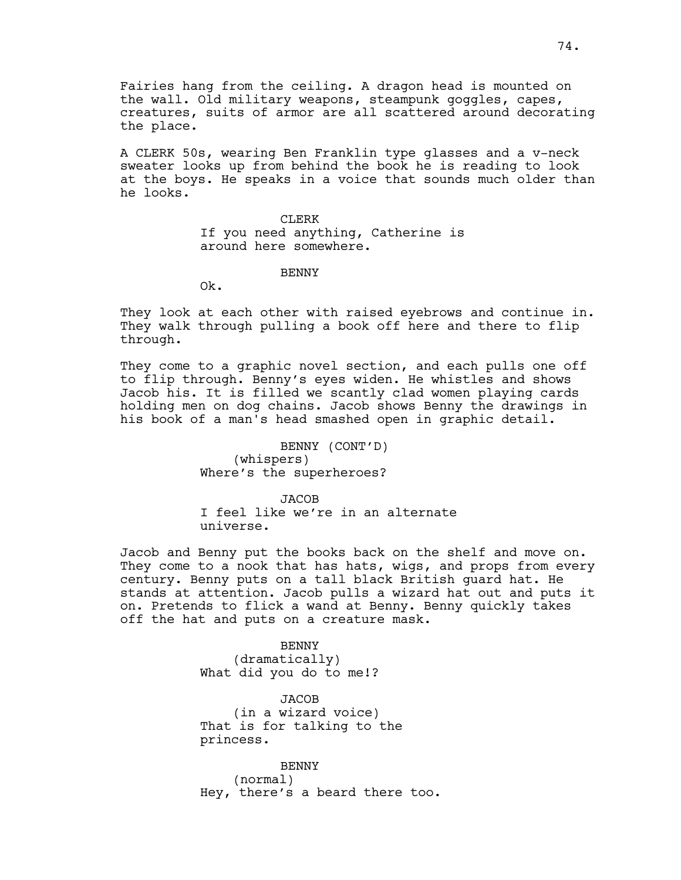Fairies hang from the ceiling. A dragon head is mounted on the wall. Old military weapons, steampunk goggles, capes, creatures, suits of armor are all scattered around decorating the place.

A CLERK 50s, wearing Ben Franklin type glasses and a v-neck sweater looks up from behind the book he is reading to look at the boys. He speaks in a voice that sounds much older than he looks.

> CLERK If you need anything, Catherine is around here somewhere.

> > BENNY

Ok.

They look at each other with raised eyebrows and continue in. They walk through pulling a book off here and there to flip through.

They come to a graphic novel section, and each pulls one off to flip through. Benny's eyes widen. He whistles and shows Jacob his. It is filled we scantly clad women playing cards holding men on dog chains. Jacob shows Benny the drawings in his book of a man's head smashed open in graphic detail.

> BENNY (CONT'D) (whispers) Where's the superheroes?

**JACOB** I feel like we're in an alternate universe.

Jacob and Benny put the books back on the shelf and move on. They come to a nook that has hats, wigs, and props from every century. Benny puts on a tall black British guard hat. He stands at attention. Jacob pulls a wizard hat out and puts it on. Pretends to flick a wand at Benny. Benny quickly takes off the hat and puts on a creature mask.

> BENNY (dramatically) What did you do to me!?

JACOB (in a wizard voice) That is for talking to the princess.

BENNY (normal) Hey, there's a beard there too.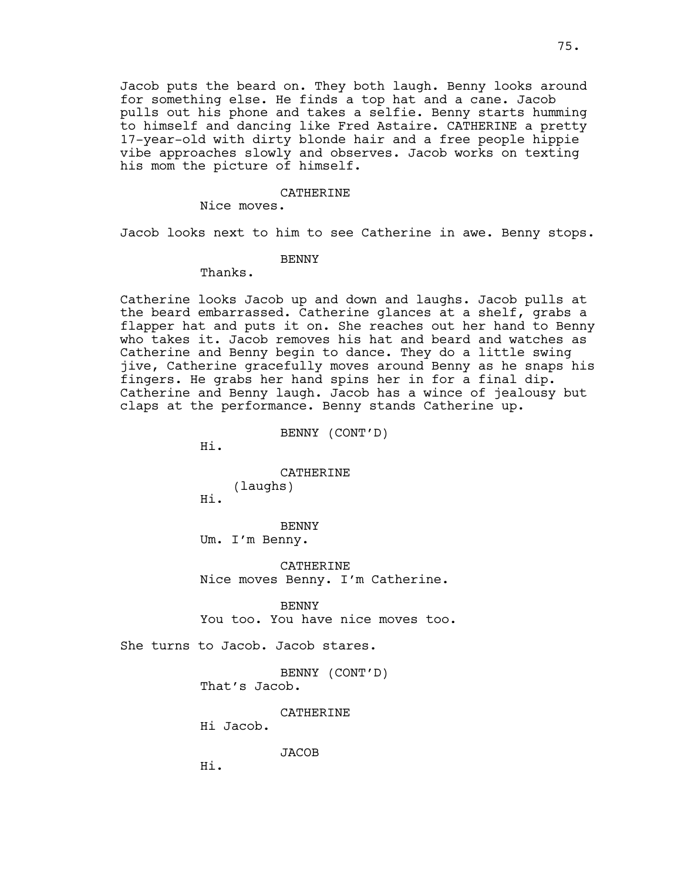Jacob puts the beard on. They both laugh. Benny looks around for something else. He finds a top hat and a cane. Jacob pulls out his phone and takes a selfie. Benny starts humming to himself and dancing like Fred Astaire. CATHERINE a pretty 17-year-old with dirty blonde hair and a free people hippie vibe approaches slowly and observes. Jacob works on texting his mom the picture of himself.

#### CATHERINE

Nice moves.

Jacob looks next to him to see Catherine in awe. Benny stops.

BENNY

Thanks.

Catherine looks Jacob up and down and laughs. Jacob pulls at the beard embarrassed. Catherine glances at a shelf, grabs a flapper hat and puts it on. She reaches out her hand to Benny who takes it. Jacob removes his hat and beard and watches as Catherine and Benny begin to dance. They do a little swing jive, Catherine gracefully moves around Benny as he snaps his fingers. He grabs her hand spins her in for a final dip. Catherine and Benny laugh. Jacob has a wince of jealousy but claps at the performance. Benny stands Catherine up.

BENNY (CONT'D)

Hi.

Hi.

**CATHERINE** (laughs)

BENNY Um. I'm Benny.

CATHERINE Nice moves Benny. I'm Catherine.

BENNY You too. You have nice moves too.

She turns to Jacob. Jacob stares.

BENNY (CONT'D) That's Jacob.

CATHERINE

Hi Jacob.

JACOB

Hi.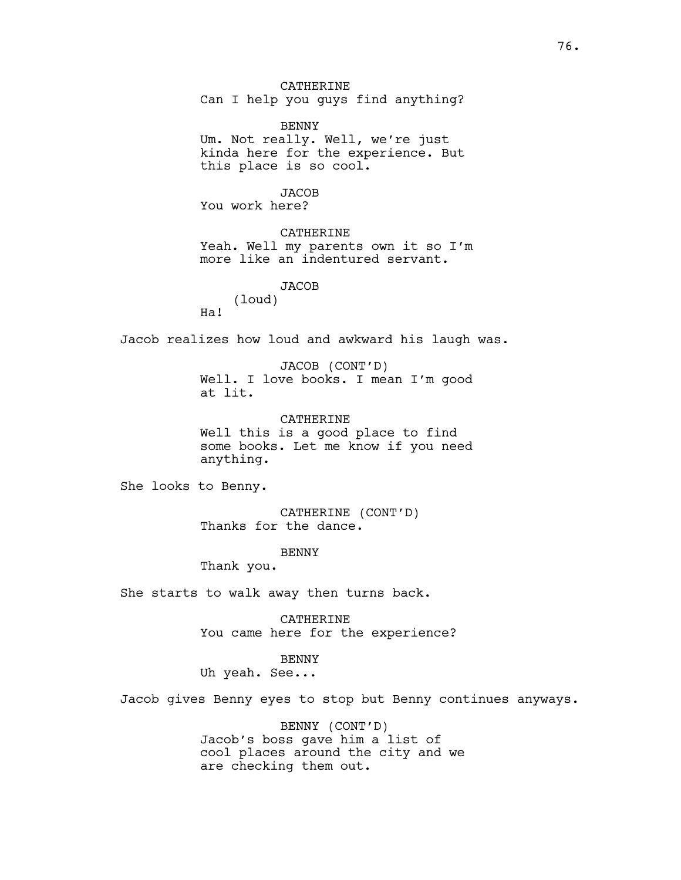CATHERINE Can I help you guys find anything?

BENNY Um. Not really. Well, we're just kinda here for the experience. But this place is so cool.

JACOB You work here?

CATHERINE Yeah. Well my parents own it so I'm more like an indentured servant.

> **JACOB** (loud)

Jacob realizes how loud and awkward his laugh was.

JACOB (CONT'D) Well. I love books. I mean I'm good at lit.

CATHERINE Well this is a good place to find some books. Let me know if you need anything.

She looks to Benny.

Ha!

CATHERINE (CONT'D) Thanks for the dance.

**BENNY** 

Thank you.

She starts to walk away then turns back.

CATHERINE You came here for the experience?

BENNY

Uh yeah. See...

Jacob gives Benny eyes to stop but Benny continues anyways.

BENNY (CONT'D) Jacob's boss gave him a list of cool places around the city and we are checking them out.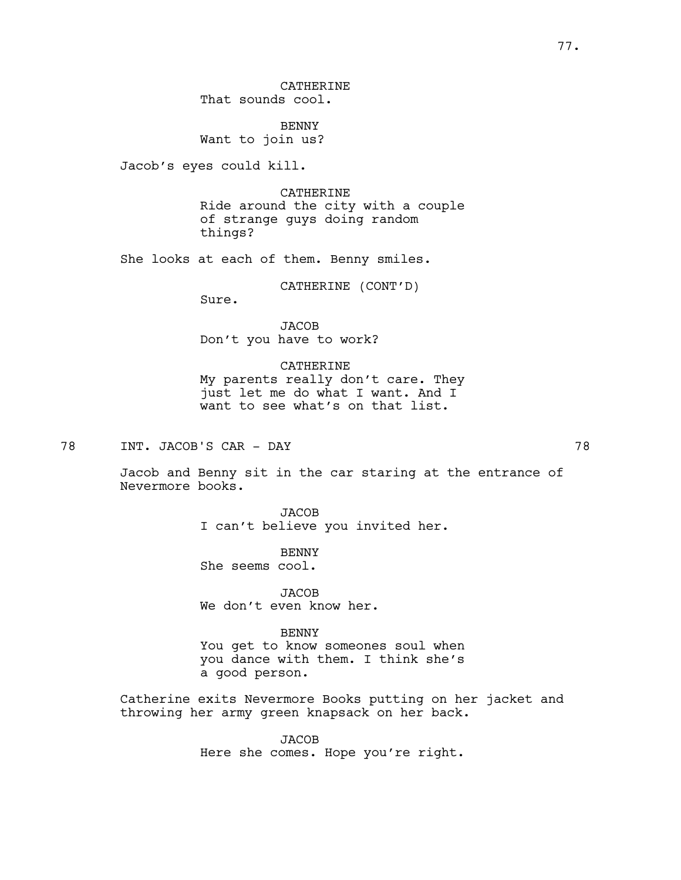CATHERINE That sounds cool.

BENNY Want to join us?

Jacob's eyes could kill.

CATHERINE Ride around the city with a couple of strange guys doing random things?

She looks at each of them. Benny smiles.

CATHERINE (CONT'D)

Sure.

JACOB Don't you have to work?

## CATHERINE

My parents really don't care. They just let me do what I want. And I want to see what's on that list.

78 INT. JACOB'S CAR - DAY 78

Jacob and Benny sit in the car staring at the entrance of Nevermore books.

> JACOB I can't believe you invited her.

**BENNY** She seems cool.

JACOB We don't even know her.

## BENNY

You get to know someones soul when you dance with them. I think she's a good person.

Catherine exits Nevermore Books putting on her jacket and throwing her army green knapsack on her back.

> JACOB Here she comes. Hope you're right.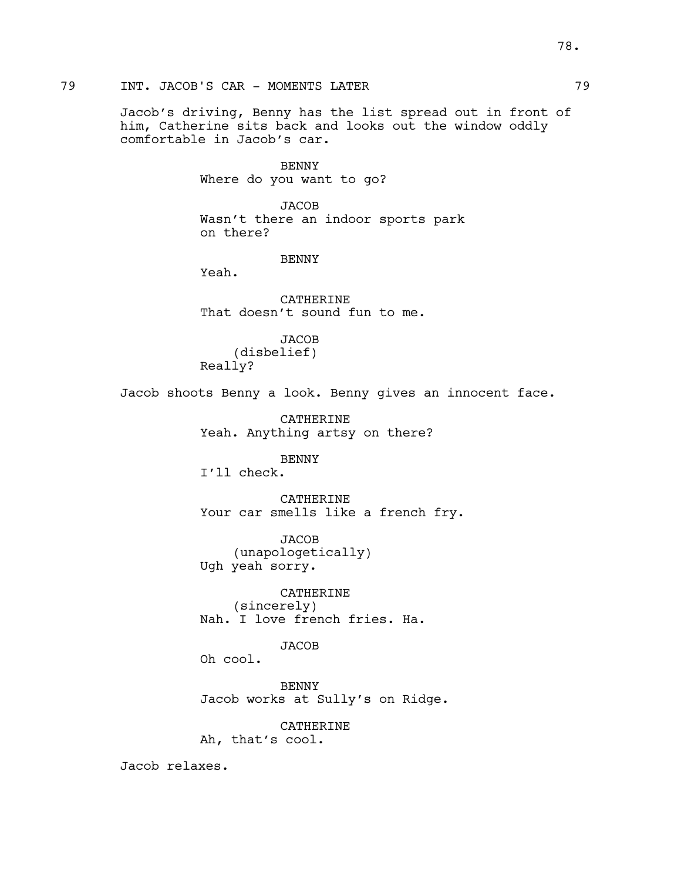Jacob's driving, Benny has the list spread out in front of him, Catherine sits back and looks out the window oddly comfortable in Jacob's car.

> BENNY Where do you want to go?

JACOB Wasn't there an indoor sports park on there?

BENNY

Yeah.

CATHERINE That doesn't sound fun to me.

**JACOB** (disbelief) Really?

Jacob shoots Benny a look. Benny gives an innocent face.

CATHERINE Yeah. Anything artsy on there?

BENNY I'll check.

CATHERINE Your car smells like a french fry.

JACOB (unapologetically) Ugh yeah sorry.

CATHERINE (sincerely) Nah. I love french fries. Ha.

**JACOB** 

Oh cool.

BENNY Jacob works at Sully's on Ridge.

CATHERINE Ah, that's cool.

Jacob relaxes.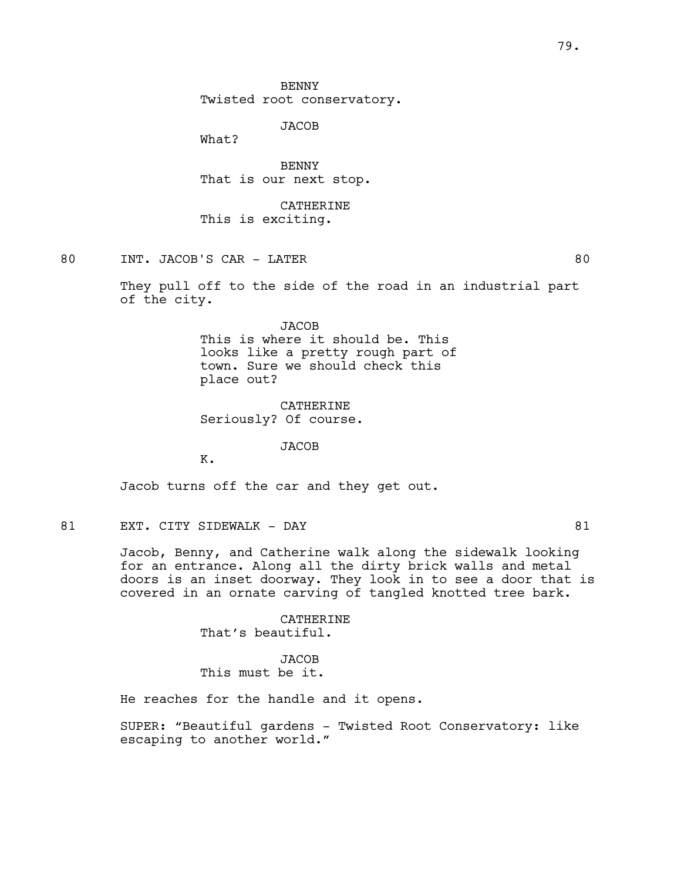**BENNY** Twisted root conservatory.

JACOB

What?

BENNY That is our next stop.

CATHERINE This is exciting.

80 INT. JACOB'S CAR - LATER 60

They pull off to the side of the road in an industrial part of the city.

> JACOB This is where it should be. This looks like a pretty rough part of town. Sure we should check this place out?

CATHERINE Seriously? Of course.

JACOB

K.

Jacob turns off the car and they get out.

81 EXT. CITY SIDEWALK - DAY 61

Jacob, Benny, and Catherine walk along the sidewalk looking for an entrance. Along all the dirty brick walls and metal doors is an inset doorway. They look in to see a door that is covered in an ornate carving of tangled knotted tree bark.

> CATHERINE That's beautiful.

**JACOB** This must be it.

He reaches for the handle and it opens.

SUPER: "Beautiful gardens - Twisted Root Conservatory: like escaping to another world."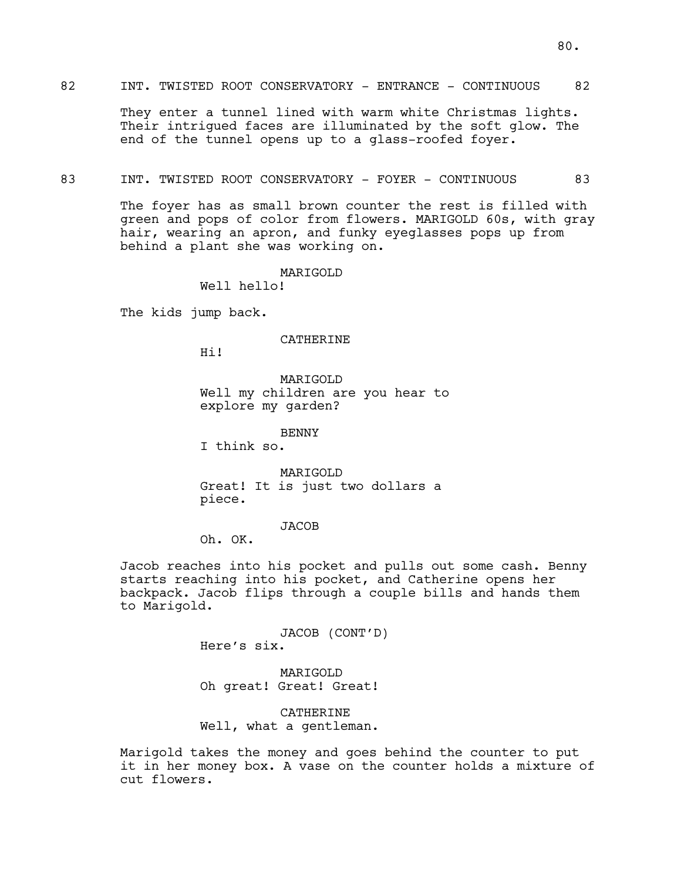## 82 INT. TWISTED ROOT CONSERVATORY - ENTRANCE - CONTINUOUS 82

They enter a tunnel lined with warm white Christmas lights. Their intrigued faces are illuminated by the soft glow. The end of the tunnel opens up to a glass-roofed foyer.

#### 83 INT. TWISTED ROOT CONSERVATORY - FOYER - CONTINUOUS 83

The foyer has as small brown counter the rest is filled with green and pops of color from flowers. MARIGOLD 60s, with gray hair, wearing an apron, and funky eyeglasses pops up from behind a plant she was working on.

MARIGOLD

Well hello!

The kids jump back.

#### CATHERINE

Hi!

MARIGOLD Well my children are you hear to explore my garden?

BENNY

I think so.

MARIGOLD Great! It is just two dollars a piece.

**JACOB** 

Oh. OK.

Jacob reaches into his pocket and pulls out some cash. Benny starts reaching into his pocket, and Catherine opens her backpack. Jacob flips through a couple bills and hands them to Marigold.

> JACOB (CONT'D) Here's six.

MARIGOLD Oh great! Great! Great!

CATHERINE Well, what a gentleman.

Marigold takes the money and goes behind the counter to put it in her money box. A vase on the counter holds a mixture of cut flowers.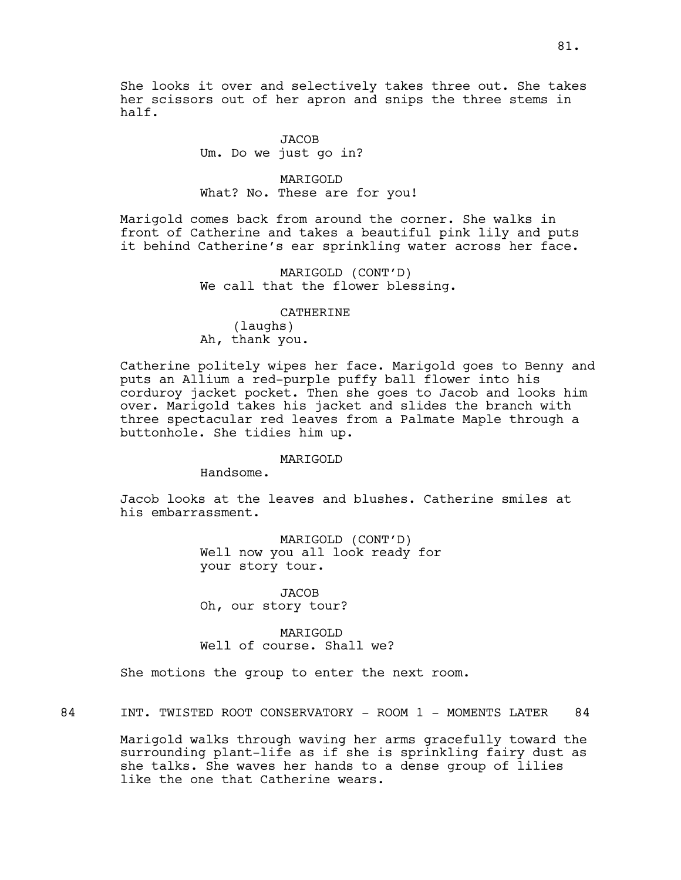She looks it over and selectively takes three out. She takes her scissors out of her apron and snips the three stems in half.

> JACOB Um. Do we just go in?

MARIGOLD What? No. These are for you!

Marigold comes back from around the corner. She walks in front of Catherine and takes a beautiful pink lily and puts it behind Catherine's ear sprinkling water across her face.

> MARIGOLD (CONT'D) We call that the flower blessing.

CATHERINE (laughs) Ah, thank you.

Catherine politely wipes her face. Marigold goes to Benny and puts an Allium a red-purple puffy ball flower into his corduroy jacket pocket. Then she goes to Jacob and looks him over. Marigold takes his jacket and slides the branch with three spectacular red leaves from a Palmate Maple through a buttonhole. She tidies him up.

MARIGOLD

Handsome.

Jacob looks at the leaves and blushes. Catherine smiles at his embarrassment.

> MARIGOLD (CONT'D) Well now you all look ready for your story tour.

**JACOB** Oh, our story tour?

MARTGOLD Well of course. Shall we?

She motions the group to enter the next room.

84 INT. TWISTED ROOT CONSERVATORY - ROOM 1 - MOMENTS LATER 84

Marigold walks through waving her arms gracefully toward the surrounding plant-life as if she is sprinkling fairy dust as she talks. She waves her hands to a dense group of lilies like the one that Catherine wears.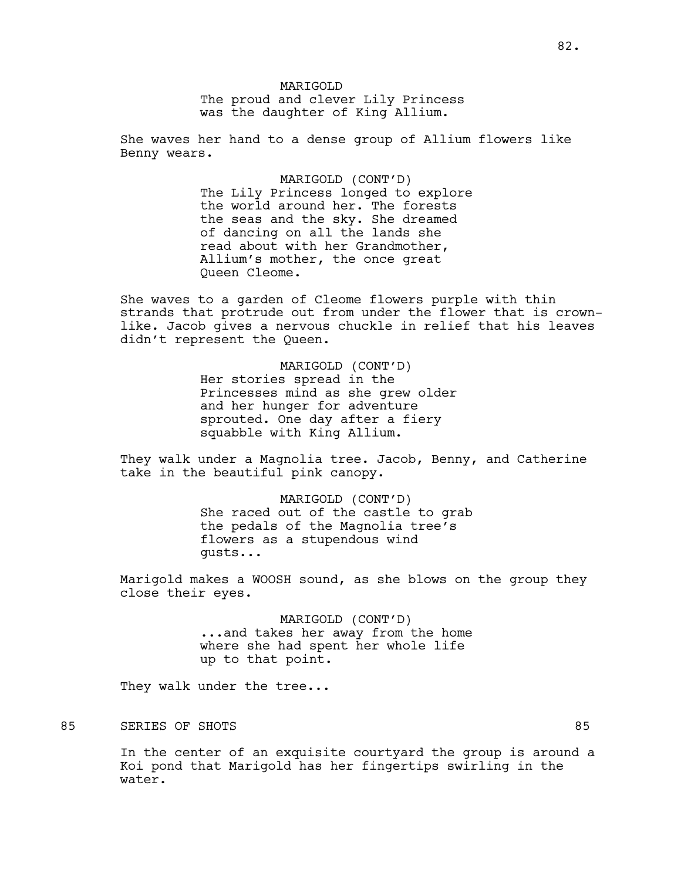MARIGOLD The proud and clever Lily Princess was the daughter of King Allium.

She waves her hand to a dense group of Allium flowers like Benny wears.

> MARIGOLD (CONT'D) The Lily Princess longed to explore the world around her. The forests the seas and the sky. She dreamed of dancing on all the lands she read about with her Grandmother, Allium's mother, the once great Queen Cleome.

She waves to a garden of Cleome flowers purple with thin strands that protrude out from under the flower that is crownlike. Jacob gives a nervous chuckle in relief that his leaves didn't represent the Queen.

> MARIGOLD (CONT'D) Her stories spread in the Princesses mind as she grew older and her hunger for adventure sprouted. One day after a fiery squabble with King Allium.

They walk under a Magnolia tree. Jacob, Benny, and Catherine take in the beautiful pink canopy.

> MARIGOLD (CONT'D) She raced out of the castle to grab the pedals of the Magnolia tree's flowers as a stupendous wind gusts...

Marigold makes a WOOSH sound, as she blows on the group they close their eyes.

> MARIGOLD (CONT'D) ...and takes her away from the home where she had spent her whole life up to that point.

They walk under the tree...

85 SERIES OF SHOTS 85

In the center of an exquisite courtyard the group is around a Koi pond that Marigold has her fingertips swirling in the water.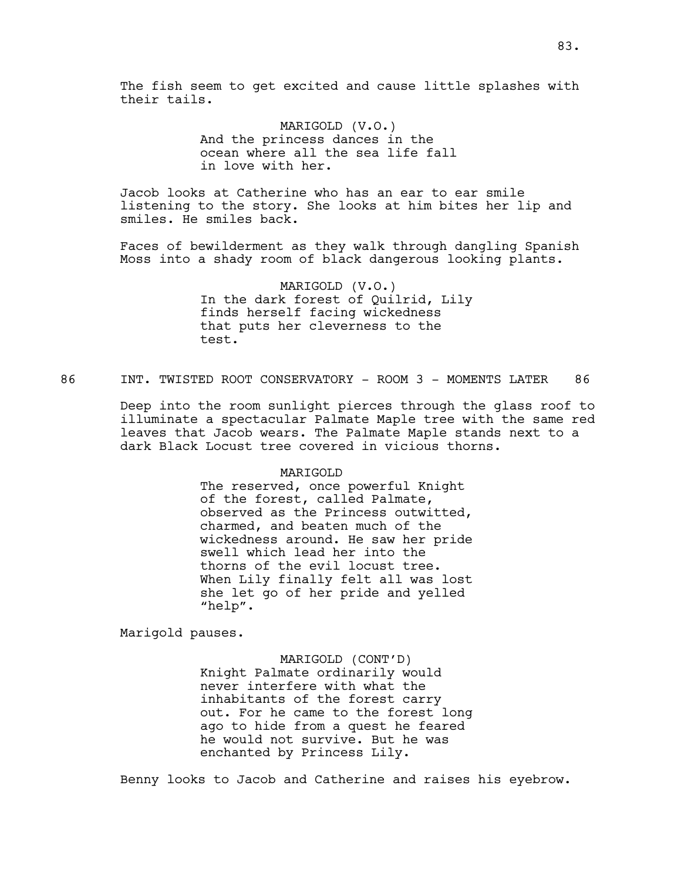The fish seem to get excited and cause little splashes with their tails.

> MARIGOLD (V.O.) And the princess dances in the ocean where all the sea life fall in love with her.

Jacob looks at Catherine who has an ear to ear smile listening to the story. She looks at him bites her lip and smiles. He smiles back.

Faces of bewilderment as they walk through dangling Spanish Moss into a shady room of black dangerous looking plants.

> MARIGOLD (V.O.) In the dark forest of Quilrid, Lily finds herself facing wickedness that puts her cleverness to the test.

86 INT. TWISTED ROOT CONSERVATORY - ROOM 3 - MOMENTS LATER 86

Deep into the room sunlight pierces through the glass roof to illuminate a spectacular Palmate Maple tree with the same red leaves that Jacob wears. The Palmate Maple stands next to a dark Black Locust tree covered in vicious thorns.

## MARIGOLD

The reserved, once powerful Knight of the forest, called Palmate, observed as the Princess outwitted, charmed, and beaten much of the wickedness around. He saw her pride swell which lead her into the thorns of the evil locust tree. When Lily finally felt all was lost she let go of her pride and yelled "help".

Marigold pauses.

MARIGOLD (CONT'D) Knight Palmate ordinarily would never interfere with what the inhabitants of the forest carry out. For he came to the forest long ago to hide from a quest he feared he would not survive. But he was enchanted by Princess Lily.

Benny looks to Jacob and Catherine and raises his eyebrow.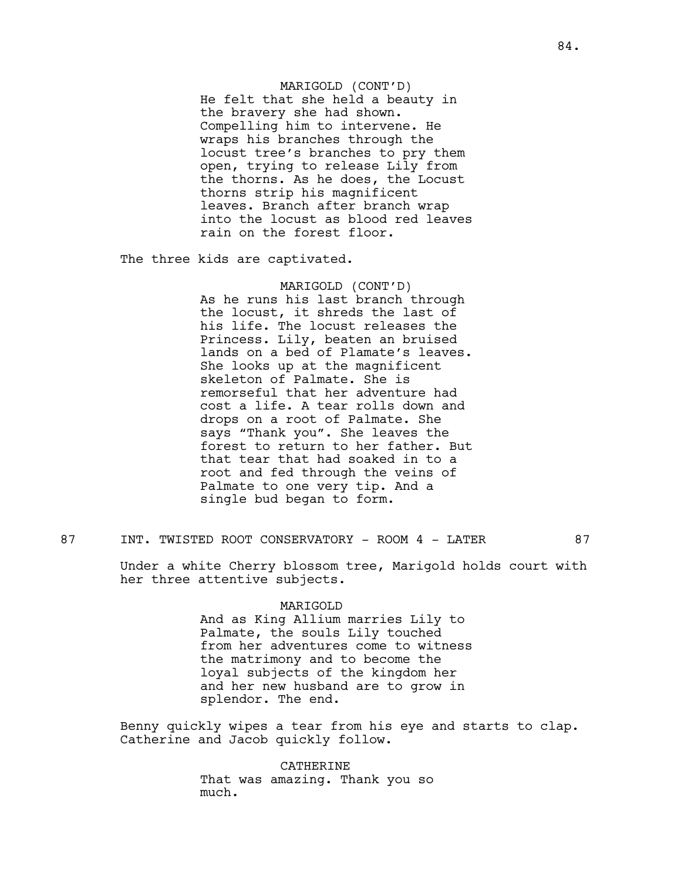## MARIGOLD (CONT'D)

He felt that she held a beauty in the bravery she had shown. Compelling him to intervene. He wraps his branches through the locust tree's branches to pry them open, trying to release Lily from the thorns. As he does, the Locust thorns strip his magnificent leaves. Branch after branch wrap into the locust as blood red leaves rain on the forest floor.

The three kids are captivated.

MARIGOLD (CONT'D) As he runs his last branch through the locust, it shreds the last of his life. The locust releases the Princess. Lily, beaten an bruised lands on a bed of Plamate's leaves. She looks up at the magnificent skeleton of Palmate. She is remorseful that her adventure had cost a life. A tear rolls down and drops on a root of Palmate. She says "Thank you". She leaves the forest to return to her father. But that tear that had soaked in to a root and fed through the veins of Palmate to one very tip. And a single bud began to form.

# 87 INT. TWISTED ROOT CONSERVATORY - ROOM 4 - LATER 87

Under a white Cherry blossom tree, Marigold holds court with her three attentive subjects.

#### MARIGOLD

And as King Allium marries Lily to Palmate, the souls Lily touched from her adventures come to witness the matrimony and to become the loyal subjects of the kingdom her and her new husband are to grow in splendor. The end.

Benny quickly wipes a tear from his eye and starts to clap. Catherine and Jacob quickly follow.

> **CATHERINE** That was amazing. Thank you so much.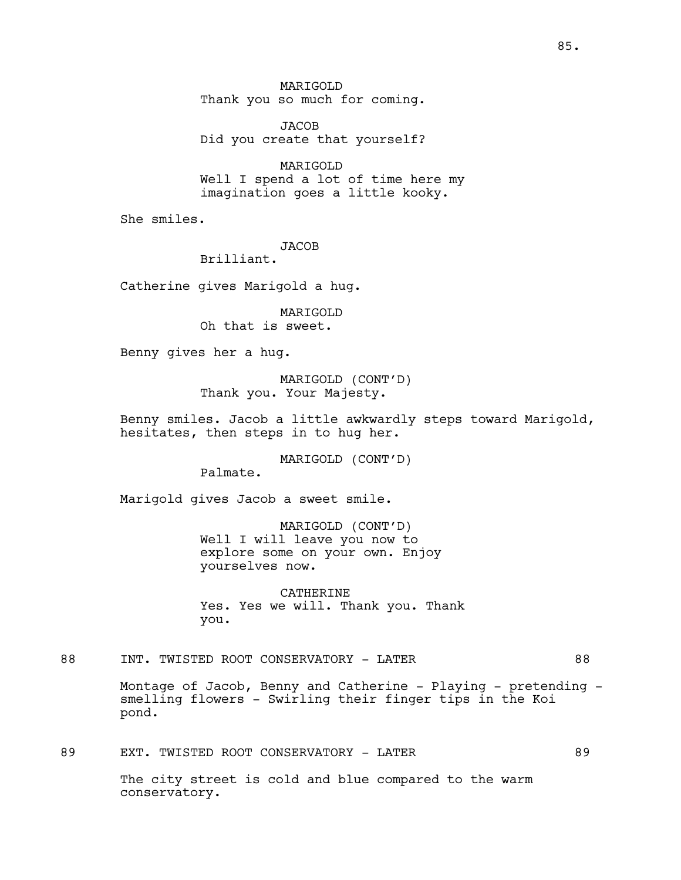MARIGOLD Thank you so much for coming.

JACOB Did you create that yourself?

MARIGOLD Well I spend a lot of time here my imagination goes a little kooky.

She smiles.

JACOB

Brilliant.

Catherine gives Marigold a hug.

MARIGOLD Oh that is sweet.

Benny gives her a hug.

MARIGOLD (CONT'D) Thank you. Your Majesty.

Benny smiles. Jacob a little awkwardly steps toward Marigold, hesitates, then steps in to hug her.

MARIGOLD (CONT'D)

Palmate.

Marigold gives Jacob a sweet smile.

MARIGOLD (CONT'D) Well I will leave you now to explore some on your own. Enjoy yourselves now.

CATHERINE Yes. Yes we will. Thank you. Thank you.

88 INT. TWISTED ROOT CONSERVATORY - LATER 88

Montage of Jacob, Benny and Catherine - Playing - pretending smelling flowers - Swirling their finger tips in the Koi pond.

89 EXT. TWISTED ROOT CONSERVATORY - LATER 69

The city street is cold and blue compared to the warm conservatory.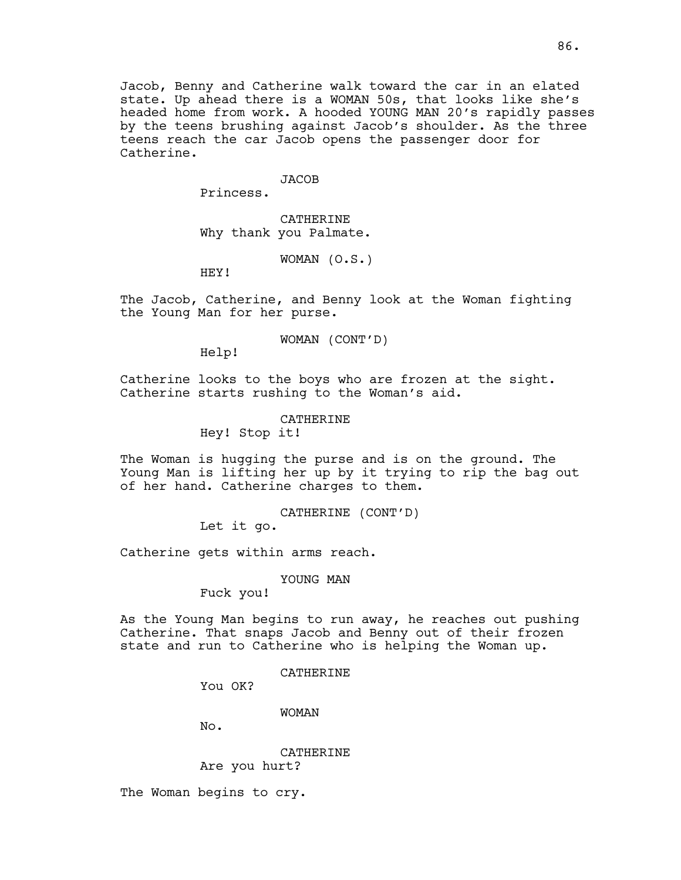#### **JACOB**

Princess.

CATHERINE Why thank you Palmate.

WOMAN (O.S.)

HEY!

The Jacob, Catherine, and Benny look at the Woman fighting the Young Man for her purse.

WOMAN (CONT'D)

Help!

Catherine looks to the boys who are frozen at the sight. Catherine starts rushing to the Woman's aid.

CATHERINE

Hey! Stop it!

The Woman is hugging the purse and is on the ground. The Young Man is lifting her up by it trying to rip the bag out of her hand. Catherine charges to them.

CATHERINE (CONT'D)

Let it go.

Catherine gets within arms reach.

YOUNG MAN

Fuck you!

As the Young Man begins to run away, he reaches out pushing Catherine. That snaps Jacob and Benny out of their frozen state and run to Catherine who is helping the Woman up.

CATHERINE

You OK?

WOMAN

No.

CATHERINE Are you hurt?

The Woman begins to cry.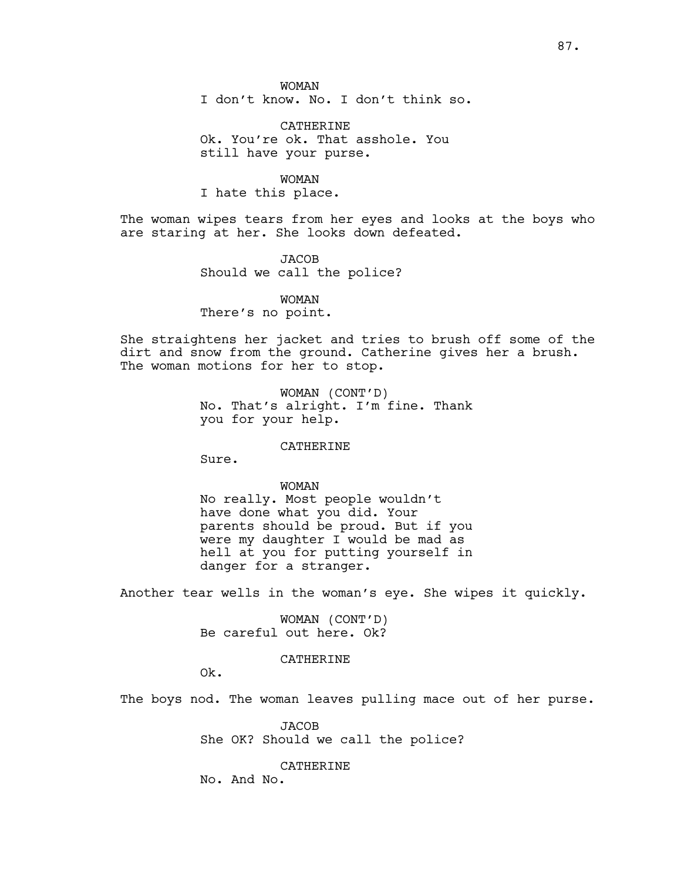I don't know. No. I don't think so.

CATHERINE Ok. You're ok. That asshole. You still have your purse.

WOMAN I hate this place.

The woman wipes tears from her eyes and looks at the boys who are staring at her. She looks down defeated.

> **JACOB** Should we call the police?

> > WOMAN

There's no point.

She straightens her jacket and tries to brush off some of the dirt and snow from the ground. Catherine gives her a brush. The woman motions for her to stop.

> WOMAN (CONT'D) No. That's alright. I'm fine. Thank you for your help.

> > CATHERINE

Sure.

## WOMAN

No really. Most people wouldn't have done what you did. Your parents should be proud. But if you were my daughter I would be mad as hell at you for putting yourself in danger for a stranger.

Another tear wells in the woman's eye. She wipes it quickly.

WOMAN (CONT'D) Be careful out here. Ok?

## CATHERINE

Ok.

The boys nod. The woman leaves pulling mace out of her purse.

JACOB She OK? Should we call the police?

CATHERINE

No. And No.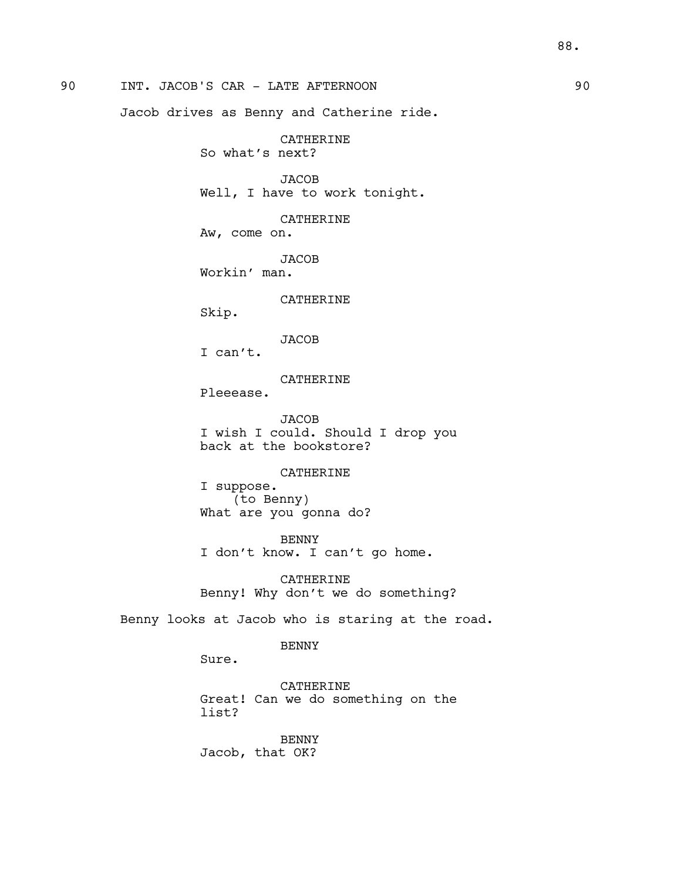90 INT. JACOB'S CAR - LATE AFTERNOON 90

Jacob drives as Benny and Catherine ride.

CATHERINE So what's next?

**JACOB** Well, I have to work tonight.

CATHERINE Aw, come on.

JACOB Workin' man.

CATHERINE

Skip.

JACOB

I can't.

CATHERINE

Pleeease.

JACOB I wish I could. Should I drop you back at the bookstore?

## CATHERINE

I suppose. (to Benny) What are you gonna do?

BENNY I don't know. I can't go home.

CATHERINE Benny! Why don't we do something?

Benny looks at Jacob who is staring at the road.

BENNY

Sure.

CATHERINE Great! Can we do something on the list?

BENNY Jacob, that OK?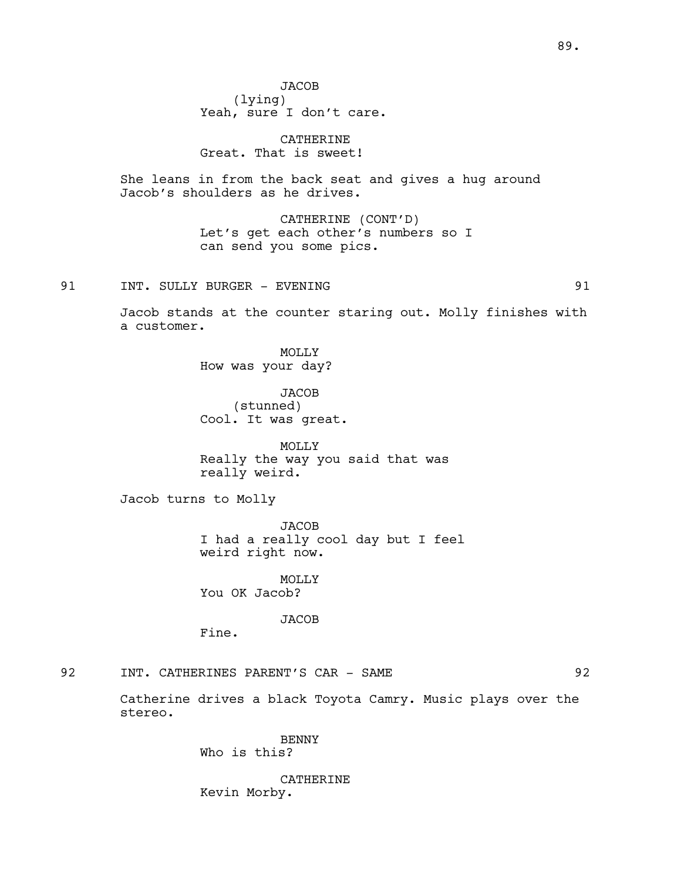CATHERINE Great. That is sweet!

She leans in from the back seat and gives a hug around Jacob's shoulders as he drives.

> CATHERINE (CONT'D) Let's get each other's numbers so I can send you some pics.

# 91 INT. SULLY BURGER - EVENING 191

Jacob stands at the counter staring out. Molly finishes with a customer.

> MOLLY How was your day?

JACOB (stunned) Cool. It was great.

MOLLY Really the way you said that was really weird.

Jacob turns to Molly

**JACOB** I had a really cool day but I feel weird right now.

MOLLY You OK Jacob?

JACOB

Fine.

# 92 INT. CATHERINES PARENT'S CAR - SAME 92

Catherine drives a black Toyota Camry. Music plays over the stereo.

> BENNY Who is this?

CATHERINE Kevin Morby.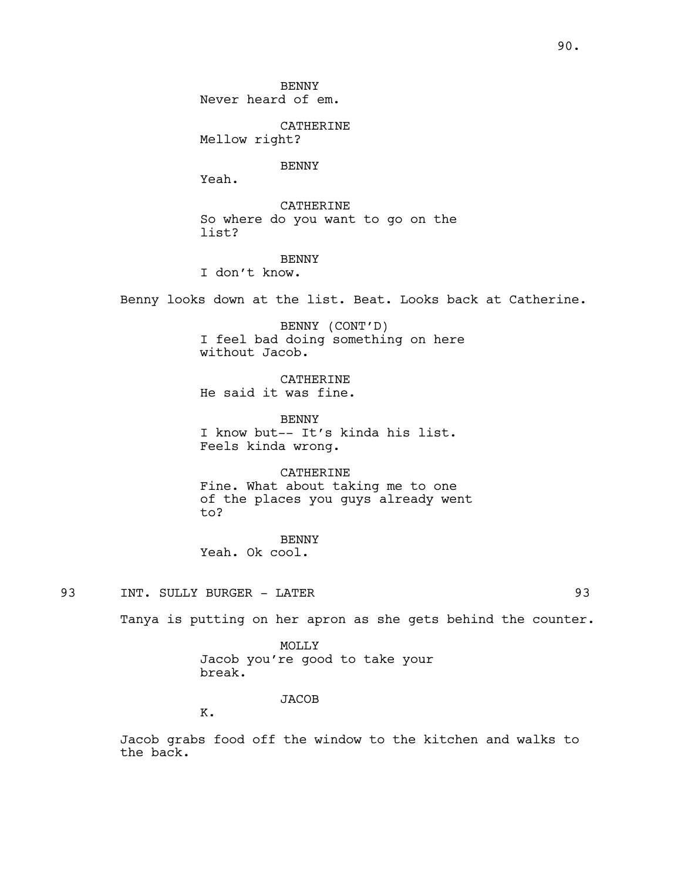CATHERINE Mellow right?

BENNY

Yeah.

CATHERINE So where do you want to go on the list?

# BENNY

I don't know.

Benny looks down at the list. Beat. Looks back at Catherine.

BENNY (CONT'D) I feel bad doing something on here without Jacob.

CATHERINE He said it was fine.

BENNY I know but-- It's kinda his list. Feels kinda wrong.

CATHERINE Fine. What about taking me to one of the places you guys already went to?

BENNY Yeah. Ok cool.

93 INT. SULLY BURGER - LATER 93

Tanya is putting on her apron as she gets behind the counter.

MOLLY Jacob you're good to take your break.

JACOB

K.

Jacob grabs food off the window to the kitchen and walks to the back.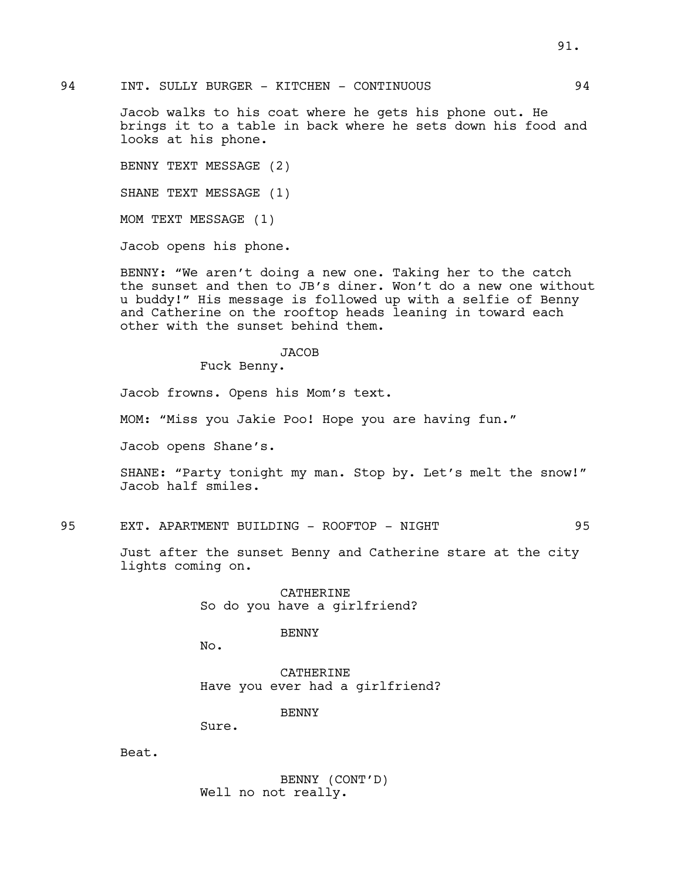Jacob walks to his coat where he gets his phone out. He brings it to a table in back where he sets down his food and looks at his phone.

BENNY TEXT MESSAGE (2)

SHANE TEXT MESSAGE (1)

MOM TEXT MESSAGE (1)

Jacob opens his phone.

BENNY: "We aren't doing a new one. Taking her to the catch the sunset and then to JB's diner. Won't do a new one without u buddy!" His message is followed up with a selfie of Benny and Catherine on the rooftop heads leaning in toward each other with the sunset behind them.

## JACOB

Fuck Benny.

Jacob frowns. Opens his Mom's text.

MOM: "Miss you Jakie Poo! Hope you are having fun."

Jacob opens Shane's.

SHANE: "Party tonight my man. Stop by. Let's melt the snow!" Jacob half smiles.

95 EXT. APARTMENT BUILDING - ROOFTOP - NIGHT 95

Just after the sunset Benny and Catherine stare at the city lights coming on.

> CATHERINE So do you have a girlfriend?

> > BENNY

No.

CATHERINE Have you ever had a girlfriend?

BENNY

Sure.

Beat.

BENNY (CONT'D) Well no not really.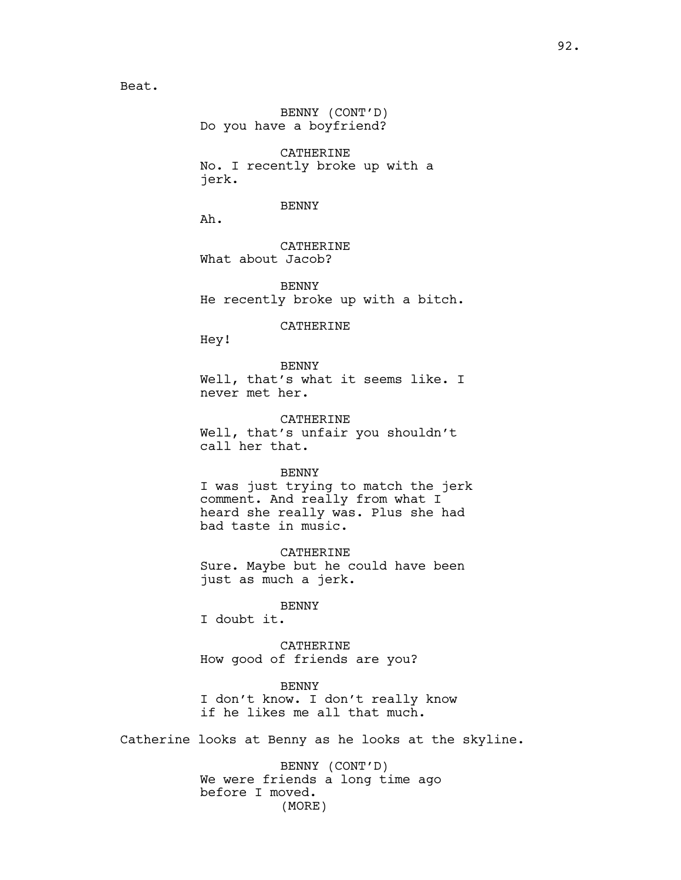BENNY (CONT'D) Do you have a boyfriend?

CATHERINE No. I recently broke up with a jerk.

BENNY

Ah.

CATHERINE What about Jacob?

BENNY He recently broke up with a bitch.

CATHERINE

Hey!

BENNY Well, that's what it seems like. I never met her.

CATHERINE Well, that's unfair you shouldn't call her that.

#### BENNY

I was just trying to match the jerk comment. And really from what I heard she really was. Plus she had bad taste in music.

CATHERINE Sure. Maybe but he could have been just as much a jerk.

## BENNY

I doubt it.

CATHERINE How good of friends are you?

BENNY I don't know. I don't really know if he likes me all that much.

Catherine looks at Benny as he looks at the skyline.

BENNY (CONT'D) We were friends a long time ago before I moved. (MORE)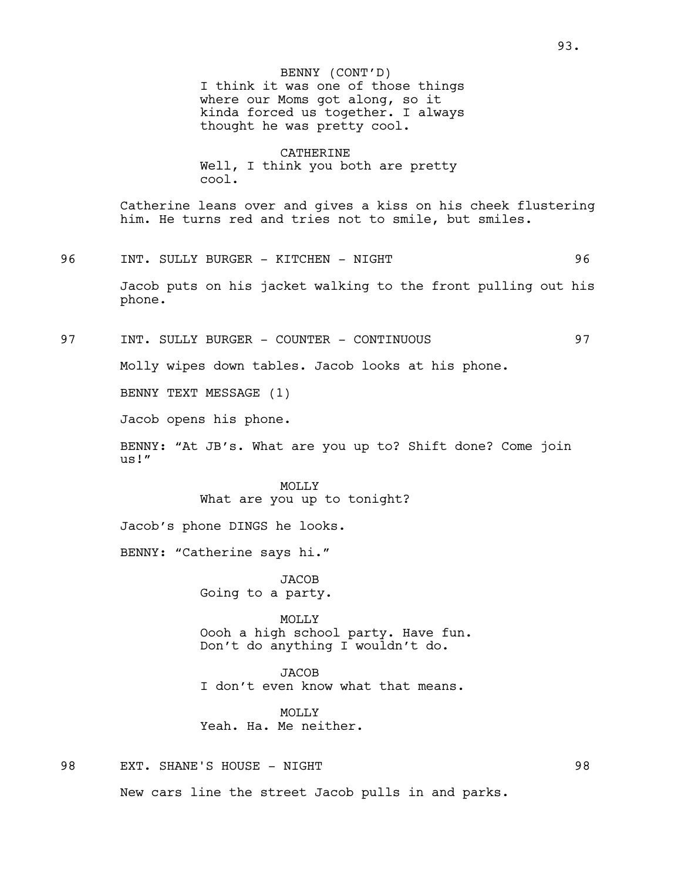I think it was one of those things where our Moms got along, so it kinda forced us together. I always thought he was pretty cool. BENNY (CONT'D)

CATHERINE Well, I think you both are pretty cool.

Catherine leans over and gives a kiss on his cheek flustering him. He turns red and tries not to smile, but smiles.

### 96 INT. SULLY BURGER - KITCHEN - NIGHT 96

Jacob puts on his jacket walking to the front pulling out his phone.

97 INT. SULLY BURGER - COUNTER - CONTINUOUS 97

Molly wipes down tables. Jacob looks at his phone.

BENNY TEXT MESSAGE (1)

Jacob opens his phone.

BENNY: "At JB's. What are you up to? Shift done? Come join us!"

## MOLLY What are you up to tonight?

Jacob's phone DINGS he looks.

BENNY: "Catherine says hi."

**JACOB** Going to a party.

MOLLY Oooh a high school party. Have fun. Don't do anything I wouldn't do.

JACOB I don't even know what that means.

MOLLY<sub>N</sub> Yeah. Ha. Me neither.

98 EXT. SHANE'S HOUSE - NIGHT 98

New cars line the street Jacob pulls in and parks.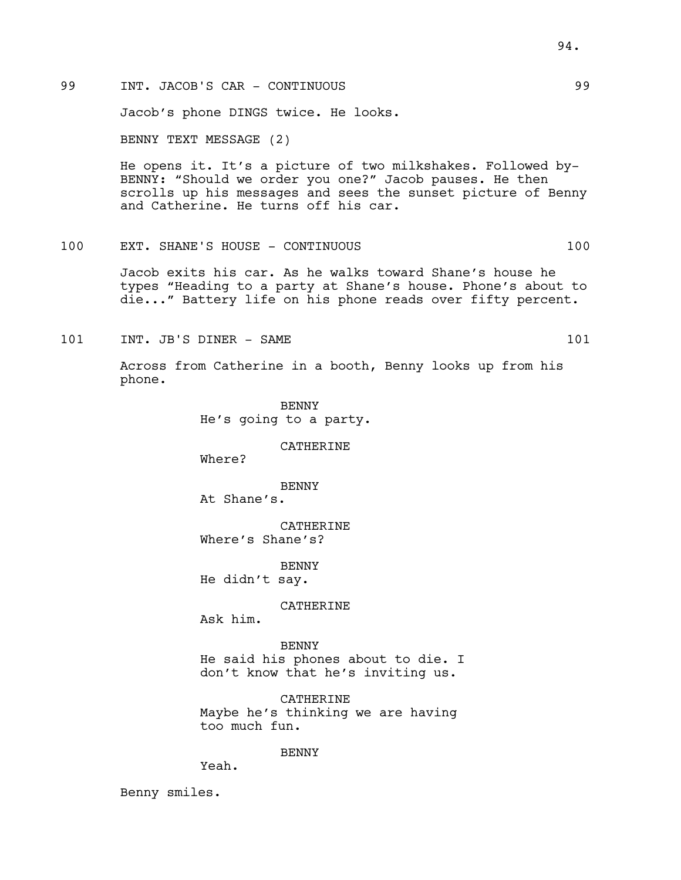Jacob's phone DINGS twice. He looks.

BENNY TEXT MESSAGE (2)

He opens it. It's a picture of two milkshakes. Followed by-BENNY: "Should we order you one?" Jacob pauses. He then scrolls up his messages and sees the sunset picture of Benny and Catherine. He turns off his car.

# 100 EXT. SHANE'S HOUSE - CONTINUOUS 100

Jacob exits his car. As he walks toward Shane's house he types "Heading to a party at Shane's house. Phone's about to die..." Battery life on his phone reads over fifty percent.

101 INT. JB'S DINER - SAME 101

Across from Catherine in a booth, Benny looks up from his phone.

> BENNY He's going to a party.

> > CATHERINE

Where?

BENNY At Shane's.

CATHERINE Where's Shane's?

BENNY

He didn't say.

CATHERINE

Ask him.

**BENNY** He said his phones about to die. I don't know that he's inviting us.

CATHERINE Maybe he's thinking we are having too much fun.

BENNY

Yeah.

Benny smiles.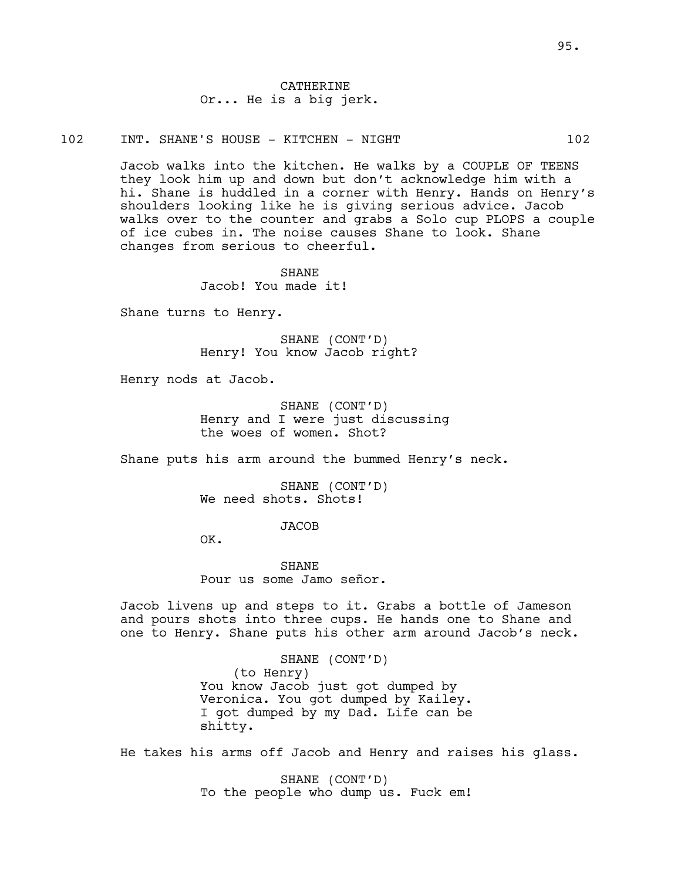CATHERINE Or... He is a big jerk.

102 INT. SHANE'S HOUSE - KITCHEN - NIGHT 102

Jacob walks into the kitchen. He walks by a COUPLE OF TEENS they look him up and down but don't acknowledge him with a hi. Shane is huddled in a corner with Henry. Hands on Henry's shoulders looking like he is giving serious advice. Jacob walks over to the counter and grabs a Solo cup PLOPS a couple of ice cubes in. The noise causes Shane to look. Shane changes from serious to cheerful.

> **SHANE** Jacob! You made it!

Shane turns to Henry.

SHANE (CONT'D) Henry! You know Jacob right?

Henry nods at Jacob.

SHANE (CONT'D) Henry and I were just discussing the woes of women. Shot?

Shane puts his arm around the bummed Henry's neck.

SHANE (CONT'D) We need shots. Shots!

JACOB

OK.

**SHANE** Pour us some Jamo señor.

Jacob livens up and steps to it. Grabs a bottle of Jameson and pours shots into three cups. He hands one to Shane and one to Henry. Shane puts his other arm around Jacob's neck.

> SHANE (CONT'D) (to Henry) You know Jacob just got dumped by Veronica. You got dumped by Kailey. I got dumped by my Dad. Life can be shitty.

He takes his arms off Jacob and Henry and raises his glass.

SHANE (CONT'D) To the people who dump us. Fuck em!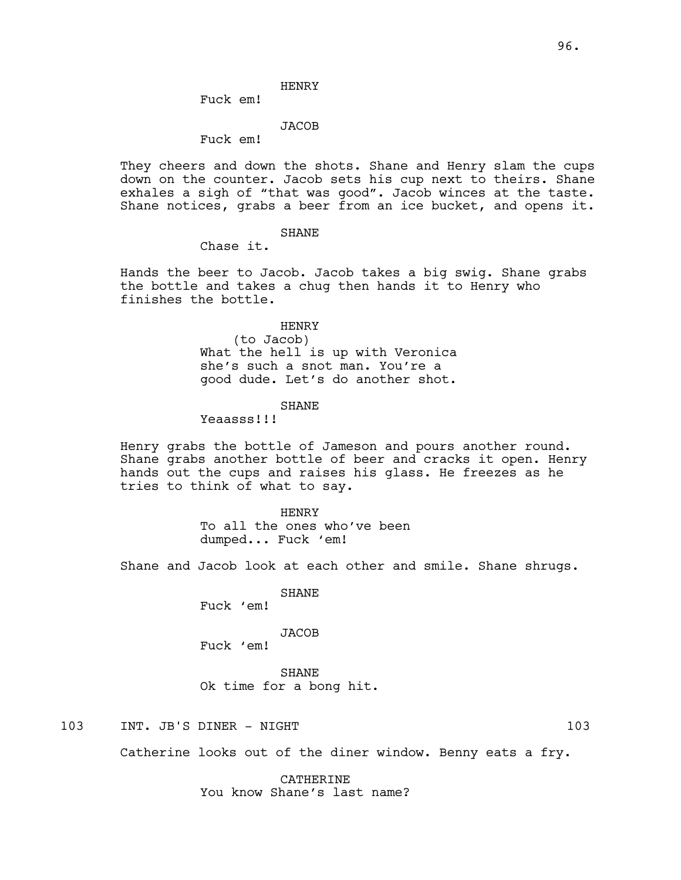## HENRY

Fuck em!

#### JACOB

Fuck em!

They cheers and down the shots. Shane and Henry slam the cups down on the counter. Jacob sets his cup next to theirs. Shane exhales a sigh of "that was good". Jacob winces at the taste. Shane notices, grabs a beer from an ice bucket, and opens it.

## SHANE

Chase it.

Hands the beer to Jacob. Jacob takes a big swig. Shane grabs the bottle and takes a chug then hands it to Henry who finishes the bottle.

#### HENRY

(to Jacob) What the hell is up with Veronica she's such a snot man. You're a good dude. Let's do another shot.

## **SHANE**

Yeaasss!!!

Henry grabs the bottle of Jameson and pours another round. Shane grabs another bottle of beer and cracks it open. Henry hands out the cups and raises his glass. He freezes as he tries to think of what to say.

> HENRY To all the ones who've been dumped... Fuck 'em!

Shane and Jacob look at each other and smile. Shane shrugs.

SHANE Fuck 'em!

# JACOB

Fuck 'em!

SHANE Ok time for a bong hit.

103 INT. JB'S DINER - NIGHT 103 2001 103

Catherine looks out of the diner window. Benny eats a fry.

CATHERINE

You know Shane's last name?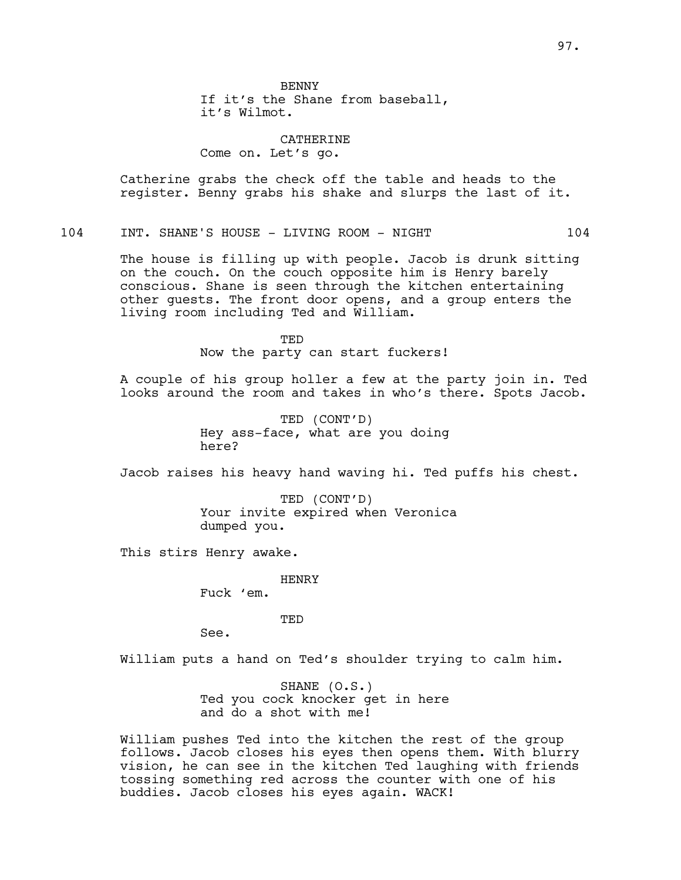BENNY If it's the Shane from baseball, it's Wilmot.

CATHERINE Come on. Let's go.

Catherine grabs the check off the table and heads to the register. Benny grabs his shake and slurps the last of it.

## 104 INT. SHANE'S HOUSE - LIVING ROOM - NIGHT 104

The house is filling up with people. Jacob is drunk sitting on the couch. On the couch opposite him is Henry barely conscious. Shane is seen through the kitchen entertaining other guests. The front door opens, and a group enters the living room including Ted and William.

> TED Now the party can start fuckers!

A couple of his group holler a few at the party join in. Ted looks around the room and takes in who's there. Spots Jacob.

> TED (CONT'D) Hey ass-face, what are you doing here?

Jacob raises his heavy hand waving hi. Ted puffs his chest.

TED (CONT'D) Your invite expired when Veronica dumped you.

This stirs Henry awake.

HENRY Fuck 'em.

TED

See.

William puts a hand on Ted's shoulder trying to calm him.

SHANE (O.S.) Ted you cock knocker get in here and do a shot with me!

William pushes Ted into the kitchen the rest of the group follows. Jacob closes his eyes then opens them. With blurry vision, he can see in the kitchen Ted laughing with friends tossing something red across the counter with one of his buddies. Jacob closes his eyes again. WACK!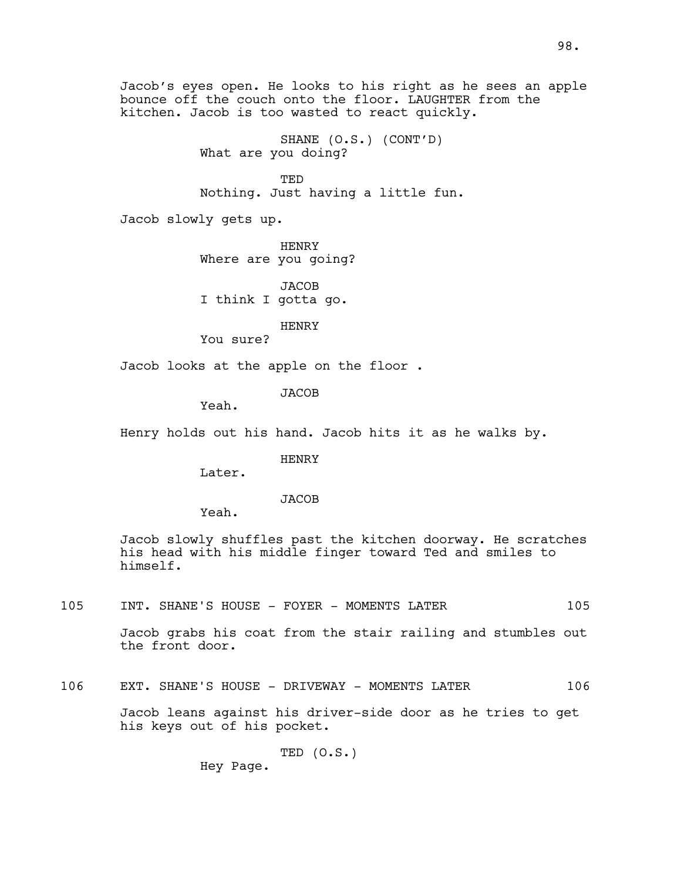Jacob's eyes open. He looks to his right as he sees an apple bounce off the couch onto the floor. LAUGHTER from the kitchen. Jacob is too wasted to react quickly.

> SHANE (O.S.) (CONT'D) What are you doing?

TED Nothing. Just having a little fun.

Jacob slowly gets up.

HENRY Where are you going?

**JACOB** I think I gotta go.

HENRY

You sure?

Jacob looks at the apple on the floor .

**JACOB** 

Yeah.

Henry holds out his hand. Jacob hits it as he walks by.

HENRY

Later.

**JACOB** 

Yeah.

Jacob slowly shuffles past the kitchen doorway. He scratches his head with his middle finger toward Ted and smiles to himself.

105 INT. SHANE'S HOUSE - FOYER - MOMENTS LATER 105

Jacob grabs his coat from the stair railing and stumbles out the front door.

106 EXT. SHANE'S HOUSE - DRIVEWAY - MOMENTS LATER 106

Jacob leans against his driver-side door as he tries to get his keys out of his pocket.

$$
\texttt{TED} (\circ.s.)
$$

Hey Page.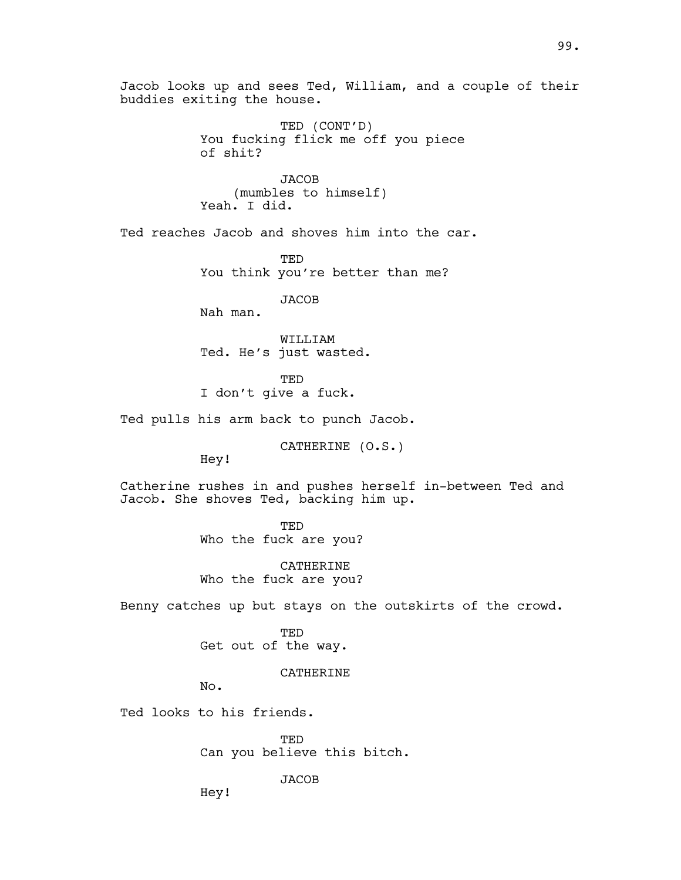Jacob looks up and sees Ted, William, and a couple of their buddies exiting the house.

> TED (CONT'D) You fucking flick me off you piece of shit?

JACOB (mumbles to himself) Yeah. I did.

Ted reaches Jacob and shoves him into the car.

**TED** You think you're better than me?

**JACOB** 

Nah man.

WILLIAM Ted. He's just wasted.

**TED** 

I don't give a fuck.

Ted pulls his arm back to punch Jacob.

CATHERINE (O.S.)

Hey!

Catherine rushes in and pushes herself in-between Ted and Jacob. She shoves Ted, backing him up.

> TED Who the fuck are you?

CATHERINE Who the fuck are you?

Benny catches up but stays on the outskirts of the crowd.

TED Get out of the way.

CATHERINE

No.

Ted looks to his friends.

TED Can you believe this bitch.

**JACOB** 

Hey!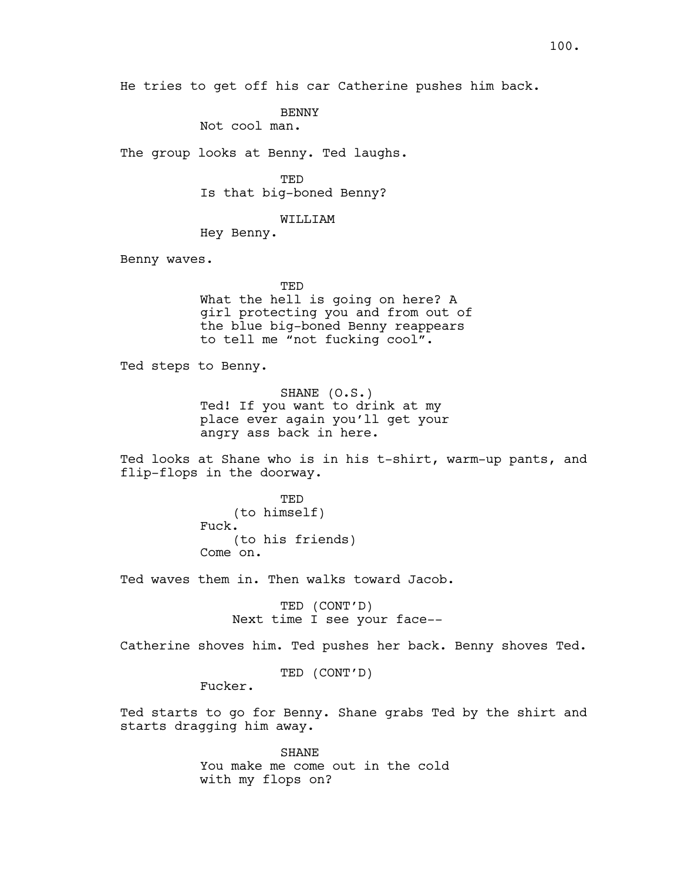He tries to get off his car Catherine pushes him back.

**BENNY** 

Not cool man.

The group looks at Benny. Ted laughs.

TED Is that big-boned Benny?

WILLIAM

Hey Benny.

Benny waves.

**TED** What the hell is going on here? A girl protecting you and from out of the blue big-boned Benny reappears to tell me "not fucking cool".

Ted steps to Benny.

SHANE (O.S.) Ted! If you want to drink at my place ever again you'll get your angry ass back in here.

Ted looks at Shane who is in his t-shirt, warm-up pants, and flip-flops in the doorway.

> TED (to himself) Fuck. (to his friends) Come on.

Ted waves them in. Then walks toward Jacob.

TED (CONT'D) Next time I see your face--

Catherine shoves him. Ted pushes her back. Benny shoves Ted.

TED (CONT'D)

Fucker.

Ted starts to go for Benny. Shane grabs Ted by the shirt and starts dragging him away.

> SHANE You make me come out in the cold with my flops on?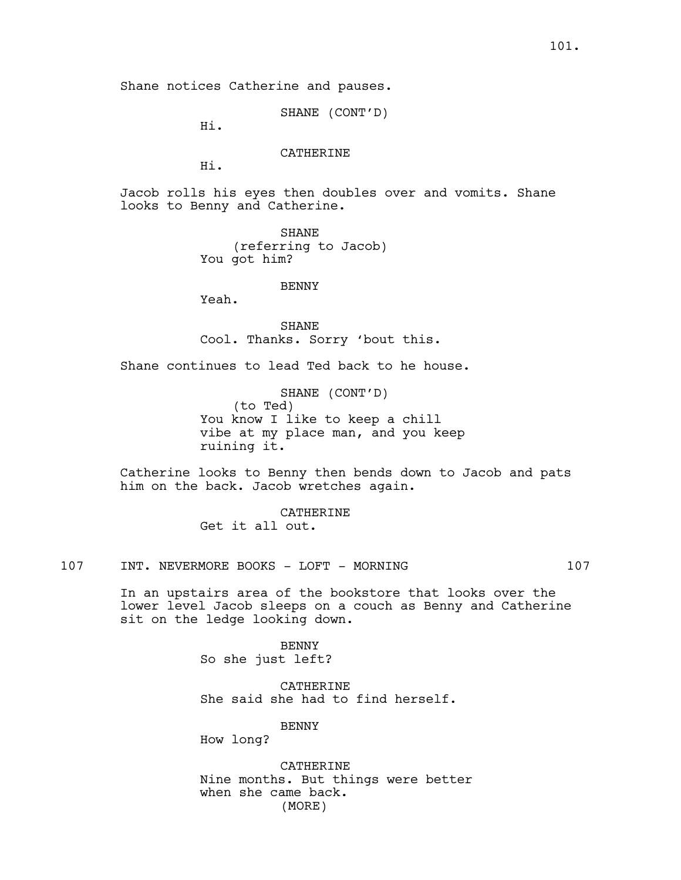Shane notices Catherine and pauses.

SHANE (CONT'D)

Hi.

# CATHERINE

Hi.

Jacob rolls his eyes then doubles over and vomits. Shane looks to Benny and Catherine.

> SHANE (referring to Jacob) You got him?

### **BENNY**

Yeah.

SHANE Cool. Thanks. Sorry 'bout this.

Shane continues to lead Ted back to he house.

SHANE (CONT'D) (to Ted) You know I like to keep a chill vibe at my place man, and you keep ruining it.

Catherine looks to Benny then bends down to Jacob and pats him on the back. Jacob wretches again.

> CATHERINE Get it all out.

107 INT. NEVERMORE BOOKS - LOFT - MORNING 107

In an upstairs area of the bookstore that looks over the lower level Jacob sleeps on a couch as Benny and Catherine sit on the ledge looking down.

> BENNY So she just left?

CATHERINE She said she had to find herself.

BENNY

How long?

CATHERINE Nine months. But things were better when she came back. (MORE)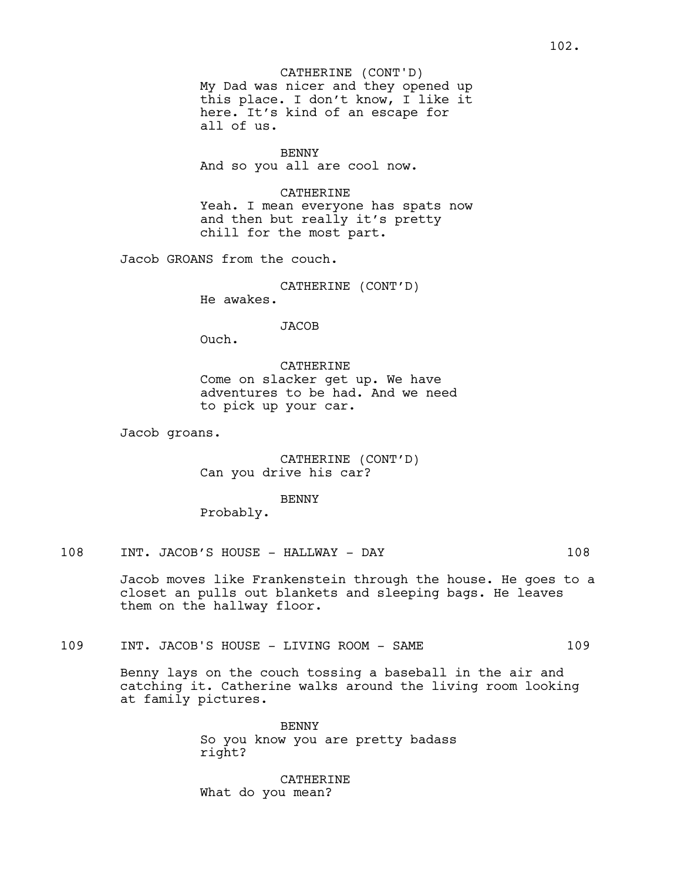CATHERINE (CONT'D)

My Dad was nicer and they opened up this place. I don't know, I like it here. It's kind of an escape for all of us.

BENNY And so you all are cool now.

CATHERINE

Yeah. I mean everyone has spats now and then but really it's pretty chill for the most part.

Jacob GROANS from the couch.

CATHERINE (CONT'D)

He awakes.

JACOB

Ouch.

CATHERINE Come on slacker get up. We have adventures to be had. And we need to pick up your car.

Jacob groans.

CATHERINE (CONT'D) Can you drive his car?

**BENNY** 

Probably.

108 INT. JACOB'S HOUSE - HALLWAY - DAY 108

Jacob moves like Frankenstein through the house. He goes to a closet an pulls out blankets and sleeping bags. He leaves them on the hallway floor.

109 INT. JACOB'S HOUSE - LIVING ROOM - SAME 109

Benny lays on the couch tossing a baseball in the air and catching it. Catherine walks around the living room looking at family pictures.

> BENNY So you know you are pretty badass right?

CATHERINE What do you mean?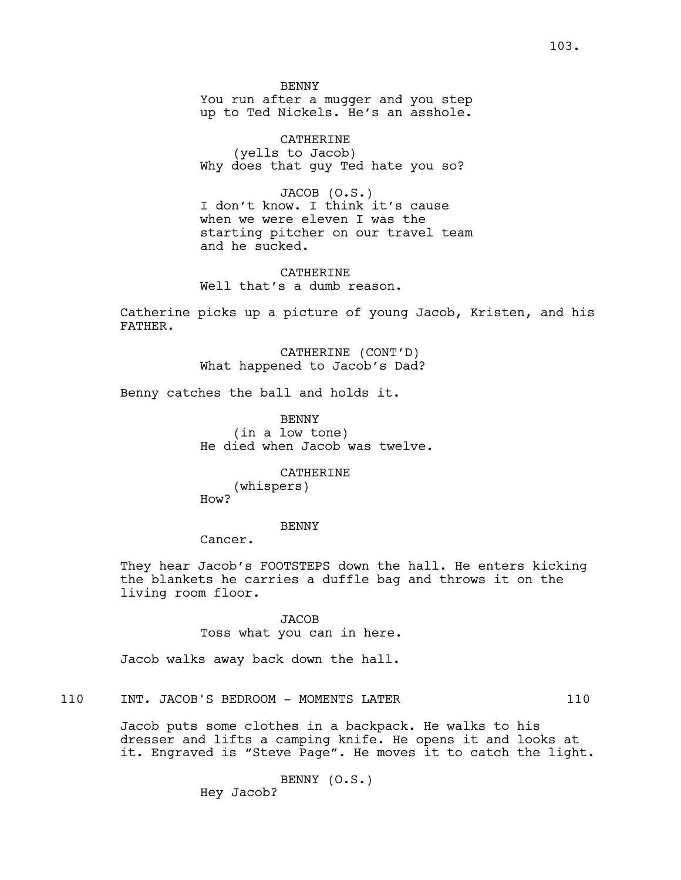**BENNY** You run after a mugger and you step up to Ted Nickels. He's an asshole.

CATHERINE (yells to Jacob) Why does that guy Ted hate you so?

JACOB (O.S.) I don't know. I think it's cause when we were eleven I was the starting pitcher on our travel team and he sucked.

CATHERINE Well that's a dumb reason.

Catherine picks up a picture of young Jacob, Kristen, and his FATHER.

> CATHERINE (CONT'D) What happened to Jacob's Dad?

Benny catches the ball and holds it.

BENNY (in a low tone) He died when Jacob was twelve.

> CATHERINE (whispers)

How?

BENNY

Cancer.

They hear Jacob's FOOTSTEPS down the hall. He enters kicking the blankets he carries a duffle bag and throws it on the living room floor.

> **JACOB** Toss what you can in here.

Jacob walks away back down the hall.

110 INT. JACOB'S BEDROOM - MOMENTS LATER 110

Jacob puts some clothes in a backpack. He walks to his dresser and lifts a camping knife. He opens it and looks at it. Engraved is "Steve Page". He moves it to catch the light.

> BENNY (O.S.) Hey Jacob?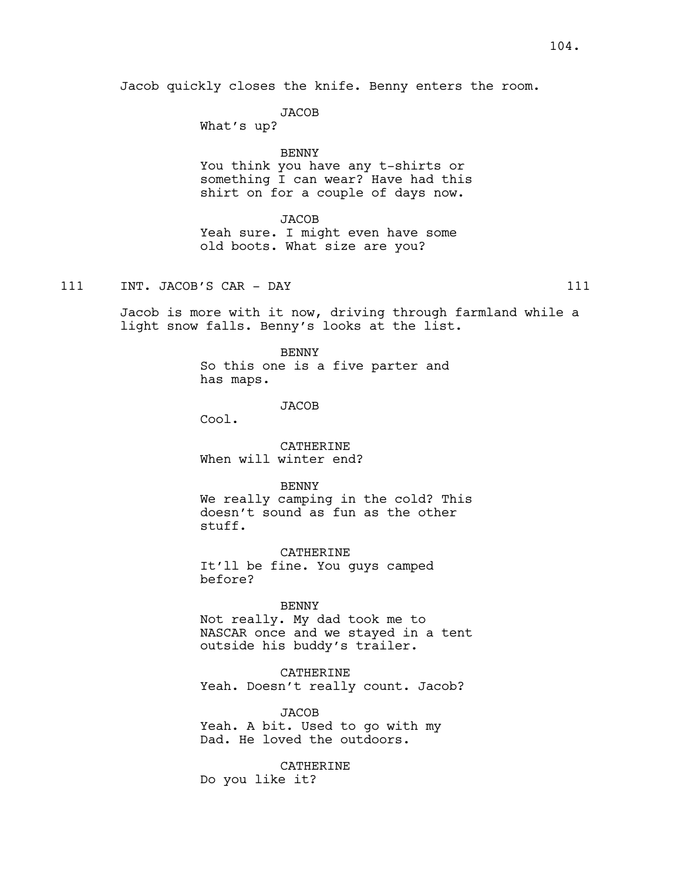Jacob quickly closes the knife. Benny enters the room.

JACOB

What's up?

## BENNY

You think you have any t-shirts or something I can wear? Have had this shirt on for a couple of days now.

#### **JACOB**

Yeah sure. I might even have some old boots. What size are you?

111 INT. JACOB'S CAR - DAY 111

Jacob is more with it now, driving through farmland while a light snow falls. Benny's looks at the list.

> BENNY So this one is a five parter and has maps.

> > **JACOB**

Cool.

CATHERINE When will winter end?

BENNY

We really camping in the cold? This doesn't sound as fun as the other stuff.

CATHERINE It'll be fine. You guys camped before?

#### BENNY

Not really. My dad took me to NASCAR once and we stayed in a tent outside his buddy's trailer.

CATHERINE Yeah. Doesn't really count. Jacob?

JACOB Yeah. A bit. Used to go with my Dad. He loved the outdoors.

**CATHERINE** Do you like it?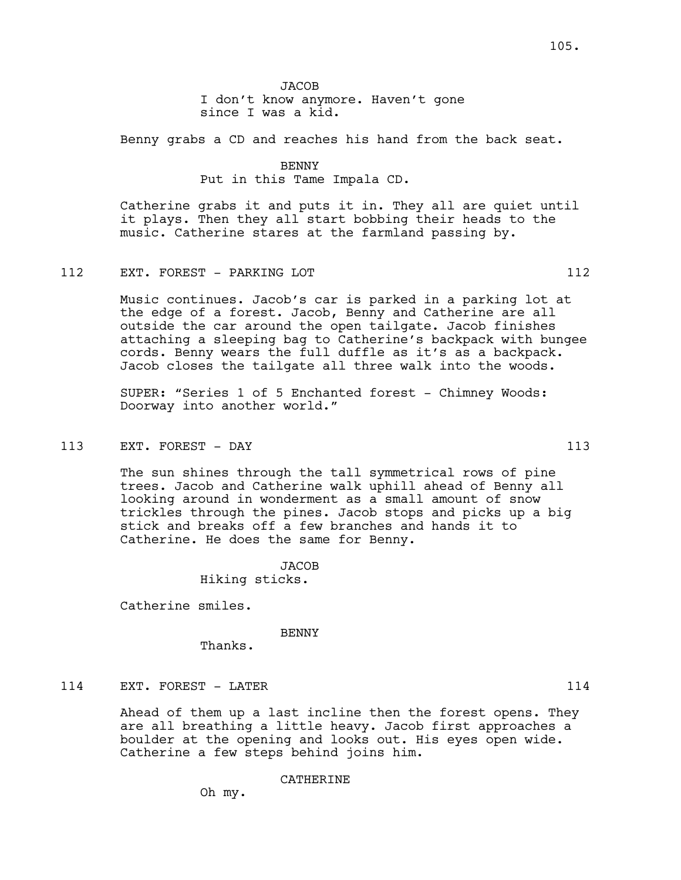Benny grabs a CD and reaches his hand from the back seat.

BENNY Put in this Tame Impala CD.

Catherine grabs it and puts it in. They all are quiet until it plays. Then they all start bobbing their heads to the music. Catherine stares at the farmland passing by.

### 112 EXT. FOREST - PARKING LOT 112

Music continues. Jacob's car is parked in a parking lot at the edge of a forest. Jacob, Benny and Catherine are all outside the car around the open tailgate. Jacob finishes attaching a sleeping bag to Catherine's backpack with bungee cords. Benny wears the full duffle as it's as a backpack. Jacob closes the tailgate all three walk into the woods.

SUPER: "Series 1 of 5 Enchanted forest - Chimney Woods: Doorway into another world."

## 113 EXT. FOREST - DAY 113

The sun shines through the tall symmetrical rows of pine trees. Jacob and Catherine walk uphill ahead of Benny all looking around in wonderment as a small amount of snow trickles through the pines. Jacob stops and picks up a big stick and breaks off a few branches and hands it to Catherine. He does the same for Benny.

JACOB

Hiking sticks.

Catherine smiles.

#### BENNY

Thanks.

# 114 EXT. FOREST - LATER 114

Ahead of them up a last incline then the forest opens. They are all breathing a little heavy. Jacob first approaches a boulder at the opening and looks out. His eyes open wide. Catherine a few steps behind joins him.

CATHERINE

Oh my.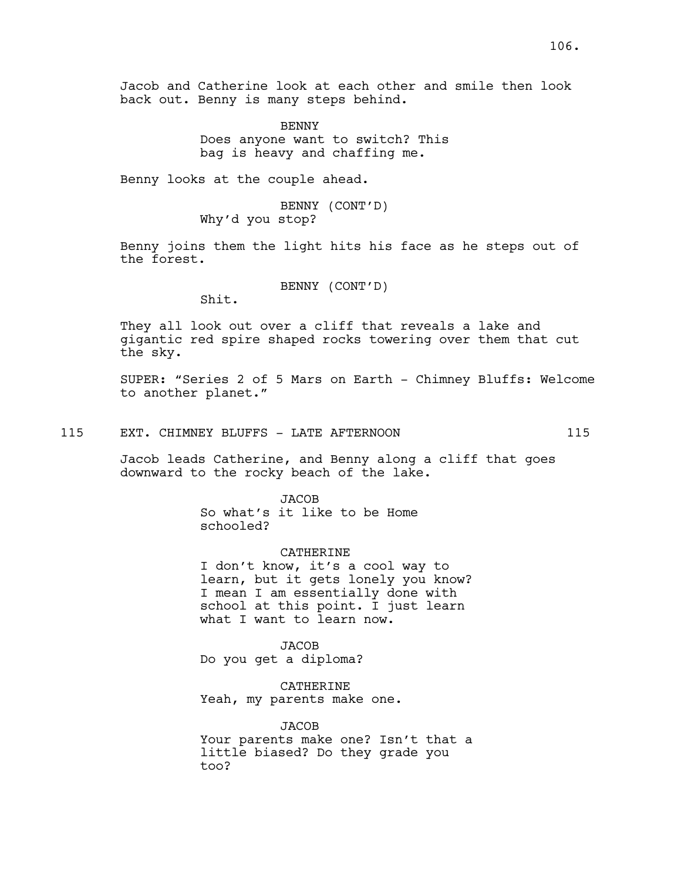Jacob and Catherine look at each other and smile then look back out. Benny is many steps behind.

> BENNY Does anyone want to switch? This bag is heavy and chaffing me.

Benny looks at the couple ahead.

BENNY (CONT'D) Why'd you stop?

Benny joins them the light hits his face as he steps out of the forest.

BENNY (CONT'D)

Shit.

They all look out over a cliff that reveals a lake and gigantic red spire shaped rocks towering over them that cut the sky.

SUPER: "Series 2 of 5 Mars on Earth - Chimney Bluffs: Welcome to another planet."

## 115 EXT. CHIMNEY BLUFFS - LATE AFTERNOON 115

Jacob leads Catherine, and Benny along a cliff that goes downward to the rocky beach of the lake.

> **JACOB** So what's it like to be Home schooled?

## CATHERINE

I don't know, it's a cool way to learn, but it gets lonely you know? I mean I am essentially done with school at this point. I just learn what I want to learn now.

**JACOB** Do you get a diploma?

CATHERINE Yeah, my parents make one.

JACOB Your parents make one? Isn't that a little biased? Do they grade you too?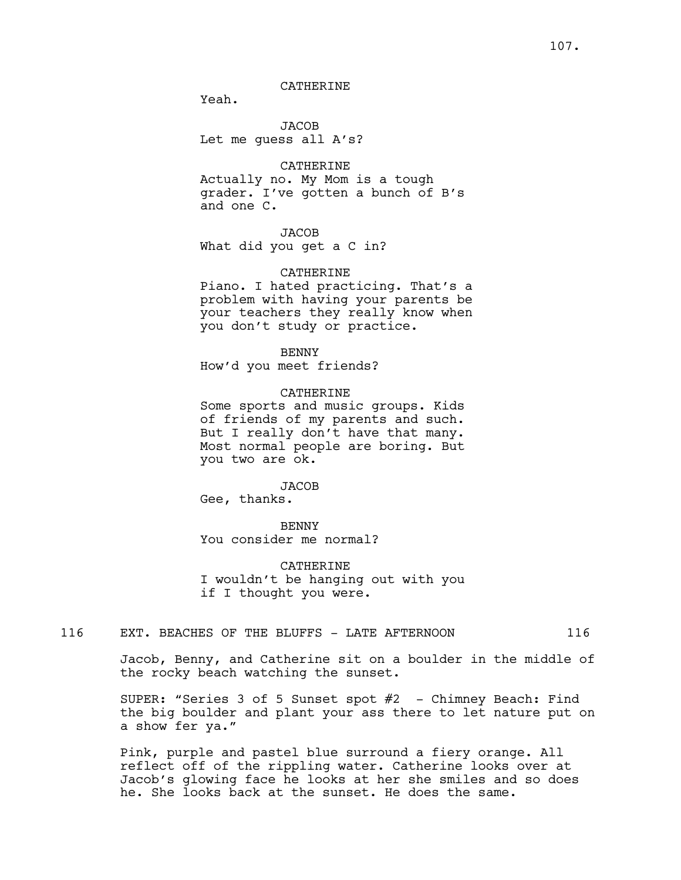## CATHERINE

Yeah.

JACOB Let me guess all A's?

## CATHERINE

Actually no. My Mom is a tough grader. I've gotten a bunch of B's and one C.

# JACOB

What did you get a C in?

#### CATHERINE

Piano. I hated practicing. That's a problem with having your parents be your teachers they really know when you don't study or practice.

BENNY How'd you meet friends?

## CATHERINE

Some sports and music groups. Kids of friends of my parents and such. But I really don't have that many. Most normal people are boring. But you two are ok.

#### JACOB

Gee, thanks.

## BENNY

You consider me normal?

CATHERINE I wouldn't be hanging out with you if I thought you were.

# 116 EXT. BEACHES OF THE BLUFFS - LATE AFTERNOON 116

Jacob, Benny, and Catherine sit on a boulder in the middle of the rocky beach watching the sunset.

SUPER: "Series 3 of 5 Sunset spot #2 - Chimney Beach: Find the big boulder and plant your ass there to let nature put on a show fer ya."

Pink, purple and pastel blue surround a fiery orange. All reflect off of the rippling water. Catherine looks over at Jacob's glowing face he looks at her she smiles and so does he. She looks back at the sunset. He does the same.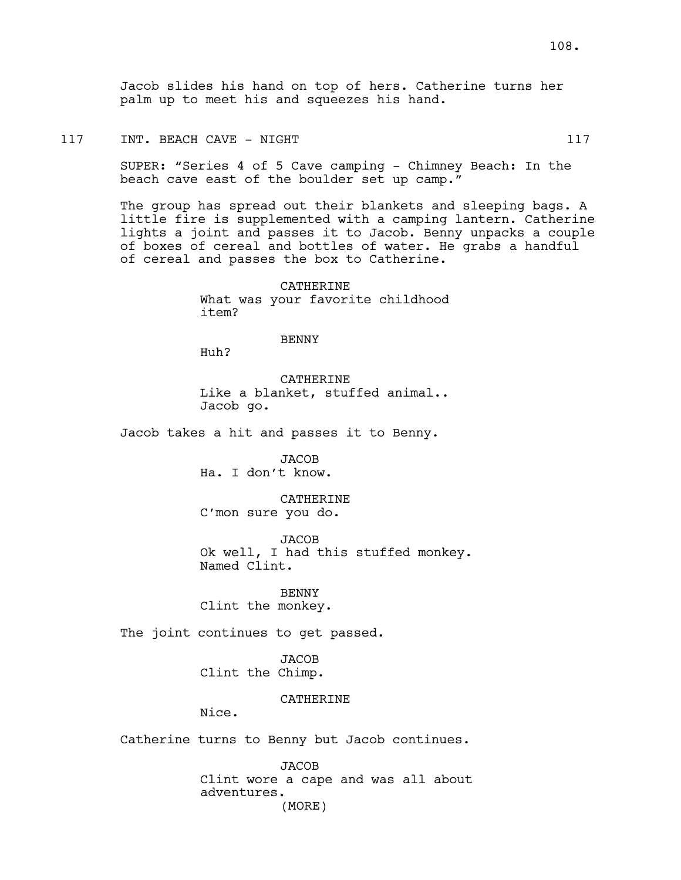Jacob slides his hand on top of hers. Catherine turns her palm up to meet his and squeezes his hand.

#### 117 INT. BEACH CAVE - NIGHT 117 117

SUPER: "Series 4 of 5 Cave camping - Chimney Beach: In the beach cave east of the boulder set up camp."

The group has spread out their blankets and sleeping bags. A little fire is supplemented with a camping lantern. Catherine lights a joint and passes it to Jacob. Benny unpacks a couple of boxes of cereal and bottles of water. He grabs a handful of cereal and passes the box to Catherine.

> **CATHERINE** What was your favorite childhood item?

### BENNY

Huh?

**CATHERINE** Like a blanket, stuffed animal.. Jacob go.

Jacob takes a hit and passes it to Benny.

JACOB Ha. I don't know.

**CATHERINE** C'mon sure you do.

JACOB Ok well, I had this stuffed monkey. Named Clint.

BENNY Clint the monkey.

The joint continues to get passed.

JACOB Clint the Chimp.

### **CATHERINE**

Nice.

Catherine turns to Benny but Jacob continues.

JACOB Clint wore a cape and was all about adventures. (MORE)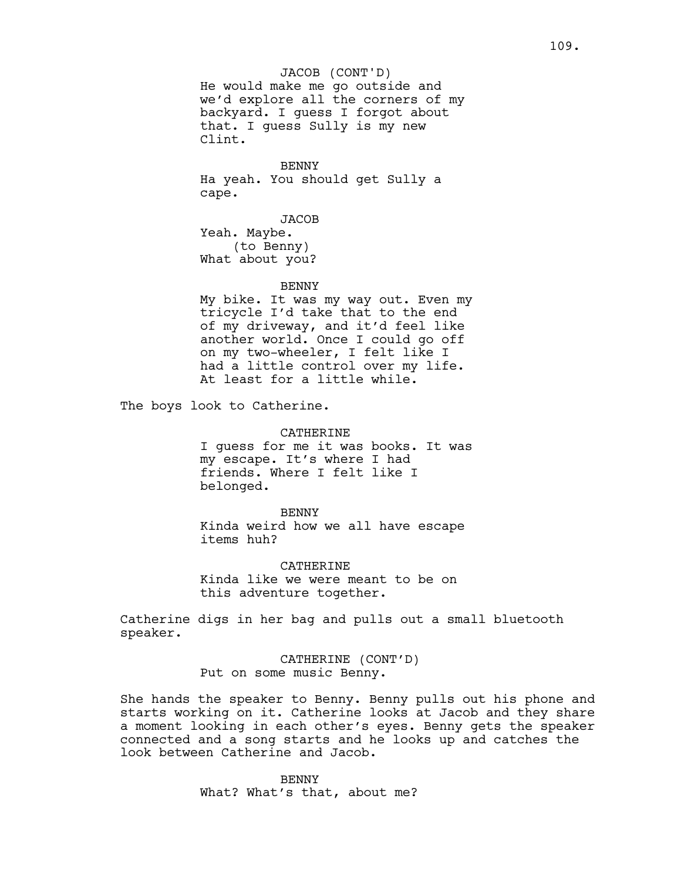He would make me go outside and we'd explore all the corners of my backyard. I guess I forgot about that. I guess Sully is my new Clint. JACOB (CONT'D)

BENNY Ha yeah. You should get Sully a cape.

JACOB Yeah. Maybe. (to Benny) What about you?

#### **BENNY**

My bike. It was my way out. Even my tricycle I'd take that to the end of my driveway, and it'd feel like another world. Once I could go off on my two-wheeler, I felt like I had a little control over my life. At least for a little while.

The boys look to Catherine.

CATHERINE I guess for me it was books. It was my escape. It's where I had friends. Where I felt like I belonged.

BENNY Kinda weird how we all have escape items huh?

**CATHERINE** Kinda like we were meant to be on this adventure together.

Catherine digs in her bag and pulls out a small bluetooth speaker.

> CATHERINE (CONT'D) Put on some music Benny.

She hands the speaker to Benny. Benny pulls out his phone and starts working on it. Catherine looks at Jacob and they share a moment looking in each other's eyes. Benny gets the speaker connected and a song starts and he looks up and catches the look between Catherine and Jacob.

> BENNY What? What's that, about me?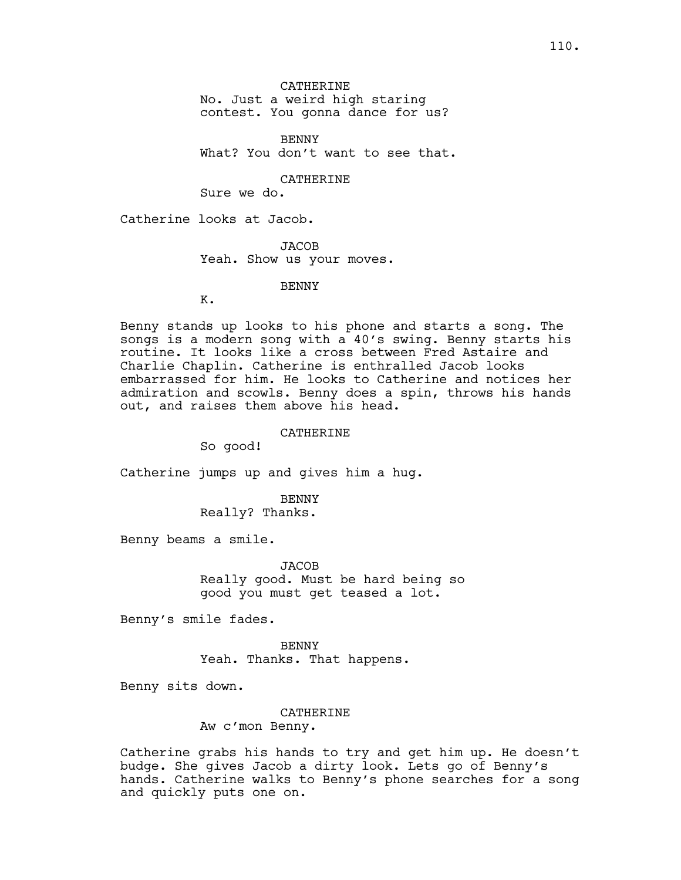No. Just a weird high staring

contest. You gonna dance for us?

BENNY What? You don't want to see that.

CATHERINE

Sure we do.

Catherine looks at Jacob.

JACOB Yeah. Show us your moves.

**BENNY** 

K.

Benny stands up looks to his phone and starts a song. The songs is a modern song with a 40's swing. Benny starts his routine. It looks like a cross between Fred Astaire and Charlie Chaplin. Catherine is enthralled Jacob looks embarrassed for him. He looks to Catherine and notices her admiration and scowls. Benny does a spin, throws his hands out, and raises them above his head.

### CATHERINE

So good!

Catherine jumps up and gives him a hug.

**BENNY** Really? Thanks.

Benny beams a smile.

JACOB Really good. Must be hard being so good you must get teased a lot.

Benny's smile fades.

BENNY Yeah. Thanks. That happens.

Benny sits down.

#### CATHERINE

Aw c'mon Benny.

Catherine grabs his hands to try and get him up. He doesn't budge. She gives Jacob a dirty look. Lets go of Benny's hands. Catherine walks to Benny's phone searches for a song and quickly puts one on.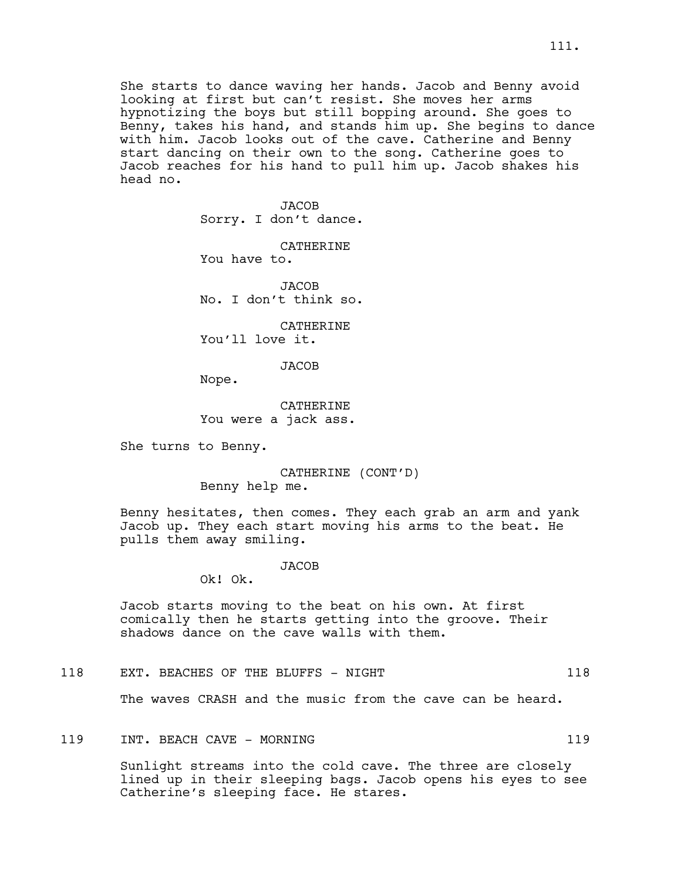She starts to dance waving her hands. Jacob and Benny avoid looking at first but can't resist. She moves her arms hypnotizing the boys but still bopping around. She goes to Benny, takes his hand, and stands him up. She begins to dance with him. Jacob looks out of the cave. Catherine and Benny start dancing on their own to the song. Catherine goes to Jacob reaches for his hand to pull him up. Jacob shakes his head no.

> **JACOB** Sorry. I don't dance.

CATHERINE You have to.

**JACOB** No. I don't think so.

CATHERINE You'll love it.

**JACOB** 

Nope.

CATHERINE You were a jack ass.

She turns to Benny.

CATHERINE (CONT'D) Benny help me.

Benny hesitates, then comes. They each grab an arm and yank Jacob up. They each start moving his arms to the beat. He pulls them away smiling.

JACOB

Ok! Ok.

Jacob starts moving to the beat on his own. At first comically then he starts getting into the groove. Their shadows dance on the cave walls with them.

118 EXT. BEACHES OF THE BLUFFS - NIGHT 118 118

The waves CRASH and the music from the cave can be heard.

# 119 INT. BEACH CAVE - MORNING 119

Sunlight streams into the cold cave. The three are closely lined up in their sleeping bags. Jacob opens his eyes to see Catherine's sleeping face. He stares.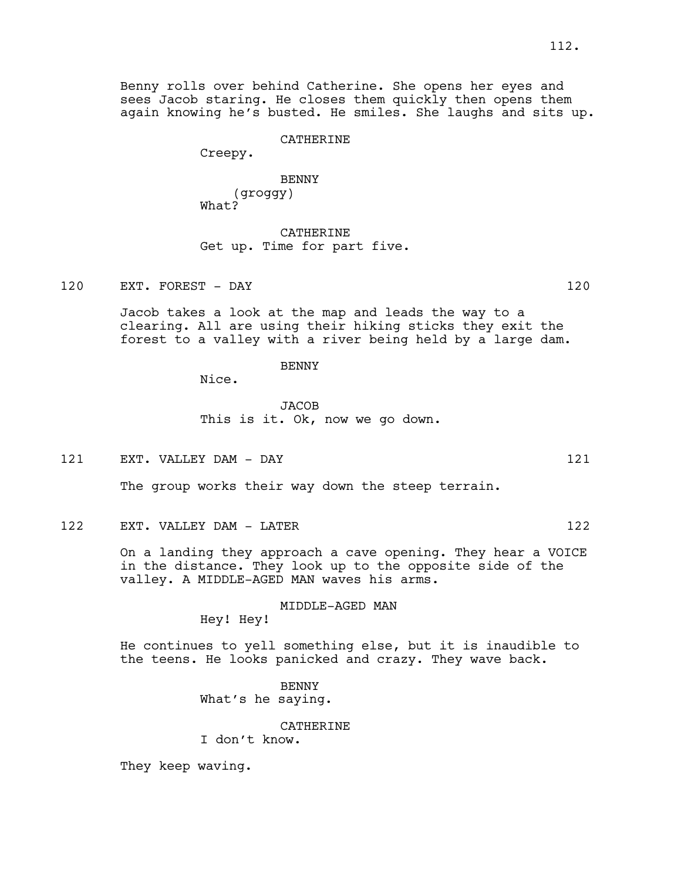Benny rolls over behind Catherine. She opens her eyes and sees Jacob staring. He closes them quickly then opens them again knowing he's busted. He smiles. She laughs and sits up.

#### CATHERINE

Creepy.

BENNY (groggy) What?

CATHERINE Get up. Time for part five.

120 EXT. FOREST - DAY 120

Jacob takes a look at the map and leads the way to a clearing. All are using their hiking sticks they exit the forest to a valley with a river being held by a large dam.

### BENNY

Nice.

**JACOB** This is it. Ok, now we go down.

121 EXT. VALLEY DAM - DAY 121

The group works their way down the steep terrain.

122 EXT. VALLEY DAM - LATER 122

On a landing they approach a cave opening. They hear a VOICE in the distance. They look up to the opposite side of the valley. A MIDDLE-AGED MAN waves his arms.

MIDDLE-AGED MAN

Hey! Hey!

He continues to yell something else, but it is inaudible to the teens. He looks panicked and crazy. They wave back.

> BENNY What's he saying.

> > CATHERINE

I don't know.

They keep waving.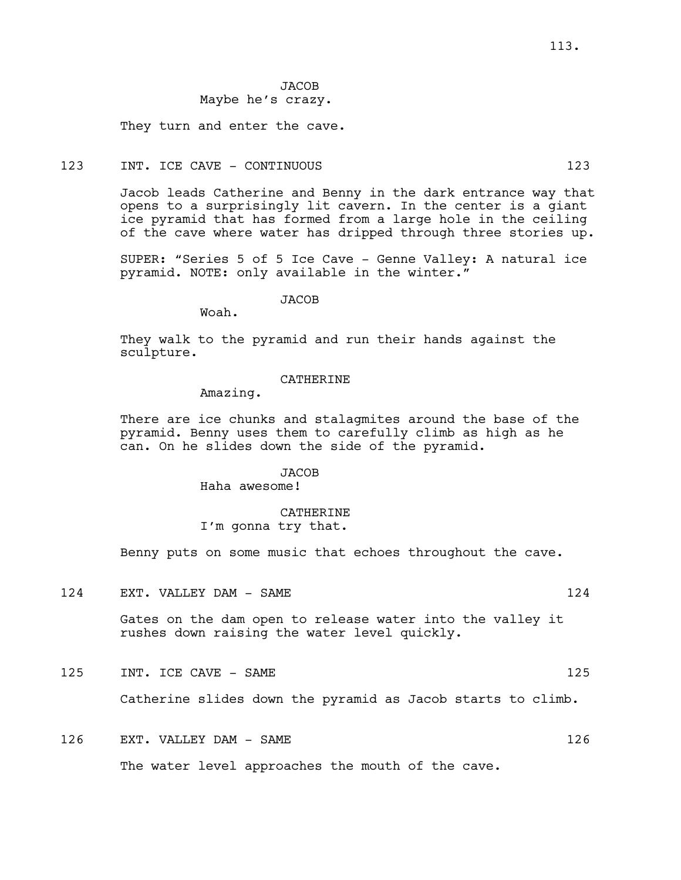# **JACOB** Maybe he's crazy.

They turn and enter the cave.

# 123 INT. ICE CAVE - CONTINUOUS 123

Jacob leads Catherine and Benny in the dark entrance way that opens to a surprisingly lit cavern. In the center is a giant ice pyramid that has formed from a large hole in the ceiling of the cave where water has dripped through three stories up.

SUPER: "Series 5 of 5 Ice Cave - Genne Valley: A natural ice pyramid. NOTE: only available in the winter."

# **JACOB**

Woah.

They walk to the pyramid and run their hands against the sculpture.

### **CATHERINE**

Amazing.

There are ice chunks and stalagmites around the base of the pyramid. Benny uses them to carefully climb as high as he can. On he slides down the side of the pyramid.

# **JACOB**

Haha awesome!

# CATHERINE I'm gonna try that.

Benny puts on some music that echoes throughout the cave.

124 EXT. VALLEY DAM - SAME 124

Gates on the dam open to release water into the valley it rushes down raising the water level quickly.

125 INT. ICE CAVE – SAME 125

Catherine slides down the pyramid as Jacob starts to climb.

# 126 EXT. VALLEY DAM - SAME 126 126

The water level approaches the mouth of the cave.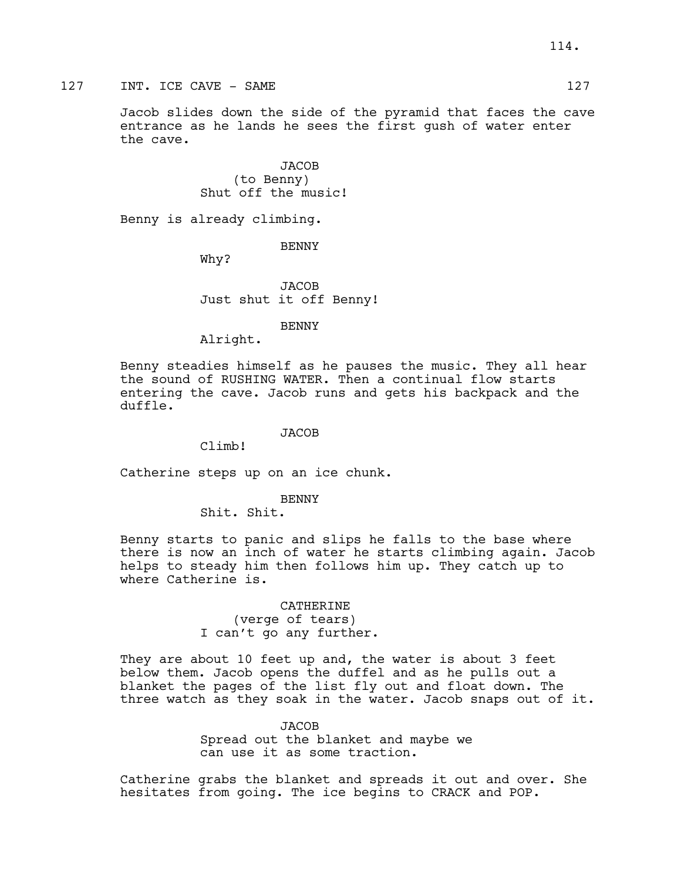127 INT. ICE CAVE – SAME 127

Jacob slides down the side of the pyramid that faces the cave entrance as he lands he sees the first gush of water enter the cave.

> JACOB (to Benny) Shut off the music!

Benny is already climbing.

BENNY

Why?

JACOB Just shut it off Benny!

BENNY

Alright.

Benny steadies himself as he pauses the music. They all hear the sound of RUSHING WATER. Then a continual flow starts entering the cave. Jacob runs and gets his backpack and the duffle.

### **JACOB**

Climb!

Catherine steps up on an ice chunk.

### **BENNY**

Shit. Shit.

Benny starts to panic and slips he falls to the base where there is now an inch of water he starts climbing again. Jacob helps to steady him then follows him up. They catch up to where Catherine is.

> CATHERINE (verge of tears) I can't go any further.

They are about 10 feet up and, the water is about 3 feet below them. Jacob opens the duffel and as he pulls out a blanket the pages of the list fly out and float down. The three watch as they soak in the water. Jacob snaps out of it.

### JACOB

Spread out the blanket and maybe we can use it as some traction.

Catherine grabs the blanket and spreads it out and over. She hesitates from going. The ice begins to CRACK and POP.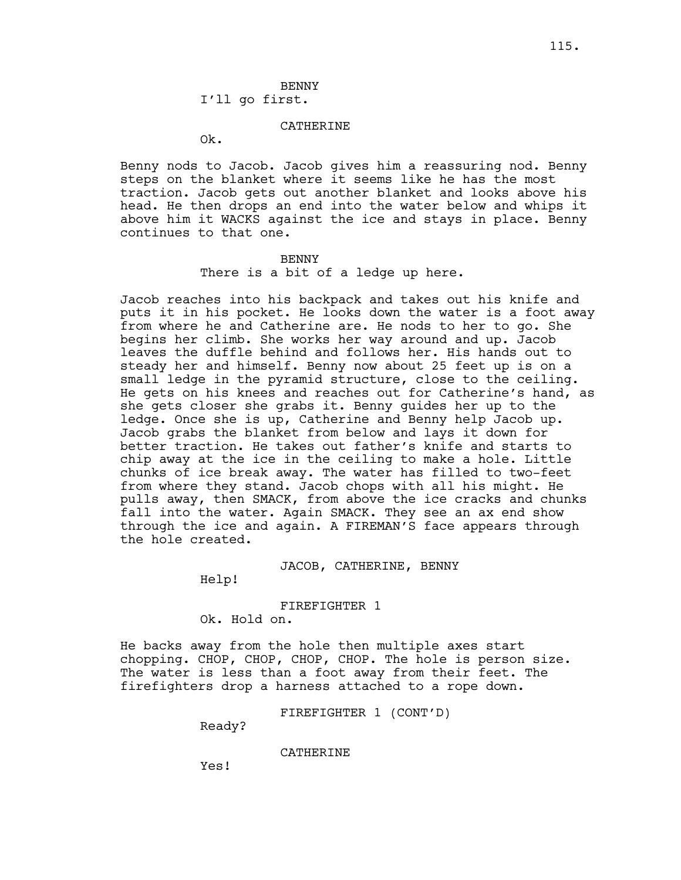# BENNY

# I'll go first.

### CATHERINE

Ok.

Benny nods to Jacob. Jacob gives him a reassuring nod. Benny steps on the blanket where it seems like he has the most traction. Jacob gets out another blanket and looks above his head. He then drops an end into the water below and whips it above him it WACKS against the ice and stays in place. Benny continues to that one.

### BENNY

There is a bit of a ledge up here.

Jacob reaches into his backpack and takes out his knife and puts it in his pocket. He looks down the water is a foot away from where he and Catherine are. He nods to her to go. She begins her climb. She works her way around and up. Jacob leaves the duffle behind and follows her. His hands out to steady her and himself. Benny now about 25 feet up is on a small ledge in the pyramid structure, close to the ceiling. He gets on his knees and reaches out for Catherine's hand, as she gets closer she grabs it. Benny guides her up to the ledge. Once she is up, Catherine and Benny help Jacob up. Jacob grabs the blanket from below and lays it down for better traction. He takes out father's knife and starts to chip away at the ice in the ceiling to make a hole. Little chunks of ice break away. The water has filled to two-feet from where they stand. Jacob chops with all his might. He pulls away, then SMACK, from above the ice cracks and chunks fall into the water. Again SMACK. They see an ax end show through the ice and again. A FIREMAN'S face appears through the hole created.

### JACOB, CATHERINE, BENNY

Help!

### FIREFIGHTER 1

Ok. Hold on.

He backs away from the hole then multiple axes start chopping. CHOP, CHOP, CHOP, CHOP. The hole is person size. The water is less than a foot away from their feet. The firefighters drop a harness attached to a rope down.

FIREFIGHTER 1 (CONT'D)

Ready?

CATHERINE

Yes!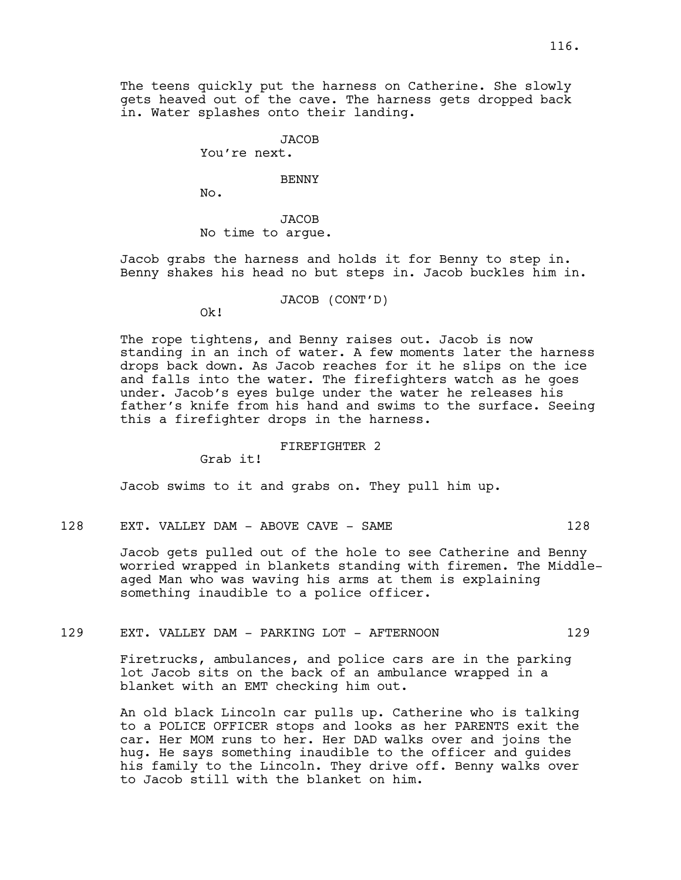The teens quickly put the harness on Catherine. She slowly gets heaved out of the cave. The harness gets dropped back in. Water splashes onto their landing.

**JACOB** 

You're next.

#### BENNY

No.

**JACOB** No time to argue.

Jacob grabs the harness and holds it for Benny to step in. Benny shakes his head no but steps in. Jacob buckles him in.

JACOB (CONT'D)

Ok!

The rope tightens, and Benny raises out. Jacob is now standing in an inch of water. A few moments later the harness drops back down. As Jacob reaches for it he slips on the ice and falls into the water. The firefighters watch as he goes under. Jacob's eyes bulge under the water he releases his father's knife from his hand and swims to the surface. Seeing this a firefighter drops in the harness.

### FIREFIGHTER 2

Grab it!

Jacob swims to it and grabs on. They pull him up.

128 EXT. VALLEY DAM - ABOVE CAVE - SAME 128

Jacob gets pulled out of the hole to see Catherine and Benny worried wrapped in blankets standing with firemen. The Middleaged Man who was waving his arms at them is explaining something inaudible to a police officer.

### 129 EXT. VALLEY DAM - PARKING LOT - AFTERNOON 129

Firetrucks, ambulances, and police cars are in the parking lot Jacob sits on the back of an ambulance wrapped in a blanket with an EMT checking him out.

An old black Lincoln car pulls up. Catherine who is talking to a POLICE OFFICER stops and looks as her PARENTS exit the car. Her MOM runs to her. Her DAD walks over and joins the hug. He says something inaudible to the officer and guides his family to the Lincoln. They drive off. Benny walks over to Jacob still with the blanket on him.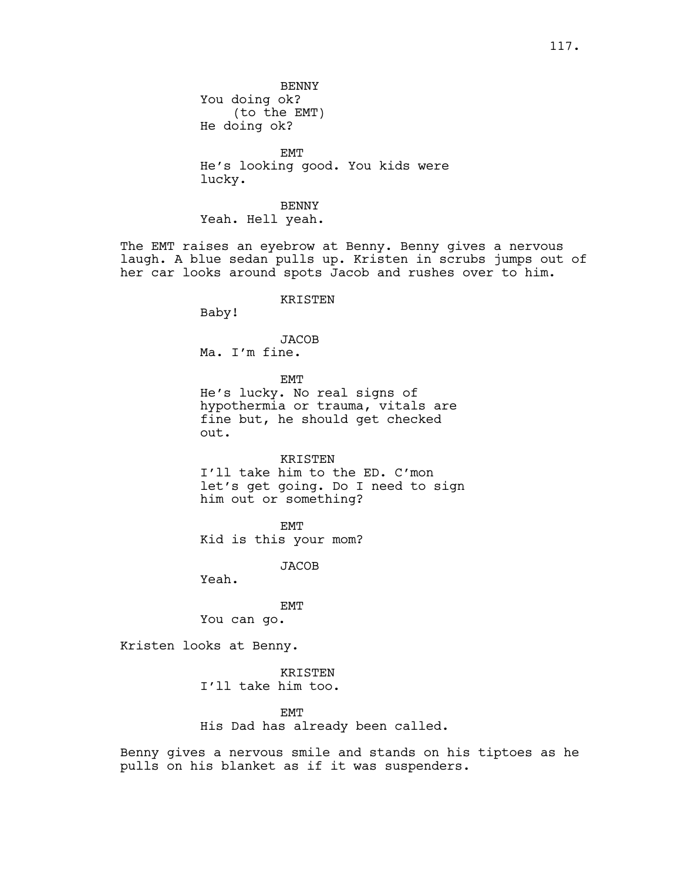BENNY You doing ok? (to the EMT) He doing ok?

EMT He's looking good. You kids were lucky.

BENNY Yeah. Hell yeah.

The EMT raises an eyebrow at Benny. Benny gives a nervous laugh. A blue sedan pulls up. Kristen in scrubs jumps out of her car looks around spots Jacob and rushes over to him.

### KRISTEN

Baby!

# JACOB Ma. I'm fine.

EMT

He's lucky. No real signs of hypothermia or trauma, vitals are fine but, he should get checked out.

#### KRISTEN

I'll take him to the ED. C'mon let's get going. Do I need to sign him out or something?

EMT

Kid is this your mom?

JACOB

Yeah.

### EMT

You can go.

Kristen looks at Benny.

KRISTEN I'll take him too.

EMT

His Dad has already been called.

Benny gives a nervous smile and stands on his tiptoes as he pulls on his blanket as if it was suspenders.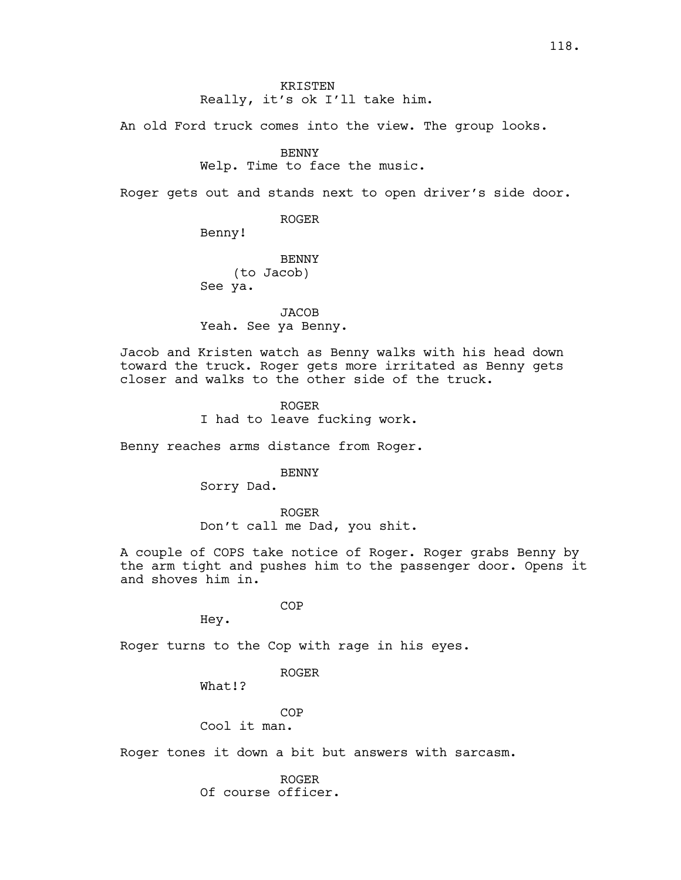# KRISTEN Really, it's ok I'll take him.

An old Ford truck comes into the view. The group looks.

### BENNY

Welp. Time to face the music.

Roger gets out and stands next to open driver's side door.

ROGER

Benny!

**BENNY** (to Jacob) See ya.

JACOB Yeah. See ya Benny.

Jacob and Kristen watch as Benny walks with his head down toward the truck. Roger gets more irritated as Benny gets closer and walks to the other side of the truck.

> ROGER I had to leave fucking work.

Benny reaches arms distance from Roger.

BENNY

Sorry Dad.

ROGER Don't call me Dad, you shit.

A couple of COPS take notice of Roger. Roger grabs Benny by the arm tight and pushes him to the passenger door. Opens it and shoves him in.

COP

Hey.

Roger turns to the Cop with rage in his eyes.

ROGER

What!?

COP

Cool it man.

Roger tones it down a bit but answers with sarcasm.

ROGER Of course officer.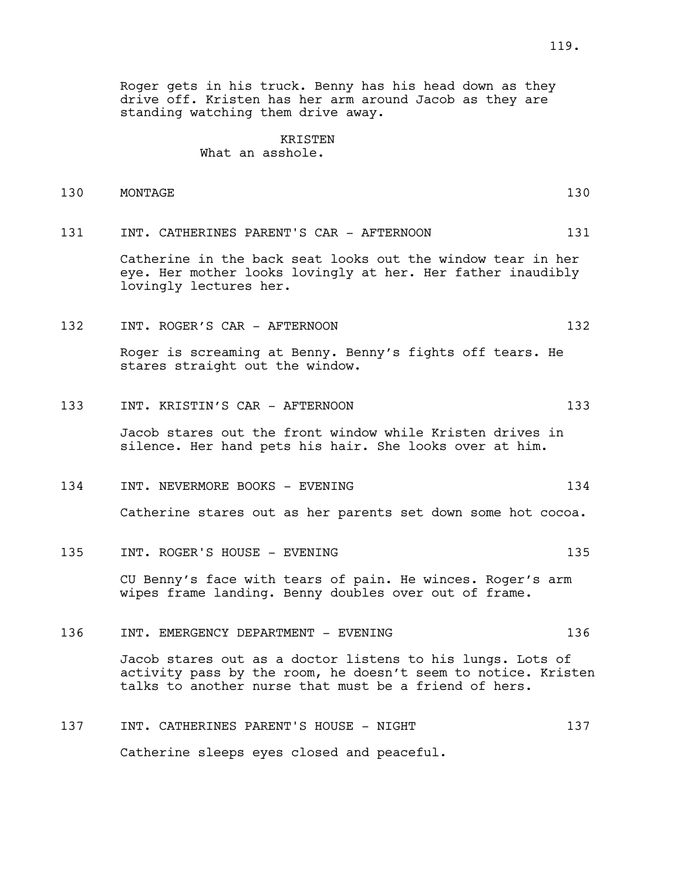Roger gets in his truck. Benny has his head down as they drive off. Kristen has her arm around Jacob as they are standing watching them drive away.

### KRISTEN

# What an asshole.

| 130 | MONTAGE | $\Omega$<br>ェコい |
|-----|---------|-----------------|
|-----|---------|-----------------|

131 INT. CATHERINES PARENT'S CAR - AFTERNOON 131

Catherine in the back seat looks out the window tear in her eye. Her mother looks lovingly at her. Her father inaudibly lovingly lectures her.

132 INT. ROGER'S CAR - AFTERNOON 132

Roger is screaming at Benny. Benny's fights off tears. He stares straight out the window.

133 INT. KRISTIN'S CAR - AFTERNOON 133

Jacob stares out the front window while Kristen drives in silence. Her hand pets his hair. She looks over at him.

134 INT. NEVERMORE BOOKS - EVENING 134

Catherine stares out as her parents set down some hot cocoa.

135 INT. ROGER'S HOUSE - EVENING 135

CU Benny's face with tears of pain. He winces. Roger's arm wipes frame landing. Benny doubles over out of frame.

136 INT. EMERGENCY DEPARTMENT - EVENING 136

Jacob stares out as a doctor listens to his lungs. Lots of activity pass by the room, he doesn't seem to notice. Kristen talks to another nurse that must be a friend of hers.

137 INT. CATHERINES PARENT'S HOUSE - NIGHT 137 Catherine sleeps eyes closed and peaceful.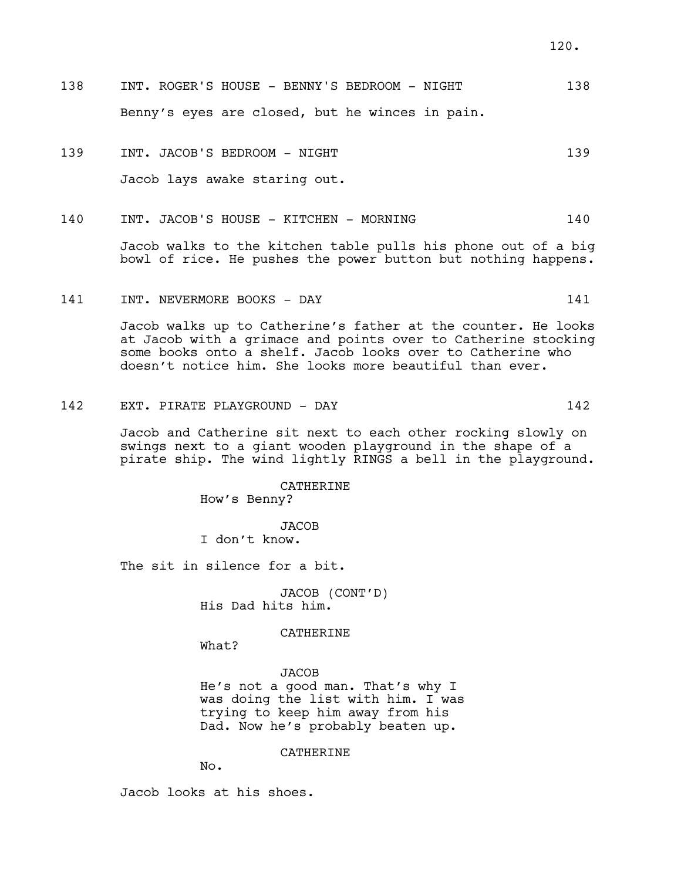- 138 INT. ROGER'S HOUSE BENNY'S BEDROOM NIGHT 138 Benny's eyes are closed, but he winces in pain.
- 139 INT. JACOB'S BEDROOM NIGHT 139 139 Jacob lays awake staring out.
- 140 INT. JACOB'S HOUSE KITCHEN MORNING 140

Jacob walks to the kitchen table pulls his phone out of a big bowl of rice. He pushes the power button but nothing happens.

141 INT. NEVERMORE BOOKS - DAY 141

Jacob walks up to Catherine's father at the counter. He looks at Jacob with a grimace and points over to Catherine stocking some books onto a shelf. Jacob looks over to Catherine who doesn't notice him. She looks more beautiful than ever.

142 EXT. PIRATE PLAYGROUND - DAY 142

Jacob and Catherine sit next to each other rocking slowly on swings next to a giant wooden playground in the shape of a pirate ship. The wind lightly RINGS a bell in the playground.

> CATHERINE How's Benny?

> > JACOB

I don't know.

The sit in silence for a bit.

JACOB (CONT'D) His Dad hits him.

CATHERINE

What?

JACOB He's not a good man. That's why I was doing the list with him. I was trying to keep him away from his Dad. Now he's probably beaten up.

CATHERINE

No.

Jacob looks at his shoes.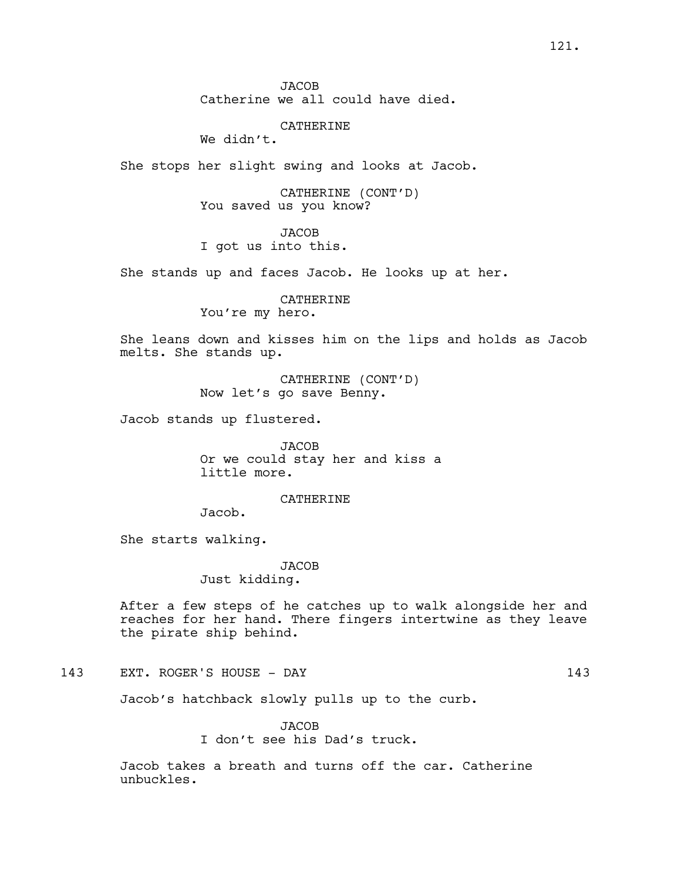### CATHERINE

We didn't.

She stops her slight swing and looks at Jacob.

CATHERINE (CONT'D) You saved us you know?

JACOB I got us into this.

She stands up and faces Jacob. He looks up at her.

CATHERINE You're my hero.

She leans down and kisses him on the lips and holds as Jacob melts. She stands up.

> CATHERINE (CONT'D) Now let's go save Benny.

Jacob stands up flustered.

JACOB Or we could stay her and kiss a little more.

### CATHERINE

Jacob.

She starts walking.

**JACOB** 

Just kidding.

After a few steps of he catches up to walk alongside her and reaches for her hand. There fingers intertwine as they leave the pirate ship behind.

143 EXT. ROGER'S HOUSE - DAY 143

Jacob's hatchback slowly pulls up to the curb.

JACOB I don't see his Dad's truck.

Jacob takes a breath and turns off the car. Catherine unbuckles.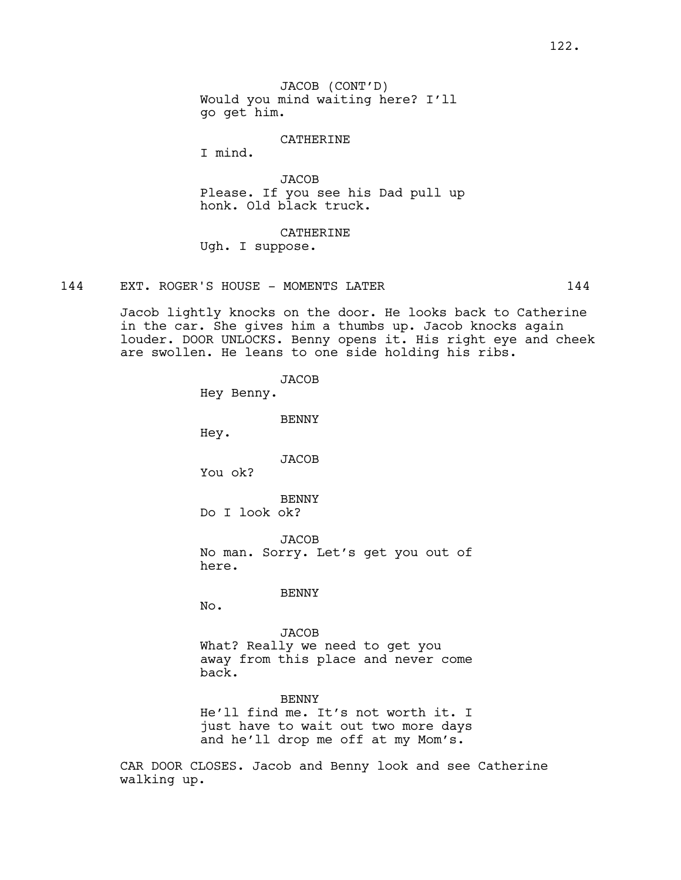### CATHERINE

I mind.

**JACOB** Please. If you see his Dad pull up honk. Old black truck.

CATHERINE Ugh. I suppose.

144 EXT. ROGER'S HOUSE - MOMENTS LATER 144

Jacob lightly knocks on the door. He looks back to Catherine in the car. She gives him a thumbs up. Jacob knocks again louder. DOOR UNLOCKS. Benny opens it. His right eye and cheek are swollen. He leans to one side holding his ribs.

> **JACOB** Hey Benny. BENNY Hey. JACOB You ok? BENNY Do I look ok? JACOB No man. Sorry. Let's get you out of here. BENNY No. JACOB What? Really we need to get you away from this place and never come back. **BENNY** He'll find me. It's not worth it. I just have to wait out two more days and he'll drop me off at my Mom's.

CAR DOOR CLOSES. Jacob and Benny look and see Catherine walking up.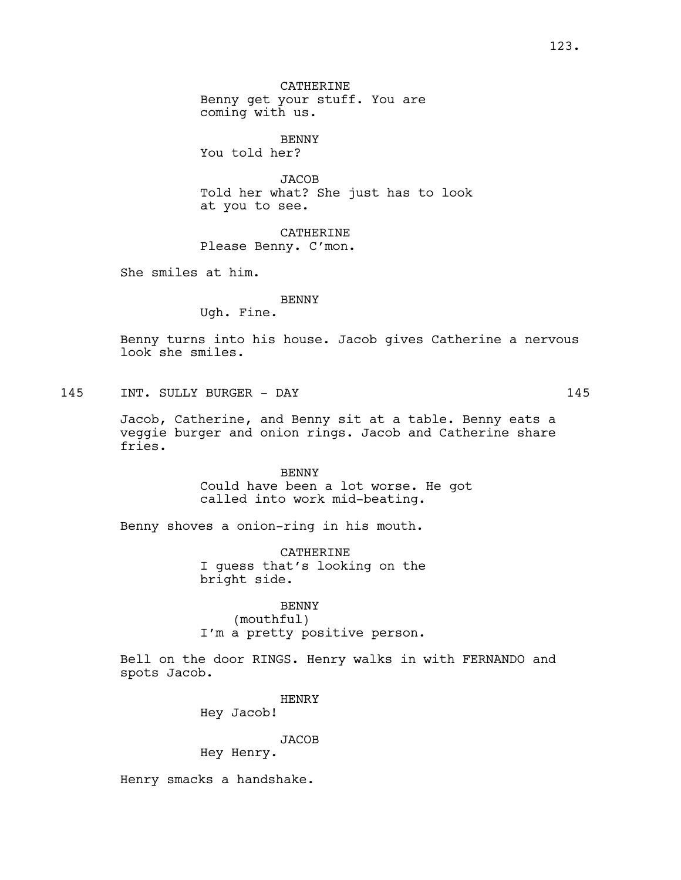CATHERINE Benny get your stuff. You are coming with us.

BENNY You told her?

**JACOB** Told her what? She just has to look at you to see.

CATHERINE Please Benny. C'mon.

She smiles at him.

### BENNY

Ugh. Fine.

Benny turns into his house. Jacob gives Catherine a nervous look she smiles.

145 INT. SULLY BURGER - DAY 145

Jacob, Catherine, and Benny sit at a table. Benny eats a veggie burger and onion rings. Jacob and Catherine share fries.

> BENNY Could have been a lot worse. He got called into work mid-beating.

Benny shoves a onion-ring in his mouth.

CATHERINE I guess that's looking on the bright side.

# BENNY

(mouthful) I'm a pretty positive person.

Bell on the door RINGS. Henry walks in with FERNANDO and spots Jacob.

> HENRY Hey Jacob!

> > JACOB

Hey Henry.

Henry smacks a handshake.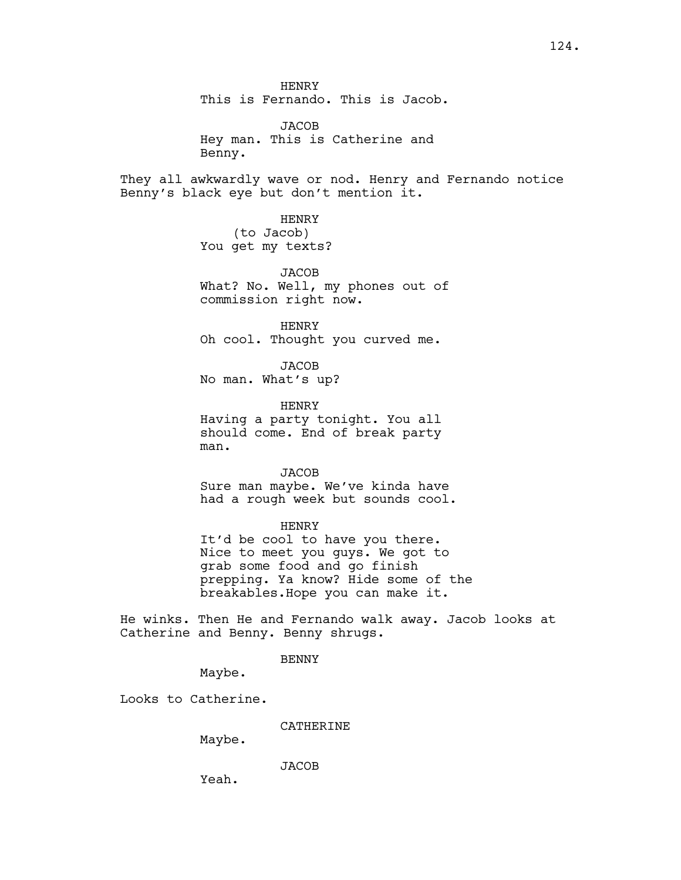HENRY This is Fernando. This is Jacob.

JACOB Hey man. This is Catherine and Benny.

They all awkwardly wave or nod. Henry and Fernando notice Benny's black eye but don't mention it.

> HENRY (to Jacob) You get my texts?

JACOB What? No. Well, my phones out of commission right now.

HENRY Oh cool. Thought you curved me.

JACOB No man. What's up?

HENRY Having a party tonight. You all should come. End of break party man.

**JACOB** Sure man maybe. We've kinda have had a rough week but sounds cool.

HENRY It'd be cool to have you there. Nice to meet you guys. We got to grab some food and go finish prepping. Ya know? Hide some of the

breakables.Hope you can make it.

He winks. Then He and Fernando walk away. Jacob looks at Catherine and Benny. Benny shrugs.

BENNY

Maybe.

Looks to Catherine.

CATHERINE

Maybe.

**JACOB** 

Yeah.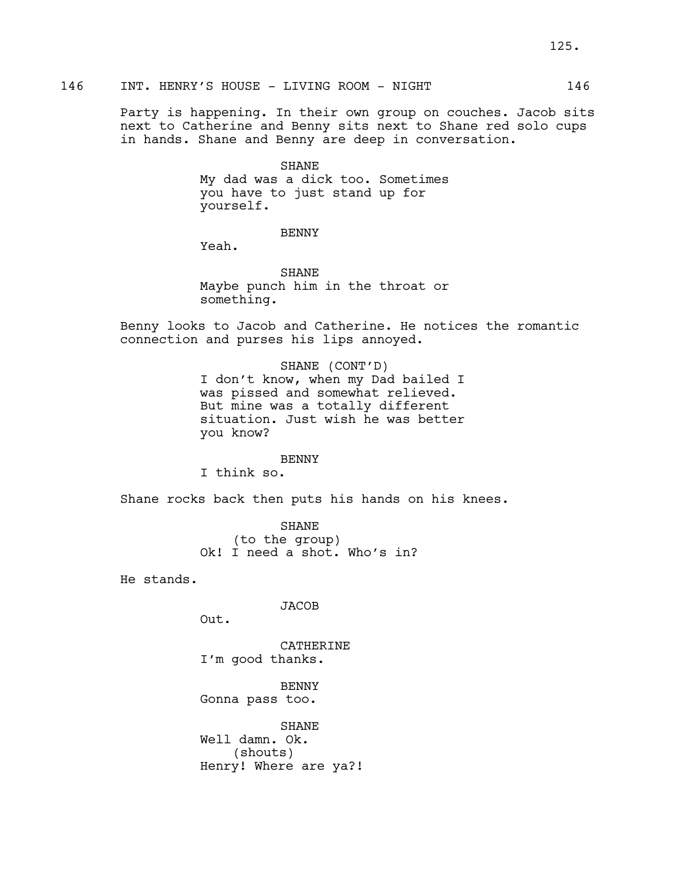Party is happening. In their own group on couches. Jacob sits next to Catherine and Benny sits next to Shane red solo cups in hands. Shane and Benny are deep in conversation.

> SHANE My dad was a dick too. Sometimes you have to just stand up for yourself.

### BENNY

Yeah.

SHANE Maybe punch him in the throat or something.

Benny looks to Jacob and Catherine. He notices the romantic connection and purses his lips annoyed.

### SHANE (CONT'D)

I don't know, when my Dad bailed I was pissed and somewhat relieved. But mine was a totally different situation. Just wish he was better you know?

#### BENNY

I think so.

Shane rocks back then puts his hands on his knees.

SHANE (to the group) Ok! I need a shot. Who's in?

He stands.

JACOB

Out.

CATHERINE I'm good thanks.

BENNY Gonna pass too.

SHANE Well damn. Ok. (shouts) Henry! Where are ya?!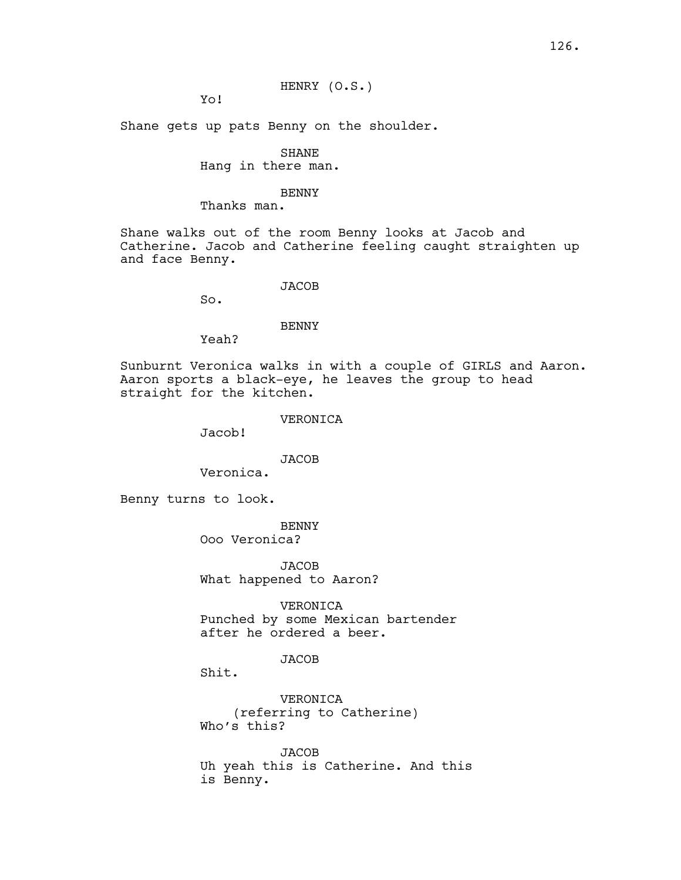HENRY (O.S.)

Yo!

Shane gets up pats Benny on the shoulder.

# SHANE

## Hang in there man.

#### BENNY

### Thanks man.

Shane walks out of the room Benny looks at Jacob and Catherine. Jacob and Catherine feeling caught straighten up and face Benny.

#### **JACOB**

So.

#### BENNY

Yeah?

Sunburnt Veronica walks in with a couple of GIRLS and Aaron. Aaron sports a black-eye, he leaves the group to head straight for the kitchen.

### VERONICA

Jacob!

# JACOB

Veronica.

Benny turns to look.

BENNY

Ooo Veronica?

JACOB What happened to Aaron?

VERONICA Punched by some Mexican bartender after he ordered a beer.

### JACOB

Shit.

VERONICA (referring to Catherine) Who's this?

JACOB Uh yeah this is Catherine. And this is Benny.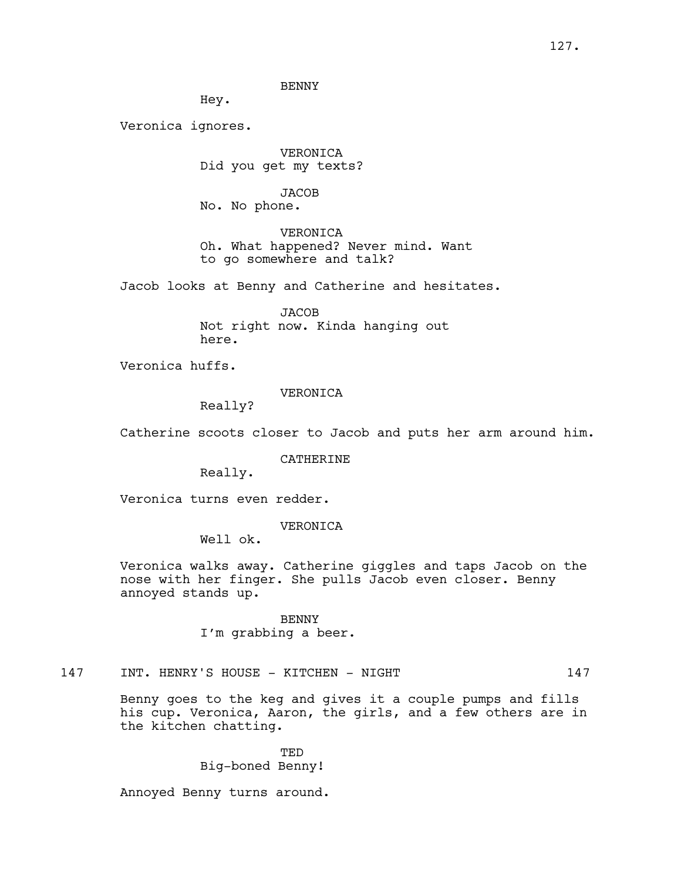BENNY

Hey.

Veronica ignores.

VERONICA Did you get my texts?

**JACOB** No. No phone.

VERONICA Oh. What happened? Never mind. Want to go somewhere and talk?

Jacob looks at Benny and Catherine and hesitates.

**JACOB** Not right now. Kinda hanging out here.

Veronica huffs.

VERONICA

Really?

Catherine scoots closer to Jacob and puts her arm around him.

CATHERINE

Really.

Veronica turns even redder.

# VERONICA

Well ok.

Veronica walks away. Catherine giggles and taps Jacob on the nose with her finger. She pulls Jacob even closer. Benny annoyed stands up.

> BENNY I'm grabbing a beer.

# 147 INT. HENRY'S HOUSE - KITCHEN - NIGHT 147

Benny goes to the keg and gives it a couple pumps and fills his cup. Veronica, Aaron, the girls, and a few others are in the kitchen chatting.

> TED Big-boned Benny!

Annoyed Benny turns around.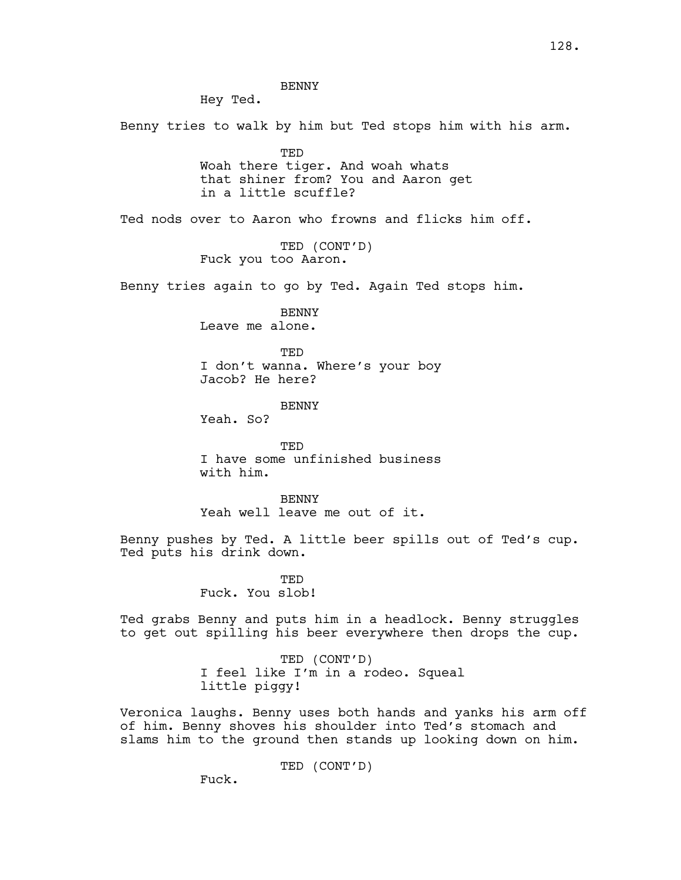Hey Ted.

Benny tries to walk by him but Ted stops him with his arm.

TED Woah there tiger. And woah whats that shiner from? You and Aaron get in a little scuffle?

Ted nods over to Aaron who frowns and flicks him off.

TED (CONT'D) Fuck you too Aaron.

Benny tries again to go by Ted. Again Ted stops him.

BENNY Leave me alone.

TED I don't wanna. Where's your boy Jacob? He here?

**BENNY** 

Yeah. So?

**TED** I have some unfinished business with him.

**BENNY** Yeah well leave me out of it.

Benny pushes by Ted. A little beer spills out of Ted's cup. Ted puts his drink down.

> **TED** Fuck. You slob!

Ted grabs Benny and puts him in a headlock. Benny struggles to get out spilling his beer everywhere then drops the cup.

> TED (CONT'D) I feel like I'm in a rodeo. Squeal little piggy!

Veronica laughs. Benny uses both hands and yanks his arm off of him. Benny shoves his shoulder into Ted's stomach and slams him to the ground then stands up looking down on him.

TED (CONT'D)

Fuck.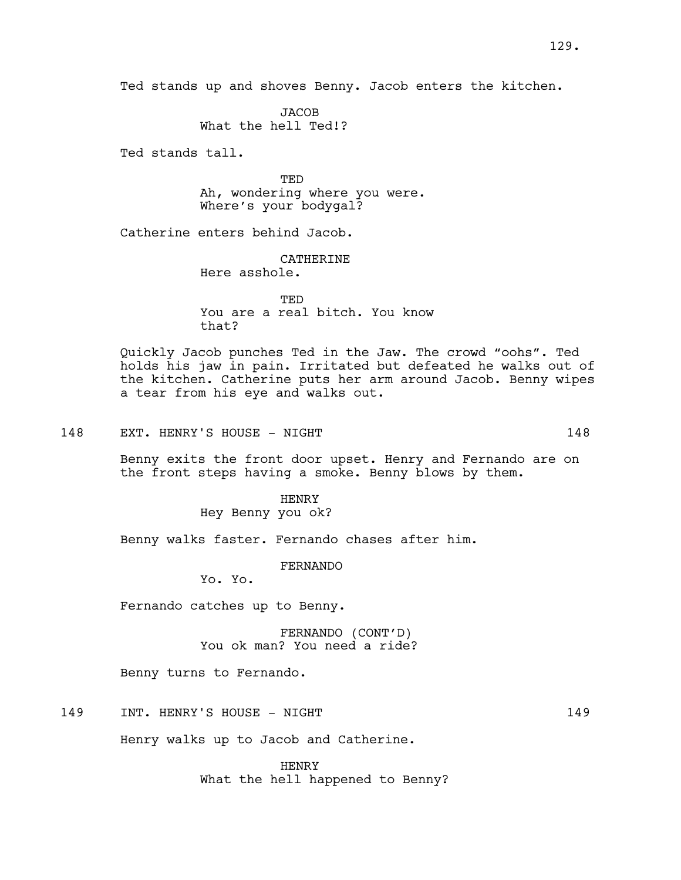**JACOB** What the hell Ted!?

Ted stands tall.

TED Ah, wondering where you were. Where's your bodygal?

Catherine enters behind Jacob.

**CATHERINE** 

Here asshole.

**TED** You are a real bitch. You know that?

Quickly Jacob punches Ted in the Jaw. The crowd "oohs". Ted holds his jaw in pain. Irritated but defeated he walks out of the kitchen. Catherine puts her arm around Jacob. Benny wipes a tear from his eye and walks out.

148 EXT. HENRY'S HOUSE - NIGHT 148

Benny exits the front door upset. Henry and Fernando are on the front steps having a smoke. Benny blows by them.

> HENRY Hey Benny you ok?

Benny walks faster. Fernando chases after him.

FERNANDO

Yo. Yo.

Fernando catches up to Benny.

FERNANDO (CONT'D) You ok man? You need a ride?

Benny turns to Fernando.

149 INT. HENRY'S HOUSE - NIGHT 149

Henry walks up to Jacob and Catherine.

HENRY What the hell happened to Benny?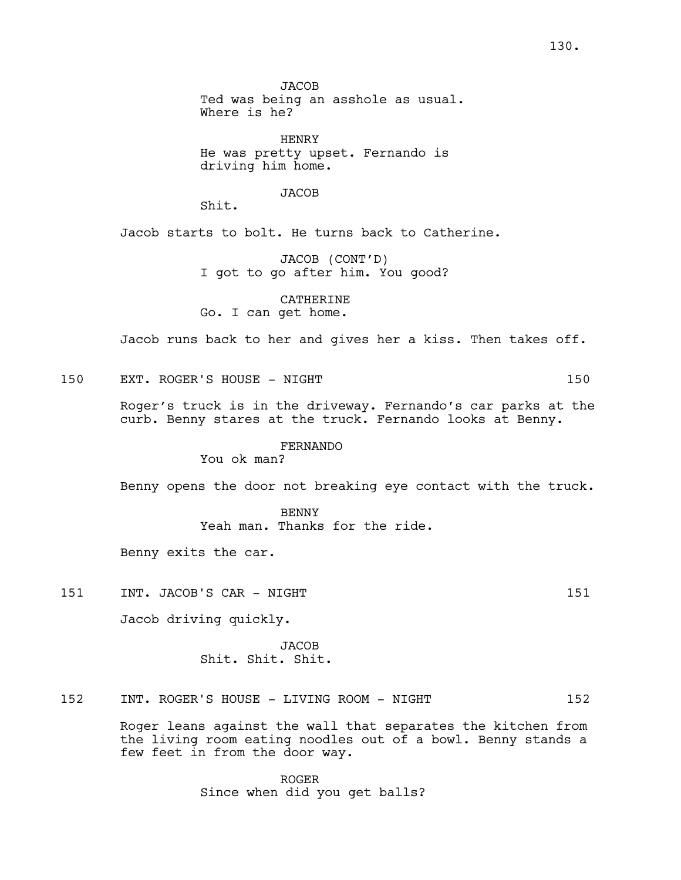**JACOB** Ted was being an asshole as usual. Where is he?

HENRY He was pretty upset. Fernando is driving him home.

**JACOB** 

Shit.

Jacob starts to bolt. He turns back to Catherine.

JACOB (CONT'D) I got to go after him. You good?

CATHERINE Go. I can get home.

Jacob runs back to her and gives her a kiss. Then takes off.

150 EXT. ROGER'S HOUSE - NIGHT 150

Roger's truck is in the driveway. Fernando's car parks at the curb. Benny stares at the truck. Fernando looks at Benny.

FERNANDO

You ok man?

Benny opens the door not breaking eye contact with the truck.

BENNY Yeah man. Thanks for the ride.

Benny exits the car.

151 INT. JACOB'S CAR - NIGHT 151 151

Jacob driving quickly.

**JACOB** Shit. Shit. Shit.

152 INT. ROGER'S HOUSE - LIVING ROOM - NIGHT 152

Roger leans against the wall that separates the kitchen from the living room eating noodles out of a bowl. Benny stands a few feet in from the door way.

> ROGER Since when did you get balls?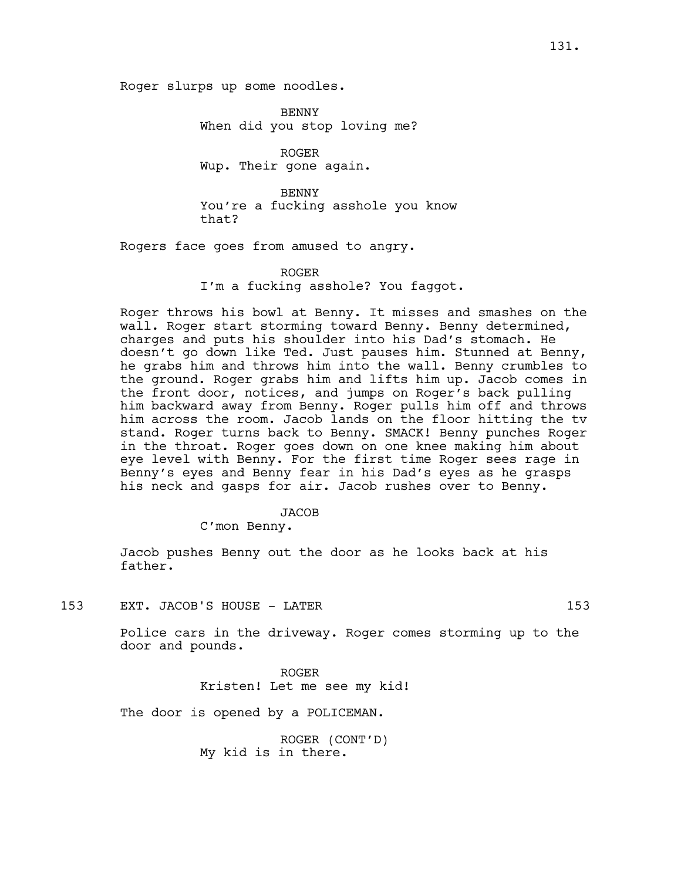Roger slurps up some noodles.

BENNY When did you stop loving me?

ROGER Wup. Their gone again.

BENNY You're a fucking asshole you know that?

Rogers face goes from amused to angry.

#### ROGER

I'm a fucking asshole? You faggot.

Roger throws his bowl at Benny. It misses and smashes on the wall. Roger start storming toward Benny. Benny determined, charges and puts his shoulder into his Dad's stomach. He doesn't go down like Ted. Just pauses him. Stunned at Benny, he grabs him and throws him into the wall. Benny crumbles to the ground. Roger grabs him and lifts him up. Jacob comes in the front door, notices, and jumps on Roger's back pulling him backward away from Benny. Roger pulls him off and throws him across the room. Jacob lands on the floor hitting the tv stand. Roger turns back to Benny. SMACK! Benny punches Roger in the throat. Roger goes down on one knee making him about eye level with Benny. For the first time Roger sees rage in Benny's eyes and Benny fear in his Dad's eyes as he grasps his neck and gasps for air. Jacob rushes over to Benny.

#### JACOB

C'mon Benny.

Jacob pushes Benny out the door as he looks back at his father.

153 EXT. JACOB'S HOUSE - LATER 153

Police cars in the driveway. Roger comes storming up to the door and pounds.

> ROGER Kristen! Let me see my kid!

The door is opened by a POLICEMAN.

ROGER (CONT'D) My kid is in there.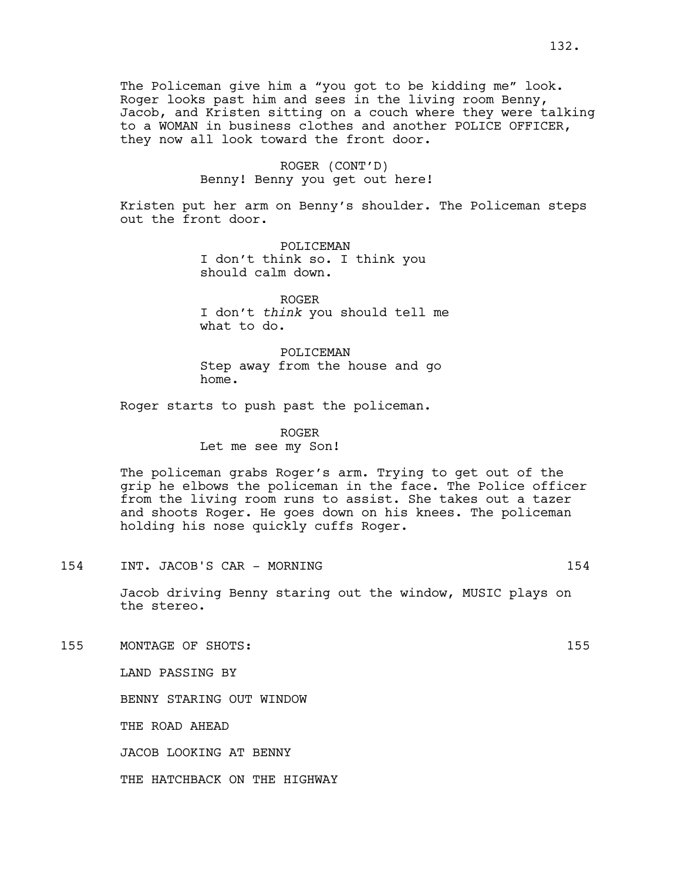The Policeman give him a "you got to be kidding me" look. Roger looks past him and sees in the living room Benny, Jacob, and Kristen sitting on a couch where they were talking to a WOMAN in business clothes and another POLICE OFFICER, they now all look toward the front door.

# ROGER (CONT'D) Benny! Benny you get out here!

Kristen put her arm on Benny's shoulder. The Policeman steps out the front door.

> POLICEMAN I don't think so. I think you should calm down.

ROGER I don't *think* you should tell me what to do.

POLICEMAN Step away from the house and go home.

Roger starts to push past the policeman.

ROGER Let me see my Son!

The policeman grabs Roger's arm. Trying to get out of the grip he elbows the policeman in the face. The Police officer from the living room runs to assist. She takes out a tazer and shoots Roger. He goes down on his knees. The policeman holding his nose quickly cuffs Roger.

154 INT. JACOB'S CAR - MORNING 154

Jacob driving Benny staring out the window, MUSIC plays on the stereo.

155 MONTAGE OF SHOTS: 155

LAND PASSING BY

BENNY STARING OUT WINDOW

THE ROAD AHEAD

JACOB LOOKING AT BENNY

THE HATCHBACK ON THE HIGHWAY